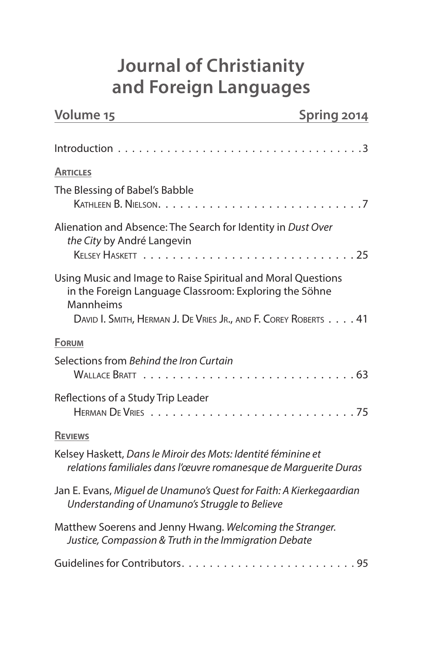# **Journal of Christianity and Foreign Languages**

| Volume <sub>15</sub>                                                                                                                                                                                   | Spring 2014 |
|--------------------------------------------------------------------------------------------------------------------------------------------------------------------------------------------------------|-------------|
|                                                                                                                                                                                                        |             |
| <b>ARTICLES</b>                                                                                                                                                                                        |             |
| The Blessing of Babel's Babble<br>KATHLEEN B. NIELSON.                                                                                                                                                 |             |
| Alienation and Absence: The Search for Identity in Dust Over<br>the City by André Langevin<br>KELSEY HASKETT                                                                                           | . 25        |
| Using Music and Image to Raise Spiritual and Moral Questions<br>in the Foreign Language Classroom: Exploring the Söhne<br>Mannheims<br>DAVID I. SMITH, HERMAN J. DE VRIES JR., AND F. COREY ROBERTS 41 |             |
| <b>FORUM</b>                                                                                                                                                                                           |             |
| Selections from Behind the Iron Curtain                                                                                                                                                                |             |
| Reflections of a Study Trip Leader                                                                                                                                                                     |             |
| <b>REVIEWS</b>                                                                                                                                                                                         |             |
| Kelsey Haskett, Dans le Miroir des Mots: Identité féminine et<br>relations familiales dans l'œuvre romanesque de Marguerite Duras                                                                      |             |
| Jan E. Evans, Miguel de Unamuno's Quest for Faith: A Kierkegaardian<br>Understanding of Unamuno's Struggle to Believe                                                                                  |             |
| Matthew Soerens and Jenny Hwang. Welcoming the Stranger.<br>Justice, Compassion & Truth in the Immigration Debate                                                                                      |             |
|                                                                                                                                                                                                        |             |
|                                                                                                                                                                                                        |             |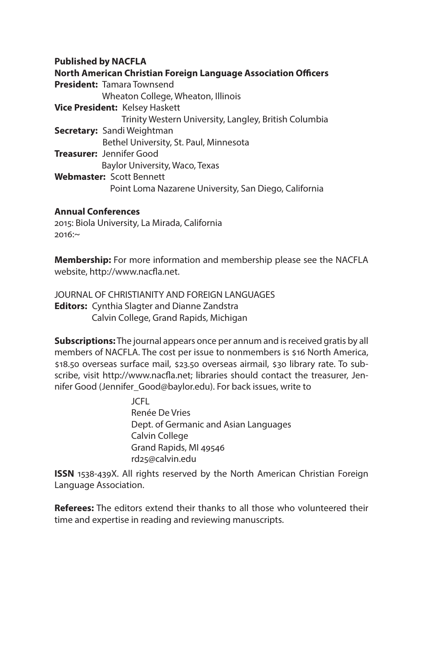#### **Published by NACFLA**

**North American Christian Foreign Language Association Officers President:** Tamara Townsend Wheaton College, Wheaton, Illinois **Vice President:** Kelsey Haskett Trinity Western University, Langley, British Columbia **Secretary:** Sandi Weightman Bethel University, St. Paul, Minnesota **Treasurer:** Jennifer Good Baylor University, Waco, Texas **Webmaster:** Scott Bennett Point Loma Nazarene University, San Diego, California

#### **Annual Conferences**

2015: Biola University, La Mirada, California 2016:~

**Membership:** For more information and membership please see the NACFLA website, http://www.nacfla.net.

JOURNAL OF CHRISTIANITY AND FOREIGN LANGUAGES **Editors:** Cynthia Slagter and Dianne Zandstra Calvin College, Grand Rapids, Michigan

**Subscriptions:** The journal appears once per annum and is received gratis by all members of NACFLA. The cost per issue to nonmembers is \$16 North America, \$18.50 overseas surface mail, \$23.50 overseas airmail, \$30 library rate. To subscribe, visit http://www.nacfla.net; libraries should contact the treasurer, Jennifer Good (Jennifer Good@baylor.edu). For back issues, write to

> JCFL Renée De Vries Dept. of Germanic and Asian Languages Calvin College Grand Rapids, MI 49546 rd25@calvin.edu

**ISSN** 1538-439X. All rights reserved by the North American Christian Foreign Language Association.

**Referees:** The editors extend their thanks to all those who volunteered their time and expertise in reading and reviewing manuscripts.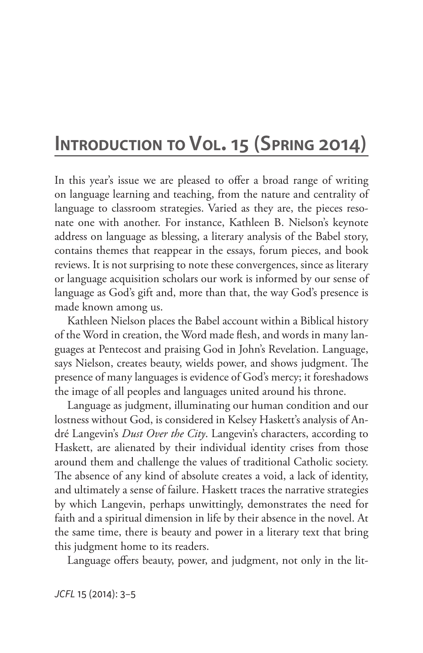## **Introduction to Vol. 15 (Spring 2014)**

In this year's issue we are pleased to offer a broad range of writing on language learning and teaching, from the nature and centrality of language to classroom strategies. Varied as they are, the pieces resonate one with another. For instance, Kathleen B. Nielson's keynote address on language as blessing, a literary analysis of the Babel story, contains themes that reappear in the essays, forum pieces, and book reviews. It is not surprising to note these convergences, since as literary or language acquisition scholars our work is informed by our sense of language as God's gift and, more than that, the way God's presence is made known among us.

Kathleen Nielson places the Babel account within a Biblical history of the Word in creation, the Word made flesh, and words in many languages at Pentecost and praising God in John's Revelation. Language, says Nielson, creates beauty, wields power, and shows judgment. The presence of many languages is evidence of God's mercy; it foreshadows the image of all peoples and languages united around his throne.

Language as judgment, illuminating our human condition and our lostness without God, is considered in Kelsey Haskett's analysis of André Langevin's *Dust Over the City*. Langevin's characters, according to Haskett, are alienated by their individual identity crises from those around them and challenge the values of traditional Catholic society. The absence of any kind of absolute creates a void, a lack of identity, and ultimately a sense of failure. Haskett traces the narrative strategies by which Langevin, perhaps unwittingly, demonstrates the need for faith and a spiritual dimension in life by their absence in the novel. At the same time, there is beauty and power in a literary text that bring this judgment home to its readers.

Language offers beauty, power, and judgment, not only in the lit-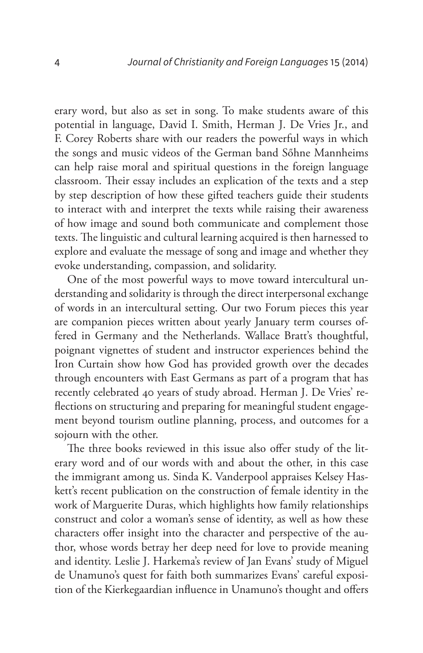erary word, but also as set in song. To make students aware of this potential in language, David I. Smith, Herman J. De Vries Jr., and F. Corey Roberts share with our readers the powerful ways in which the songs and music videos of the German band Sőhne Mannheims can help raise moral and spiritual questions in the foreign language classroom. Their essay includes an explication of the texts and a step by step description of how these gifted teachers guide their students to interact with and interpret the texts while raising their awareness of how image and sound both communicate and complement those texts. The linguistic and cultural learning acquired is then harnessed to explore and evaluate the message of song and image and whether they evoke understanding, compassion, and solidarity.

One of the most powerful ways to move toward intercultural understanding and solidarity is through the direct interpersonal exchange of words in an intercultural setting. Our two Forum pieces this year are companion pieces written about yearly January term courses offered in Germany and the Netherlands. Wallace Bratt's thoughtful, poignant vignettes of student and instructor experiences behind the Iron Curtain show how God has provided growth over the decades through encounters with East Germans as part of a program that has recently celebrated 40 years of study abroad. Herman J. De Vries' reflections on structuring and preparing for meaningful student engagement beyond tourism outline planning, process, and outcomes for a sojourn with the other.

The three books reviewed in this issue also offer study of the literary word and of our words with and about the other, in this case the immigrant among us. Sinda K. Vanderpool appraises Kelsey Haskett's recent publication on the construction of female identity in the work of Marguerite Duras, which highlights how family relationships construct and color a woman's sense of identity, as well as how these characters offer insight into the character and perspective of the author, whose words betray her deep need for love to provide meaning and identity. Leslie J. Harkema's review of Jan Evans' study of Miguel de Unamuno's quest for faith both summarizes Evans' careful exposition of the Kierkegaardian influence in Unamuno's thought and offers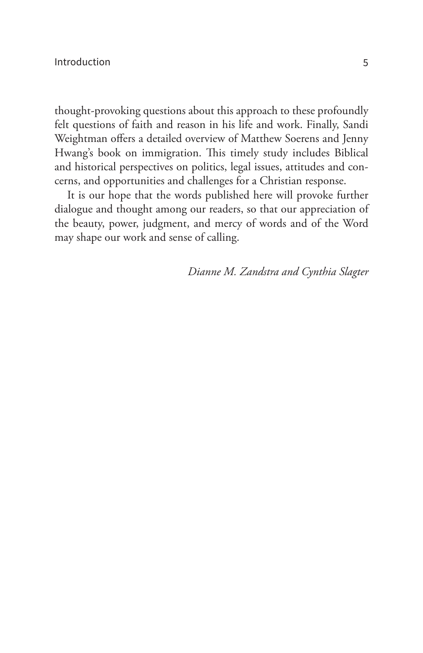thought-provoking questions about this approach to these profoundly felt questions of faith and reason in his life and work. Finally, Sandi Weightman offers a detailed overview of Matthew Soerens and Jenny Hwang's book on immigration. This timely study includes Biblical and historical perspectives on politics, legal issues, attitudes and concerns, and opportunities and challenges for a Christian response.

It is our hope that the words published here will provoke further dialogue and thought among our readers, so that our appreciation of the beauty, power, judgment, and mercy of words and of the Word may shape our work and sense of calling.

*Dianne M. Zandstra and Cynthia Slagter*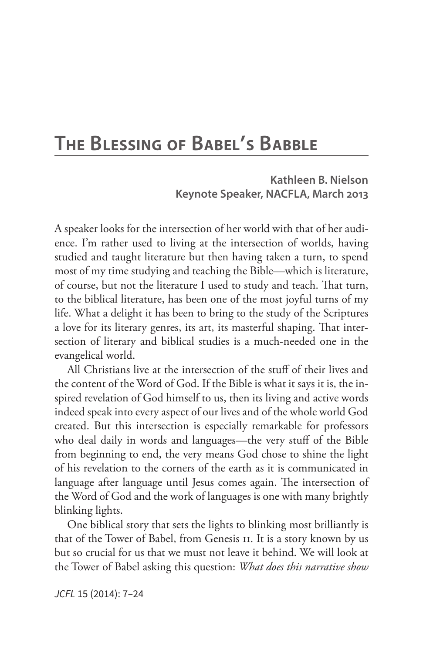## **The Blessing of Babel's Babble**

**Kathleen B. Nielson Keynote Speaker, NACFLA, March 2013**

A speaker looks for the intersection of her world with that of her audience. I'm rather used to living at the intersection of worlds, having studied and taught literature but then having taken a turn, to spend most of my time studying and teaching the Bible—which is literature, of course, but not the literature I used to study and teach. That turn, to the biblical literature, has been one of the most joyful turns of my life. What a delight it has been to bring to the study of the Scriptures a love for its literary genres, its art, its masterful shaping. That intersection of literary and biblical studies is a much-needed one in the evangelical world.

All Christians live at the intersection of the stuff of their lives and the content of the Word of God. If the Bible is what it says it is, the inspired revelation of God himself to us, then its living and active words indeed speak into every aspect of our lives and of the whole world God created. But this intersection is especially remarkable for professors who deal daily in words and languages—the very stuff of the Bible from beginning to end, the very means God chose to shine the light of his revelation to the corners of the earth as it is communicated in language after language until Jesus comes again. The intersection of the Word of God and the work of languages is one with many brightly blinking lights.

One biblical story that sets the lights to blinking most brilliantly is that of the Tower of Babel, from Genesis 11. It is a story known by us but so crucial for us that we must not leave it behind. We will look at the Tower of Babel asking this question: *What does this narrative show* 

*JCFL* 15 (2014): 7–24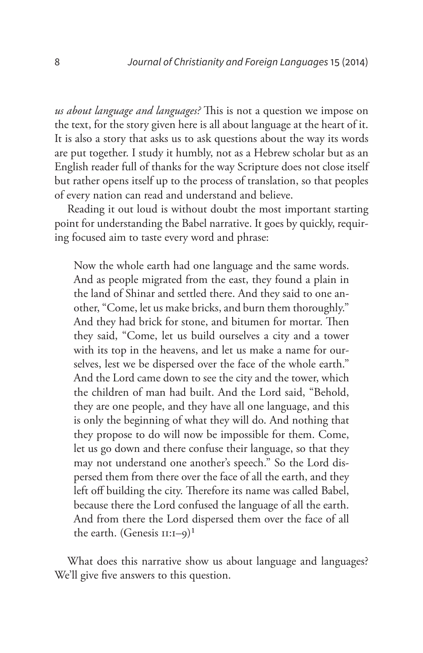*us about language and languages?* This is not a question we impose on the text, for the story given here is all about language at the heart of it. It is also a story that asks us to ask questions about the way its words are put together. I study it humbly, not as a Hebrew scholar but as an English reader full of thanks for the way Scripture does not close itself but rather opens itself up to the process of translation, so that peoples of every nation can read and understand and believe.

Reading it out loud is without doubt the most important starting point for understanding the Babel narrative. It goes by quickly, requiring focused aim to taste every word and phrase:

Now the whole earth had one language and the same words. And as people migrated from the east, they found a plain in the land of Shinar and settled there. And they said to one another, "Come, let us make bricks, and burn them thoroughly." And they had brick for stone, and bitumen for mortar. Then they said, "Come, let us build ourselves a city and a tower with its top in the heavens, and let us make a name for ourselves, lest we be dispersed over the face of the whole earth." And the Lord came down to see the city and the tower, which the children of man had built. And the Lord said, "Behold, they are one people, and they have all one language, and this is only the beginning of what they will do. And nothing that they propose to do will now be impossible for them. Come, let us go down and there confuse their language, so that they may not understand one another's speech." So the Lord dispersed them from there over the face of all the earth, and they left off building the city. Therefore its name was called Babel, because there the Lord confused the language of all the earth. And from there the Lord dispersed them over the face of all the earth. (Genesis  $II:I=9$ )<sup>1</sup>

What does this narrative show us about language and languages? We'll give five answers to this question.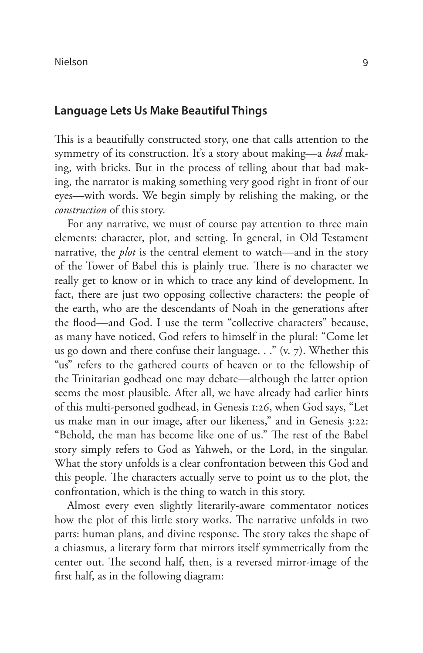#### **Language Lets Us Make Beautiful Things**

This is a beautifully constructed story, one that calls attention to the symmetry of its construction. It's a story about making—a *bad* making, with bricks. But in the process of telling about that bad making, the narrator is making something very good right in front of our eyes—with words. We begin simply by relishing the making, or the *construction* of this story.

For any narrative, we must of course pay attention to three main elements: character, plot, and setting. In general, in Old Testament narrative, the *plot* is the central element to watch—and in the story of the Tower of Babel this is plainly true. There is no character we really get to know or in which to trace any kind of development. In fact, there are just two opposing collective characters: the people of the earth, who are the descendants of Noah in the generations after the flood—and God. I use the term "collective characters" because, as many have noticed, God refers to himself in the plural: "Come let us go down and there confuse their language. . ." (v. 7). Whether this "us" refers to the gathered courts of heaven or to the fellowship of the Trinitarian godhead one may debate—although the latter option seems the most plausible. After all, we have already had earlier hints of this multi-personed godhead, in Genesis 1:26, when God says, "Let us make man in our image, after our likeness," and in Genesis 3:22: "Behold, the man has become like one of us." The rest of the Babel story simply refers to God as Yahweh, or the Lord, in the singular. What the story unfolds is a clear confrontation between this God and this people. The characters actually serve to point us to the plot, the confrontation, which is the thing to watch in this story.

Almost every even slightly literarily-aware commentator notices how the plot of this little story works. The narrative unfolds in two parts: human plans, and divine response. The story takes the shape of a chiasmus, a literary form that mirrors itself symmetrically from the center out. The second half, then, is a reversed mirror-image of the first half, as in the following diagram: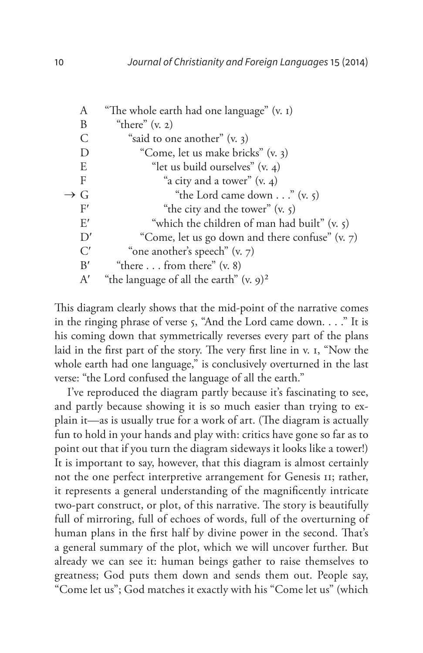|                 | А  | "The whole earth had one language" (v. 1)         |
|-----------------|----|---------------------------------------------------|
|                 | B  | "there" $(v, 2)$                                  |
|                 | C  | "said to one another" (v. 3)                      |
|                 | D  | "Come, let us make bricks" (v. 3)                 |
|                 | E  | "let us build ourselves" $(v, 4)$                 |
|                 | F  | "a city and a tower" $(v, 4)$                     |
| $\rightarrow G$ |    | "the Lord came down $\dots$ " (v. 5)              |
|                 | F' | "the city and the tower" $(v, 5)$                 |
|                 | E' | "which the children of man had built" $(v, \xi)$  |
|                 | D' | "Come, let us go down and there confuse" $(v, 7)$ |
|                 | C' | "one another's speech" (v. 7)                     |
|                 | B' | "there $\dots$ from there" (v. 8)                 |
|                 | A' | "the language of all the earth" $(v, 9)^2$        |

This diagram clearly shows that the mid-point of the narrative comes in the ringing phrase of verse 5, "And the Lord came down. . . ." It is his coming down that symmetrically reverses every part of the plans laid in the first part of the story. The very first line in v. 1, "Now the whole earth had one language," is conclusively overturned in the last verse: "the Lord confused the language of all the earth."

I've reproduced the diagram partly because it's fascinating to see, and partly because showing it is so much easier than trying to explain it—as is usually true for a work of art. (The diagram is actually fun to hold in your hands and play with: critics have gone so far as to point out that if you turn the diagram sideways it looks like a tower!) It is important to say, however, that this diagram is almost certainly not the one perfect interpretive arrangement for Genesis 11; rather, it represents a general understanding of the magnificently intricate two-part construct, or plot, of this narrative. The story is beautifully full of mirroring, full of echoes of words, full of the overturning of human plans in the first half by divine power in the second. That's a general summary of the plot, which we will uncover further. But already we can see it: human beings gather to raise themselves to greatness; God puts them down and sends them out. People say, "Come let us"; God matches it exactly with his "Come let us" (which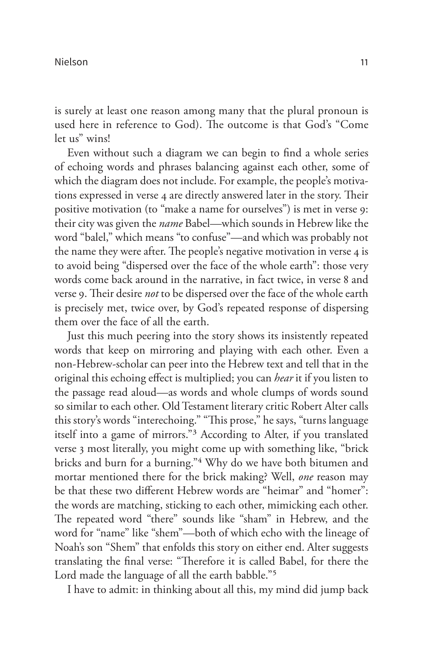is surely at least one reason among many that the plural pronoun is used here in reference to God). The outcome is that God's "Come let us" wins!

Even without such a diagram we can begin to find a whole series of echoing words and phrases balancing against each other, some of which the diagram does not include. For example, the people's motivations expressed in verse 4 are directly answered later in the story. Their positive motivation (to "make a name for ourselves") is met in verse 9: their city was given the *name* Babel—which sounds in Hebrew like the word "balel," which means "to confuse"—and which was probably not the name they were after. The people's negative motivation in verse 4 is to avoid being "dispersed over the face of the whole earth": those very words come back around in the narrative, in fact twice, in verse 8 and verse 9. Their desire *not* to be dispersed over the face of the whole earth is precisely met, twice over, by God's repeated response of dispersing them over the face of all the earth.

Just this much peering into the story shows its insistently repeated words that keep on mirroring and playing with each other. Even a non-Hebrew-scholar can peer into the Hebrew text and tell that in the original this echoing effect is multiplied; you can *hear* it if you listen to the passage read aloud—as words and whole clumps of words sound so similar to each other. Old Testament literary critic Robert Alter calls this story's words "interechoing." "This prose," he says, "turns language itself into a game of mirrors."3 According to Alter, if you translated verse 3 most literally, you might come up with something like, "brick bricks and burn for a burning."4 Why do we have both bitumen and mortar mentioned there for the brick making? Well, *one* reason may be that these two different Hebrew words are "heimar" and "homer": the words are matching, sticking to each other, mimicking each other. The repeated word "there" sounds like "sham" in Hebrew, and the word for "name" like "shem"—both of which echo with the lineage of Noah's son "Shem" that enfolds this story on either end. Alter suggests translating the final verse: "Therefore it is called Babel, for there the Lord made the language of all the earth babble."5

I have to admit: in thinking about all this, my mind did jump back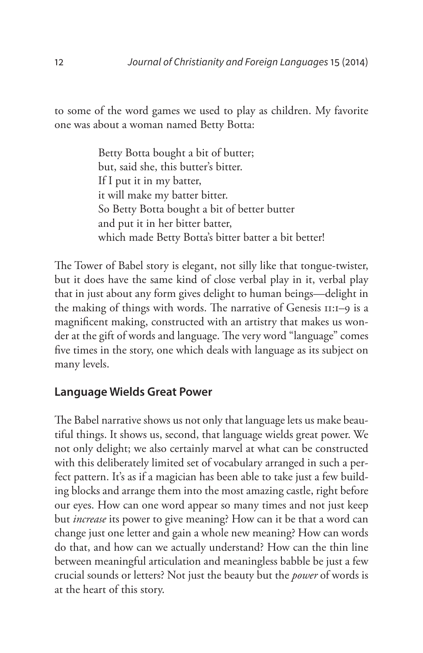to some of the word games we used to play as children. My favorite one was about a woman named Betty Botta:

> Betty Botta bought a bit of butter; but, said she, this butter's bitter. If I put it in my batter, it will make my batter bitter. So Betty Botta bought a bit of better butter and put it in her bitter batter, which made Betty Botta's bitter batter a bit better!

The Tower of Babel story is elegant, not silly like that tongue-twister, but it does have the same kind of close verbal play in it, verbal play that in just about any form gives delight to human beings—delight in the making of things with words. The narrative of Genesis 11:1–9 is a magnificent making, constructed with an artistry that makes us wonder at the gift of words and language. The very word "language" comes five times in the story, one which deals with language as its subject on many levels.

### **Language Wields Great Power**

The Babel narrative shows us not only that language lets us make beautiful things. It shows us, second, that language wields great power. We not only delight; we also certainly marvel at what can be constructed with this deliberately limited set of vocabulary arranged in such a perfect pattern. It's as if a magician has been able to take just a few building blocks and arrange them into the most amazing castle, right before our eyes. How can one word appear so many times and not just keep but *increase* its power to give meaning? How can it be that a word can change just one letter and gain a whole new meaning? How can words do that, and how can we actually understand? How can the thin line between meaningful articulation and meaningless babble be just a few crucial sounds or letters? Not just the beauty but the *power* of words is at the heart of this story.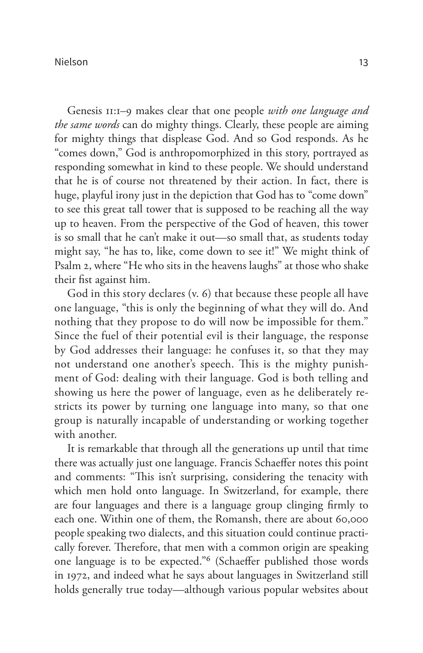Genesis 11:1–9 makes clear that one people *with one language and the same words* can do mighty things. Clearly, these people are aiming for mighty things that displease God. And so God responds. As he "comes down," God is anthropomorphized in this story, portrayed as responding somewhat in kind to these people. We should understand that he is of course not threatened by their action. In fact, there is huge, playful irony just in the depiction that God has to "come down" to see this great tall tower that is supposed to be reaching all the way up to heaven. From the perspective of the God of heaven, this tower is so small that he can't make it out—so small that, as students today might say, "he has to, like, come down to see it!" We might think of Psalm 2, where "He who sits in the heavens laughs" at those who shake their fist against him.

God in this story declares (v. 6) that because these people all have one language, "this is only the beginning of what they will do. And nothing that they propose to do will now be impossible for them." Since the fuel of their potential evil is their language, the response by God addresses their language: he confuses it, so that they may not understand one another's speech. This is the mighty punishment of God: dealing with their language. God is both telling and showing us here the power of language, even as he deliberately restricts its power by turning one language into many, so that one group is naturally incapable of understanding or working together with another.

It is remarkable that through all the generations up until that time there was actually just one language. Francis Schaeffer notes this point and comments: "This isn't surprising, considering the tenacity with which men hold onto language. In Switzerland, for example, there are four languages and there is a language group clinging firmly to each one. Within one of them, the Romansh, there are about 60,000 people speaking two dialects, and this situation could continue practically forever. Therefore, that men with a common origin are speaking one language is to be expected."6 (Schaeffer published those words in 1972, and indeed what he says about languages in Switzerland still holds generally true today—although various popular websites about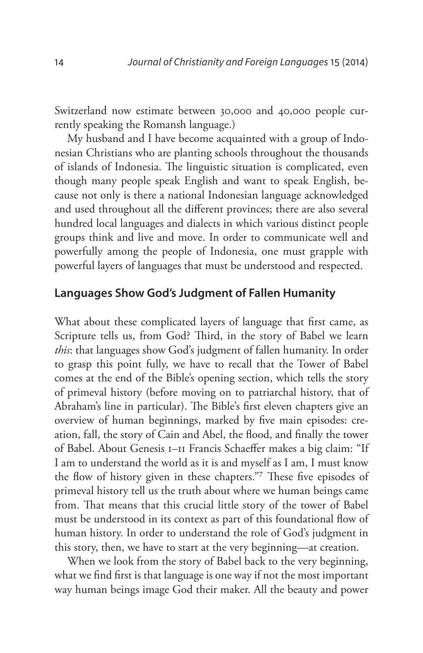Switzerland now estimate between 30,000 and 40,000 people currently speaking the Romansh language.)

My husband and I have become acquainted with a group of Indonesian Christians who are planting schools throughout the thousands of islands of Indonesia. The linguistic situation is complicated, even though many people speak English and want to speak English, because not only is there a national Indonesian language acknowledged and used throughout all the different provinces; there are also several hundred local languages and dialects in which various distinct people groups think and live and move. In order to communicate well and powerfully among the people of Indonesia, one must grapple with powerful layers of languages that must be understood and respected.

### **Languages Show God's Judgment of Fallen Humanity**

What about these complicated layers of language that first came, as Scripture tells us, from God? Third, in the story of Babel we learn *this*: that languages show God's judgment of fallen humanity. In order to grasp this point fully, we have to recall that the Tower of Babel comes at the end of the Bible's opening section, which tells the story of primeval history (before moving on to patriarchal history, that of Abraham's line in particular). The Bible's first eleven chapters give an overview of human beginnings, marked by five main episodes: creation, fall, the story of Cain and Abel, the flood, and finally the tower of Babel. About Genesis 1–11 Francis Schaeffer makes a big claim: "If I am to understand the world as it is and myself as I am, I must know the flow of history given in these chapters."7 These five episodes of primeval history tell us the truth about where we human beings came from. That means that this crucial little story of the tower of Babel must be understood in its context as part of this foundational flow of human history. In order to understand the role of God's judgment in this story, then, we have to start at the very beginning—at creation.

When we look from the story of Babel back to the very beginning, what we find first is that language is one way if not the most important way human beings image God their maker. All the beauty and power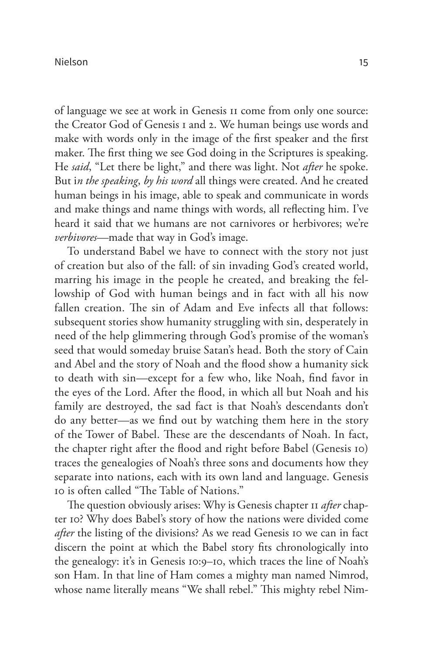of language we see at work in Genesis 11 come from only one source: the Creator God of Genesis 1 and 2. We human beings use words and make with words only in the image of the first speaker and the first maker. The first thing we see God doing in the Scriptures is speaking. He *said*, "Let there be light," and there was light. Not *after* he spoke. But i*n the speaking*, *by his word* all things were created. And he created human beings in his image, able to speak and communicate in words and make things and name things with words, all reflecting him. I've heard it said that we humans are not carnivores or herbivores; we're *verbivores—*made that way in God's image.

To understand Babel we have to connect with the story not just of creation but also of the fall: of sin invading God's created world, marring his image in the people he created, and breaking the fellowship of God with human beings and in fact with all his now fallen creation. The sin of Adam and Eve infects all that follows: subsequent stories show humanity struggling with sin, desperately in need of the help glimmering through God's promise of the woman's seed that would someday bruise Satan's head. Both the story of Cain and Abel and the story of Noah and the flood show a humanity sick to death with sin—except for a few who, like Noah, find favor in the eyes of the Lord. After the flood, in which all but Noah and his family are destroyed, the sad fact is that Noah's descendants don't do any better—as we find out by watching them here in the story of the Tower of Babel. These are the descendants of Noah. In fact, the chapter right after the flood and right before Babel (Genesis 10) traces the genealogies of Noah's three sons and documents how they separate into nations, each with its own land and language. Genesis 10 is often called "The Table of Nations."

The question obviously arises: Why is Genesis chapter 11 *after* chapter 10? Why does Babel's story of how the nations were divided come *after* the listing of the divisions? As we read Genesis 10 we can in fact discern the point at which the Babel story fits chronologically into the genealogy: it's in Genesis 10:9–10, which traces the line of Noah's son Ham. In that line of Ham comes a mighty man named Nimrod, whose name literally means "We shall rebel." This mighty rebel Nim-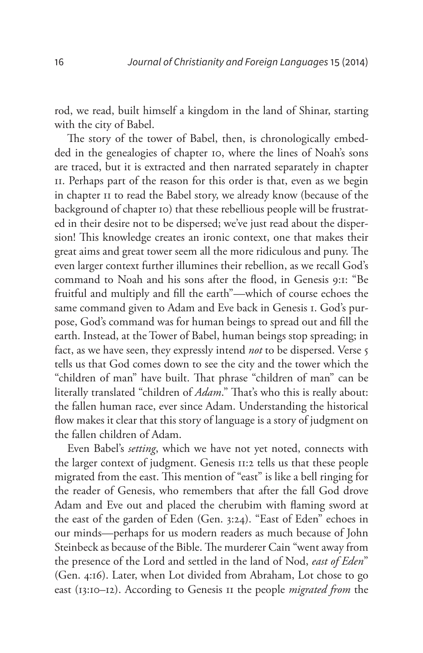rod, we read, built himself a kingdom in the land of Shinar, starting with the city of Babel.

The story of the tower of Babel, then, is chronologically embedded in the genealogies of chapter 10, where the lines of Noah's sons are traced, but it is extracted and then narrated separately in chapter 11. Perhaps part of the reason for this order is that, even as we begin in chapter 11 to read the Babel story, we already know (because of the background of chapter 10) that these rebellious people will be frustrated in their desire not to be dispersed; we've just read about the dispersion! This knowledge creates an ironic context, one that makes their great aims and great tower seem all the more ridiculous and puny. The even larger context further illumines their rebellion, as we recall God's command to Noah and his sons after the flood, in Genesis 9:1: "Be fruitful and multiply and fill the earth"—which of course echoes the same command given to Adam and Eve back in Genesis 1. God's purpose, God's command was for human beings to spread out and fill the earth. Instead, at the Tower of Babel, human beings stop spreading; in fact, as we have seen, they expressly intend *not* to be dispersed. Verse 5 tells us that God comes down to see the city and the tower which the "children of man" have built. That phrase "children of man" can be literally translated "children of *Adam*." That's who this is really about: the fallen human race, ever since Adam. Understanding the historical flow makes it clear that this story of language is a story of judgment on the fallen children of Adam.

Even Babel's *setting*, which we have not yet noted, connects with the larger context of judgment. Genesis 11:2 tells us that these people migrated from the east. This mention of "east" is like a bell ringing for the reader of Genesis, who remembers that after the fall God drove Adam and Eve out and placed the cherubim with flaming sword at the east of the garden of Eden (Gen. 3:24). "East of Eden" echoes in our minds—perhaps for us modern readers as much because of John Steinbeck as because of the Bible. The murderer Cain "went away from the presence of the Lord and settled in the land of Nod, *east of Eden*" (Gen. 4:16). Later, when Lot divided from Abraham, Lot chose to go east (13:10–12). According to Genesis 11 the people *migrated from* the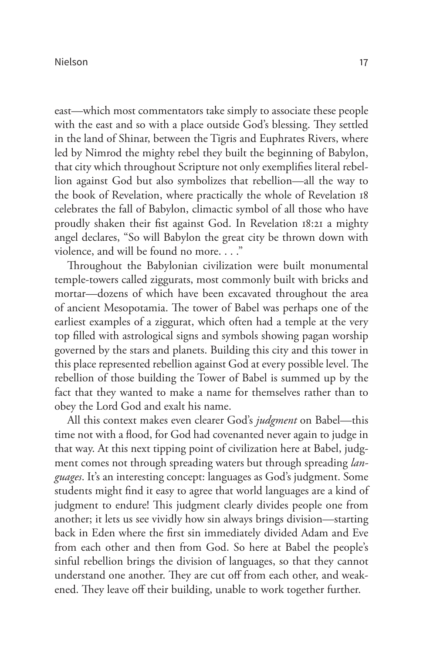east—which most commentators take simply to associate these people with the east and so with a place outside God's blessing. They settled in the land of Shinar, between the Tigris and Euphrates Rivers, where led by Nimrod the mighty rebel they built the beginning of Babylon, that city which throughout Scripture not only exemplifies literal rebellion against God but also symbolizes that rebellion—all the way to the book of Revelation, where practically the whole of Revelation 18 celebrates the fall of Babylon, climactic symbol of all those who have proudly shaken their fist against God. In Revelation 18:21 a mighty angel declares, "So will Babylon the great city be thrown down with violence, and will be found no more. . . ."

Throughout the Babylonian civilization were built monumental temple-towers called ziggurats, most commonly built with bricks and mortar—dozens of which have been excavated throughout the area of ancient Mesopotamia. The tower of Babel was perhaps one of the earliest examples of a ziggurat, which often had a temple at the very top filled with astrological signs and symbols showing pagan worship governed by the stars and planets. Building this city and this tower in this place represented rebellion against God at every possible level. The rebellion of those building the Tower of Babel is summed up by the fact that they wanted to make a name for themselves rather than to obey the Lord God and exalt his name.

All this context makes even clearer God's *judgment* on Babel—this time not with a flood, for God had covenanted never again to judge in that way. At this next tipping point of civilization here at Babel, judgment comes not through spreading waters but through spreading *languages*. It's an interesting concept: languages as God's judgment. Some students might find it easy to agree that world languages are a kind of judgment to endure! This judgment clearly divides people one from another; it lets us see vividly how sin always brings division—starting back in Eden where the first sin immediately divided Adam and Eve from each other and then from God. So here at Babel the people's sinful rebellion brings the division of languages, so that they cannot understand one another. They are cut off from each other, and weakened. They leave off their building, unable to work together further.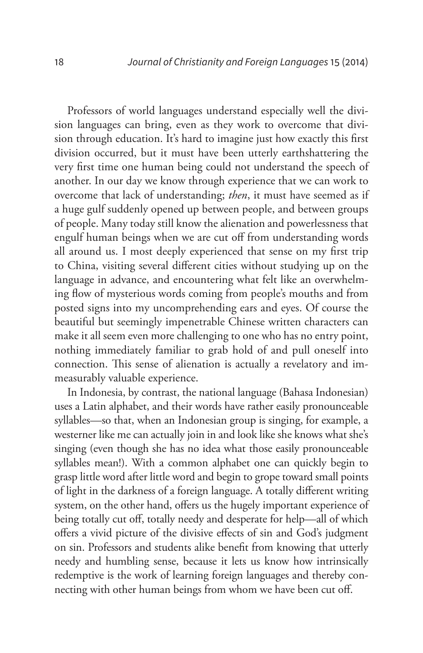Professors of world languages understand especially well the division languages can bring, even as they work to overcome that division through education. It's hard to imagine just how exactly this first division occurred, but it must have been utterly earthshattering the very first time one human being could not understand the speech of another. In our day we know through experience that we can work to overcome that lack of understanding; *then*, it must have seemed as if a huge gulf suddenly opened up between people, and between groups of people. Many today still know the alienation and powerlessness that engulf human beings when we are cut off from understanding words all around us. I most deeply experienced that sense on my first trip to China, visiting several different cities without studying up on the language in advance, and encountering what felt like an overwhelming flow of mysterious words coming from people's mouths and from posted signs into my uncomprehending ears and eyes. Of course the beautiful but seemingly impenetrable Chinese written characters can make it all seem even more challenging to one who has no entry point, nothing immediately familiar to grab hold of and pull oneself into connection. This sense of alienation is actually a revelatory and immeasurably valuable experience.

In Indonesia, by contrast, the national language (Bahasa Indonesian) uses a Latin alphabet, and their words have rather easily pronounceable syllables—so that, when an Indonesian group is singing, for example, a westerner like me can actually join in and look like she knows what she's singing (even though she has no idea what those easily pronounceable syllables mean!). With a common alphabet one can quickly begin to grasp little word after little word and begin to grope toward small points of light in the darkness of a foreign language. A totally different writing system, on the other hand, offers us the hugely important experience of being totally cut off, totally needy and desperate for help—all of which offers a vivid picture of the divisive effects of sin and God's judgment on sin. Professors and students alike benefit from knowing that utterly needy and humbling sense, because it lets us know how intrinsically redemptive is the work of learning foreign languages and thereby connecting with other human beings from whom we have been cut off.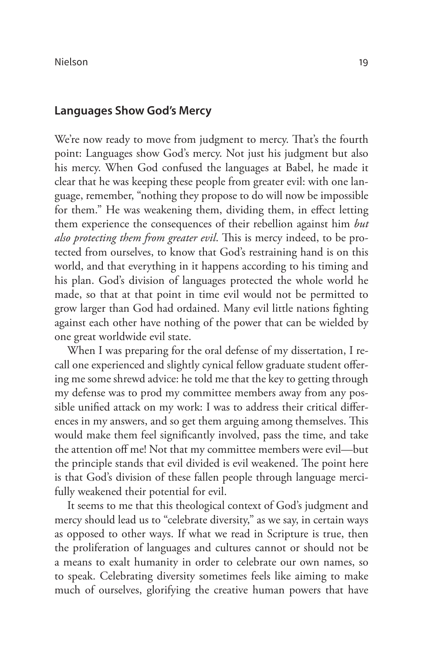#### **Languages Show God's Mercy**

We're now ready to move from judgment to mercy. That's the fourth point: Languages show God's mercy. Not just his judgment but also his mercy. When God confused the languages at Babel, he made it clear that he was keeping these people from greater evil: with one language, remember, "nothing they propose to do will now be impossible for them." He was weakening them, dividing them, in effect letting them experience the consequences of their rebellion against him *but also protecting them from greater evil*. This is mercy indeed, to be protected from ourselves, to know that God's restraining hand is on this world, and that everything in it happens according to his timing and his plan. God's division of languages protected the whole world he made, so that at that point in time evil would not be permitted to grow larger than God had ordained. Many evil little nations fighting against each other have nothing of the power that can be wielded by one great worldwide evil state.

When I was preparing for the oral defense of my dissertation, I recall one experienced and slightly cynical fellow graduate student offering me some shrewd advice: he told me that the key to getting through my defense was to prod my committee members away from any possible unified attack on my work: I was to address their critical differences in my answers, and so get them arguing among themselves. This would make them feel significantly involved, pass the time, and take the attention off me! Not that my committee members were evil—but the principle stands that evil divided is evil weakened. The point here is that God's division of these fallen people through language mercifully weakened their potential for evil.

It seems to me that this theological context of God's judgment and mercy should lead us to "celebrate diversity," as we say, in certain ways as opposed to other ways. If what we read in Scripture is true, then the proliferation of languages and cultures cannot or should not be a means to exalt humanity in order to celebrate our own names, so to speak. Celebrating diversity sometimes feels like aiming to make much of ourselves, glorifying the creative human powers that have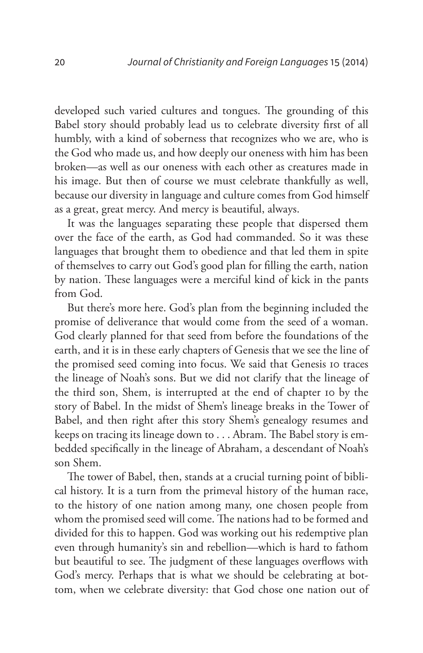developed such varied cultures and tongues. The grounding of this Babel story should probably lead us to celebrate diversity first of all humbly, with a kind of soberness that recognizes who we are, who is the God who made us, and how deeply our oneness with him has been broken—as well as our oneness with each other as creatures made in his image. But then of course we must celebrate thankfully as well, because our diversity in language and culture comes from God himself as a great, great mercy. And mercy is beautiful, always.

It was the languages separating these people that dispersed them over the face of the earth, as God had commanded. So it was these languages that brought them to obedience and that led them in spite of themselves to carry out God's good plan for filling the earth, nation by nation. These languages were a merciful kind of kick in the pants from God.

But there's more here. God's plan from the beginning included the promise of deliverance that would come from the seed of a woman. God clearly planned for that seed from before the foundations of the earth, and it is in these early chapters of Genesis that we see the line of the promised seed coming into focus. We said that Genesis 10 traces the lineage of Noah's sons. But we did not clarify that the lineage of the third son, Shem, is interrupted at the end of chapter 10 by the story of Babel. In the midst of Shem's lineage breaks in the Tower of Babel, and then right after this story Shem's genealogy resumes and keeps on tracing its lineage down to . . . Abram. The Babel story is embedded specifically in the lineage of Abraham, a descendant of Noah's son Shem.

The tower of Babel, then, stands at a crucial turning point of biblical history. It is a turn from the primeval history of the human race, to the history of one nation among many, one chosen people from whom the promised seed will come. The nations had to be formed and divided for this to happen. God was working out his redemptive plan even through humanity's sin and rebellion—which is hard to fathom but beautiful to see. The judgment of these languages overflows with God's mercy. Perhaps that is what we should be celebrating at bottom, when we celebrate diversity: that God chose one nation out of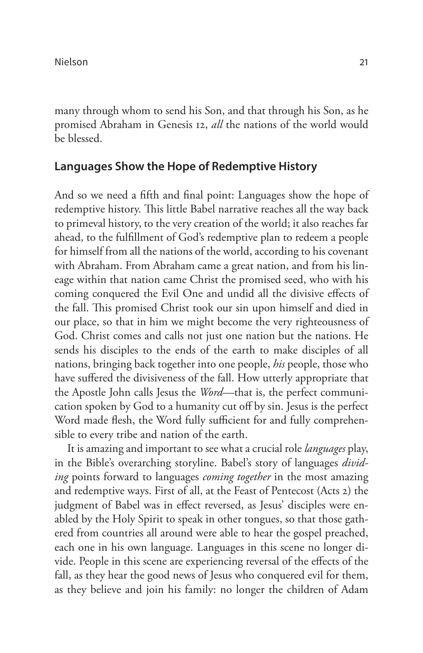many through whom to send his Son, and that through his Son, as he promised Abraham in Genesis 12, *all* the nations of the world would be blessed.

### **Languages Show the Hope of Redemptive History**

And so we need a fifth and final point: Languages show the hope of redemptive history. This little Babel narrative reaches all the way back to primeval history, to the very creation of the world; it also reaches far ahead, to the fulfillment of God's redemptive plan to redeem a people for himself from all the nations of the world, according to his covenant with Abraham. From Abraham came a great nation, and from his lineage within that nation came Christ the promised seed, who with his coming conquered the Evil One and undid all the divisive effects of the fall. This promised Christ took our sin upon himself and died in our place, so that in him we might become the very righteousness of God. Christ comes and calls not just one nation but the nations. He sends his disciples to the ends of the earth to make disciples of all nations, bringing back together into one people, *his* people, those who have suffered the divisiveness of the fall. How utterly appropriate that the Apostle John calls Jesus the *Word—*that is, the perfect communication spoken by God to a humanity cut off by sin. Jesus is the perfect Word made flesh, the Word fully sufficient for and fully comprehensible to every tribe and nation of the earth.

It is amazing and important to see what a crucial role *languages* play, in the Bible's overarching storyline. Babel's story of languages *dividing* points forward to languages *coming together* in the most amazing and redemptive ways. First of all, at the Feast of Pentecost (Acts 2) the judgment of Babel was in effect reversed, as Jesus' disciples were enabled by the Holy Spirit to speak in other tongues, so that those gathered from countries all around were able to hear the gospel preached, each one in his own language. Languages in this scene no longer divide. People in this scene are experiencing reversal of the effects of the fall, as they hear the good news of Jesus who conquered evil for them, as they believe and join his family: no longer the children of Adam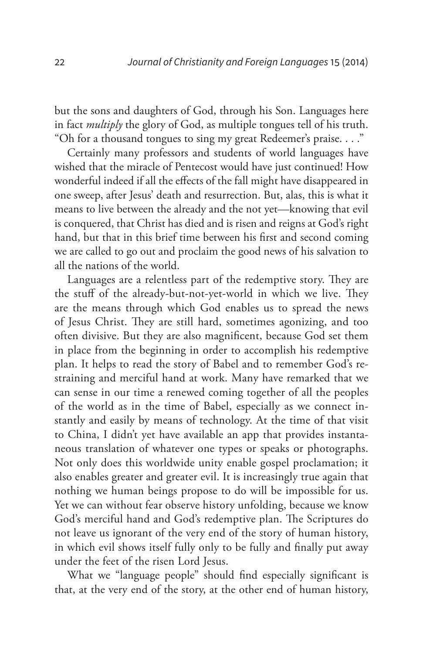but the sons and daughters of God, through his Son. Languages here in fact *multiply* the glory of God, as multiple tongues tell of his truth. "Oh for a thousand tongues to sing my great Redeemer's praise. . . ."

Certainly many professors and students of world languages have wished that the miracle of Pentecost would have just continued! How wonderful indeed if all the effects of the fall might have disappeared in one sweep, after Jesus' death and resurrection. But, alas, this is what it means to live between the already and the not yet—knowing that evil is conquered, that Christ has died and is risen and reigns at God's right hand, but that in this brief time between his first and second coming we are called to go out and proclaim the good news of his salvation to all the nations of the world.

Languages are a relentless part of the redemptive story. They are the stuff of the already-but-not-yet-world in which we live. They are the means through which God enables us to spread the news of Jesus Christ. They are still hard, sometimes agonizing, and too often divisive. But they are also magnificent, because God set them in place from the beginning in order to accomplish his redemptive plan. It helps to read the story of Babel and to remember God's restraining and merciful hand at work. Many have remarked that we can sense in our time a renewed coming together of all the peoples of the world as in the time of Babel, especially as we connect instantly and easily by means of technology. At the time of that visit to China, I didn't yet have available an app that provides instantaneous translation of whatever one types or speaks or photographs. Not only does this worldwide unity enable gospel proclamation; it also enables greater and greater evil. It is increasingly true again that nothing we human beings propose to do will be impossible for us. Yet we can without fear observe history unfolding, because we know God's merciful hand and God's redemptive plan. The Scriptures do not leave us ignorant of the very end of the story of human history, in which evil shows itself fully only to be fully and finally put away under the feet of the risen Lord Jesus.

What we "language people" should find especially significant is that, at the very end of the story, at the other end of human history,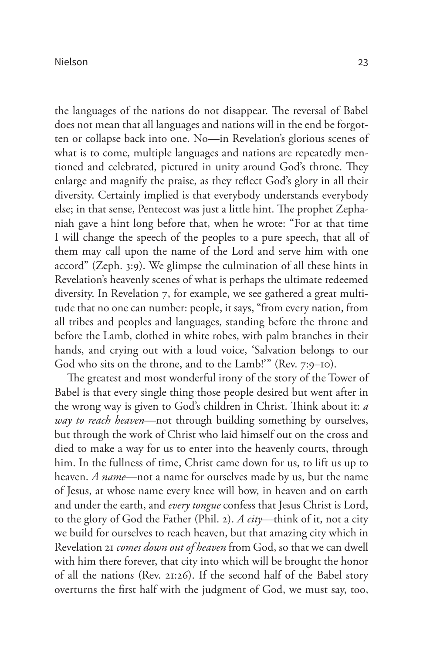the languages of the nations do not disappear. The reversal of Babel does not mean that all languages and nations will in the end be forgotten or collapse back into one. No—in Revelation's glorious scenes of what is to come, multiple languages and nations are repeatedly mentioned and celebrated, pictured in unity around God's throne. They enlarge and magnify the praise, as they reflect God's glory in all their diversity. Certainly implied is that everybody understands everybody else; in that sense, Pentecost was just a little hint. The prophet Zephaniah gave a hint long before that, when he wrote: "For at that time I will change the speech of the peoples to a pure speech, that all of them may call upon the name of the Lord and serve him with one accord" (Zeph. 3:9). We glimpse the culmination of all these hints in Revelation's heavenly scenes of what is perhaps the ultimate redeemed diversity. In Revelation 7, for example, we see gathered a great multitude that no one can number: people, it says, "from every nation, from all tribes and peoples and languages, standing before the throne and before the Lamb, clothed in white robes, with palm branches in their hands, and crying out with a loud voice, 'Salvation belongs to our God who sits on the throne, and to the Lamb!'" (Rev. 7:9–10).

The greatest and most wonderful irony of the story of the Tower of Babel is that every single thing those people desired but went after in the wrong way is given to God's children in Christ. Think about it: *a way to reach heaven*—not through building something by ourselves, but through the work of Christ who laid himself out on the cross and died to make a way for us to enter into the heavenly courts, through him. In the fullness of time, Christ came down for us, to lift us up to heaven. *A name*—not a name for ourselves made by us, but the name of Jesus, at whose name every knee will bow, in heaven and on earth and under the earth, and *every tongue* confess that Jesus Christ is Lord, to the glory of God the Father (Phil. 2). *A city*—think of it, not a city we build for ourselves to reach heaven, but that amazing city which in Revelation 21 *comes down out of heaven* from God, so that we can dwell with him there forever, that city into which will be brought the honor of all the nations (Rev. 21:26). If the second half of the Babel story overturns the first half with the judgment of God, we must say, too,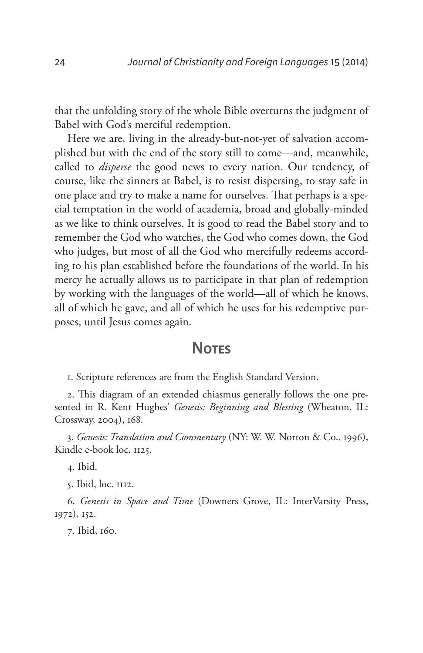that the unfolding story of the whole Bible overturns the judgment of Babel with God's merciful redemption.

Here we are, living in the already-but-not-yet of salvation accomplished but with the end of the story still to come—and, meanwhile, called to *disperse* the good news to every nation. Our tendency, of course, like the sinners at Babel, is to resist dispersing, to stay safe in one place and try to make a name for ourselves. That perhaps is a special temptation in the world of academia, broad and globally-minded as we like to think ourselves. It is good to read the Babel story and to remember the God who watches, the God who comes down, the God who judges, but most of all the God who mercifully redeems according to his plan established before the foundations of the world. In his mercy he actually allows us to participate in that plan of redemption by working with the languages of the world—all of which he knows, all of which he gave, and all of which he uses for his redemptive purposes, until Jesus comes again.

## **Notes**

1. Scripture references are from the English Standard Version.

2. This diagram of an extended chiasmus generally follows the one presented in R. Kent Hughes' *Genesis: Beginning and Blessing* (Wheaton, IL: Crossway, 2004), 168.

3. *Genesis: Translation and Commentary* (NY: W. W. Norton & Co., 1996), Kindle e-book loc. 1125.

4. Ibid.

5. Ibid, loc. 1112.

6. *Genesis in Space and Time* (Downers Grove, IL: InterVarsity Press, 1972), 152.

7. Ibid, 160.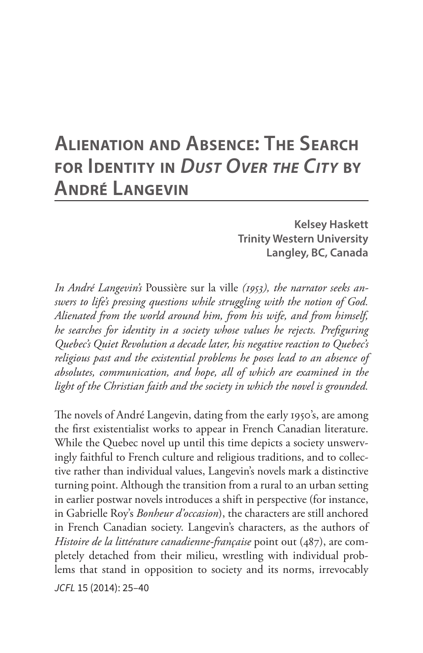## **Alienation and Absence: The Search for Identity in** *Dust Over the City* **by André Langevin**

**Kelsey Haskett Trinity Western University Langley, BC, Canada**

*In André Langevin's* Poussière sur la ville *(1953), the narrator seeks answers to life's pressing questions while struggling with the notion of God. Alienated from the world around him, from his wife, and from himself, he searches for identity in a society whose values he rejects. Prefiguring Quebec's Quiet Revolution a decade later, his negative reaction to Quebec's religious past and the existential problems he poses lead to an absence of absolutes, communication, and hope, all of which are examined in the light of the Christian faith and the society in which the novel is grounded.*

The novels of André Langevin, dating from the early 1950's, are among the first existentialist works to appear in French Canadian literature. While the Quebec novel up until this time depicts a society unswervingly faithful to French culture and religious traditions, and to collective rather than individual values, Langevin's novels mark a distinctive turning point. Although the transition from a rural to an urban setting in earlier postwar novels introduces a shift in perspective (for instance, in Gabrielle Roy's *Bonheur d'occasion*), the characters are still anchored in French Canadian society. Langevin's characters, as the authors of *Histoire de la littérature canadienne-française* point out (487), are completely detached from their milieu, wrestling with individual problems that stand in opposition to society and its norms, irrevocably *JCFL* 15 (2014): 25–40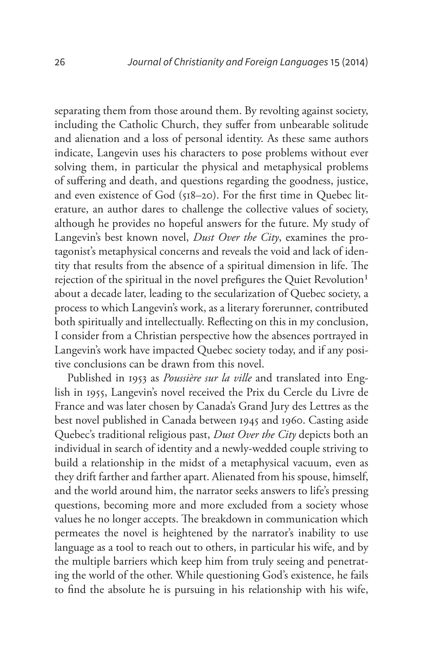separating them from those around them. By revolting against society, including the Catholic Church, they suffer from unbearable solitude and alienation and a loss of personal identity. As these same authors indicate, Langevin uses his characters to pose problems without ever solving them, in particular the physical and metaphysical problems of suffering and death, and questions regarding the goodness, justice, and even existence of God (518–20). For the first time in Quebec literature, an author dares to challenge the collective values of society, although he provides no hopeful answers for the future. My study of Langevin's best known novel, *Dust Over the City*, examines the protagonist's metaphysical concerns and reveals the void and lack of identity that results from the absence of a spiritual dimension in life. The rejection of the spiritual in the novel prefigures the Quiet Revolution<sup>1</sup> about a decade later, leading to the secularization of Quebec society, a process to which Langevin's work, as a literary forerunner, contributed both spiritually and intellectually. Reflecting on this in my conclusion, I consider from a Christian perspective how the absences portrayed in Langevin's work have impacted Quebec society today, and if any positive conclusions can be drawn from this novel.

Published in 1953 as *Poussière sur la ville* and translated into English in 1955, Langevin's novel received the Prix du Cercle du Livre de France and was later chosen by Canada's Grand Jury des Lettres as the best novel published in Canada between 1945 and 1960. Casting aside Quebec's traditional religious past, *Dust Over the City* depicts both an individual in search of identity and a newly-wedded couple striving to build a relationship in the midst of a metaphysical vacuum, even as they drift farther and farther apart. Alienated from his spouse, himself, and the world around him, the narrator seeks answers to life's pressing questions, becoming more and more excluded from a society whose values he no longer accepts. The breakdown in communication which permeates the novel is heightened by the narrator's inability to use language as a tool to reach out to others, in particular his wife, and by the multiple barriers which keep him from truly seeing and penetrating the world of the other. While questioning God's existence, he fails to find the absolute he is pursuing in his relationship with his wife,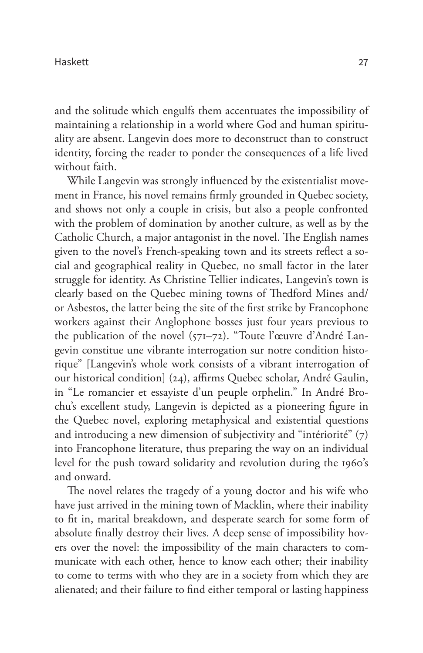and the solitude which engulfs them accentuates the impossibility of maintaining a relationship in a world where God and human spirituality are absent. Langevin does more to deconstruct than to construct identity, forcing the reader to ponder the consequences of a life lived without faith.

While Langevin was strongly influenced by the existentialist movement in France, his novel remains firmly grounded in Quebec society, and shows not only a couple in crisis, but also a people confronted with the problem of domination by another culture, as well as by the Catholic Church, a major antagonist in the novel. The English names given to the novel's French-speaking town and its streets reflect a social and geographical reality in Quebec, no small factor in the later struggle for identity. As Christine Tellier indicates, Langevin's town is clearly based on the Quebec mining towns of Thedford Mines and/ or Asbestos, the latter being the site of the first strike by Francophone workers against their Anglophone bosses just four years previous to the publication of the novel (571–72). "Toute l'œuvre d'André Langevin constitue une vibrante interrogation sur notre condition historique" [Langevin's whole work consists of a vibrant interrogation of our historical condition] (24), affirms Quebec scholar, André Gaulin, in "Le romancier et essayiste d'un peuple orphelin." In André Brochu's excellent study, Langevin is depicted as a pioneering figure in the Quebec novel, exploring metaphysical and existential questions and introducing a new dimension of subjectivity and "intériorité"  $(7)$ into Francophone literature, thus preparing the way on an individual level for the push toward solidarity and revolution during the 1960's and onward.

The novel relates the tragedy of a young doctor and his wife who have just arrived in the mining town of Macklin, where their inability to fit in, marital breakdown, and desperate search for some form of absolute finally destroy their lives. A deep sense of impossibility hovers over the novel: the impossibility of the main characters to communicate with each other, hence to know each other; their inability to come to terms with who they are in a society from which they are alienated; and their failure to find either temporal or lasting happiness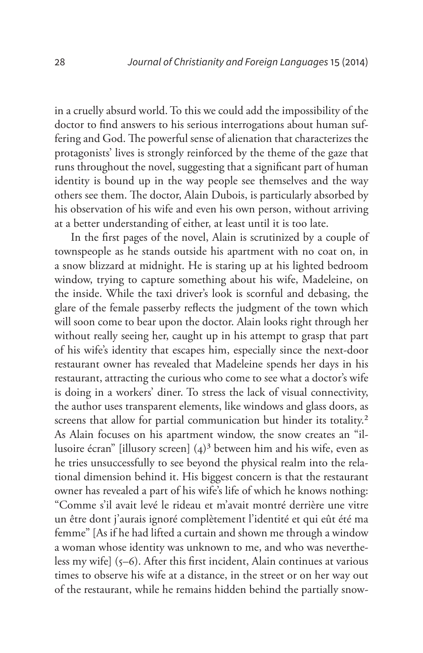in a cruelly absurd world. To this we could add the impossibility of the doctor to find answers to his serious interrogations about human suffering and God. The powerful sense of alienation that characterizes the protagonists' lives is strongly reinforced by the theme of the gaze that runs throughout the novel, suggesting that a significant part of human identity is bound up in the way people see themselves and the way others see them. The doctor, Alain Dubois, is particularly absorbed by his observation of his wife and even his own person, without arriving at a better understanding of either, at least until it is too late.

 In the first pages of the novel, Alain is scrutinized by a couple of townspeople as he stands outside his apartment with no coat on, in a snow blizzard at midnight. He is staring up at his lighted bedroom window, trying to capture something about his wife, Madeleine, on the inside. While the taxi driver's look is scornful and debasing, the glare of the female passerby reflects the judgment of the town which will soon come to bear upon the doctor. Alain looks right through her without really seeing her, caught up in his attempt to grasp that part of his wife's identity that escapes him, especially since the next-door restaurant owner has revealed that Madeleine spends her days in his restaurant, attracting the curious who come to see what a doctor's wife is doing in a workers' diner. To stress the lack of visual connectivity, the author uses transparent elements, like windows and glass doors, as screens that allow for partial communication but hinder its totality.<sup>2</sup> As Alain focuses on his apartment window, the snow creates an "illusoire écran" [illusory screen]  $(4)^3$  between him and his wife, even as he tries unsuccessfully to see beyond the physical realm into the relational dimension behind it. His biggest concern is that the restaurant owner has revealed a part of his wife's life of which he knows nothing: "Comme s'il avait levé le rideau et m'avait montré derrière une vitre un être dont j'aurais ignoré complètement l'identité et qui eût été ma femme" [As if he had lifted a curtain and shown me through a window a woman whose identity was unknown to me, and who was nevertheless my wife] (5–6). After this first incident, Alain continues at various times to observe his wife at a distance, in the street or on her way out of the restaurant, while he remains hidden behind the partially snow-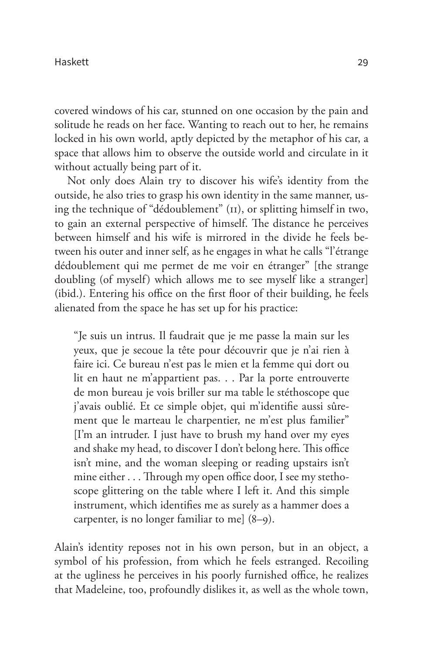#### Haskett 29

covered windows of his car, stunned on one occasion by the pain and solitude he reads on her face. Wanting to reach out to her, he remains locked in his own world, aptly depicted by the metaphor of his car, a space that allows him to observe the outside world and circulate in it without actually being part of it.

Not only does Alain try to discover his wife's identity from the outside, he also tries to grasp his own identity in the same manner, using the technique of "dédoublement" (11), or splitting himself in two, to gain an external perspective of himself. The distance he perceives between himself and his wife is mirrored in the divide he feels between his outer and inner self, as he engages in what he calls "l'étrange dédoublement qui me permet de me voir en étranger" [the strange doubling (of myself) which allows me to see myself like a stranger] (ibid.). Entering his office on the first floor of their building, he feels alienated from the space he has set up for his practice:

"Je suis un intrus. Il faudrait que je me passe la main sur les yeux, que je secoue la tête pour découvrir que je n'ai rien à faire ici. Ce bureau n'est pas le mien et la femme qui dort ou lit en haut ne m'appartient pas. . . Par la porte entrouverte de mon bureau je vois briller sur ma table le stéthoscope que j'avais oublié. Et ce simple objet, qui m'identifie aussi sûrement que le marteau le charpentier, ne m'est plus familier" [I'm an intruder. I just have to brush my hand over my eyes and shake my head, to discover I don't belong here. This office isn't mine, and the woman sleeping or reading upstairs isn't mine either . . . Through my open office door, I see my stethoscope glittering on the table where I left it. And this simple instrument, which identifies me as surely as a hammer does a carpenter, is no longer familiar to me] (8–9).

Alain's identity reposes not in his own person, but in an object, a symbol of his profession, from which he feels estranged. Recoiling at the ugliness he perceives in his poorly furnished office, he realizes that Madeleine, too, profoundly dislikes it, as well as the whole town,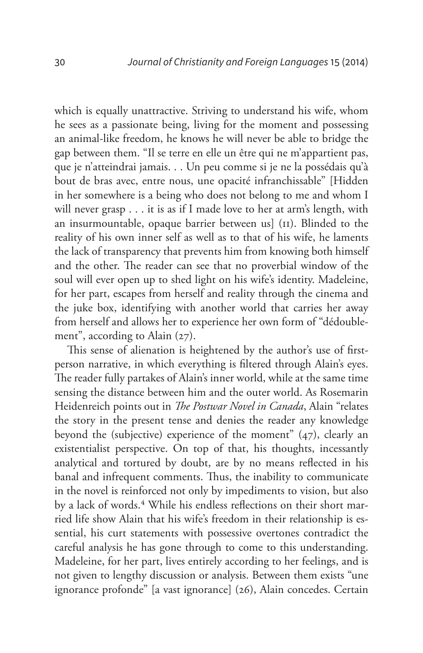which is equally unattractive. Striving to understand his wife, whom he sees as a passionate being, living for the moment and possessing an animal-like freedom, he knows he will never be able to bridge the gap between them. "Il se terre en elle un être qui ne m'appartient pas, que je n'atteindrai jamais. . . Un peu comme si je ne la possédais qu'à bout de bras avec, entre nous, une opacité infranchissable" [Hidden in her somewhere is a being who does not belong to me and whom I will never grasp . . . it is as if I made love to her at arm's length, with an insurmountable, opaque barrier between us] (11). Blinded to the reality of his own inner self as well as to that of his wife, he laments the lack of transparency that prevents him from knowing both himself and the other. The reader can see that no proverbial window of the soul will ever open up to shed light on his wife's identity. Madeleine, for her part, escapes from herself and reality through the cinema and the juke box, identifying with another world that carries her away from herself and allows her to experience her own form of "dédoublement", according to Alain (27).

This sense of alienation is heightened by the author's use of firstperson narrative, in which everything is filtered through Alain's eyes. The reader fully partakes of Alain's inner world, while at the same time sensing the distance between him and the outer world. As Rosemarin Heidenreich points out in *The Postwar Novel in Canada*, Alain "relates the story in the present tense and denies the reader any knowledge beyond the (subjective) experience of the moment" (47), clearly an existentialist perspective. On top of that, his thoughts, incessantly analytical and tortured by doubt, are by no means reflected in his banal and infrequent comments. Thus, the inability to communicate in the novel is reinforced not only by impediments to vision, but also by a lack of words.<sup>4</sup> While his endless reflections on their short married life show Alain that his wife's freedom in their relationship is essential, his curt statements with possessive overtones contradict the careful analysis he has gone through to come to this understanding. Madeleine, for her part, lives entirely according to her feelings, and is not given to lengthy discussion or analysis. Between them exists "une ignorance profonde" [a vast ignorance] (26), Alain concedes. Certain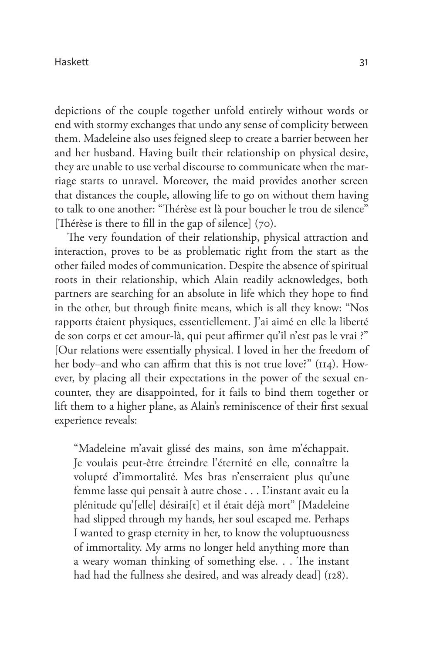depictions of the couple together unfold entirely without words or end with stormy exchanges that undo any sense of complicity between them. Madeleine also uses feigned sleep to create a barrier between her and her husband. Having built their relationship on physical desire, they are unable to use verbal discourse to communicate when the marriage starts to unravel. Moreover, the maid provides another screen that distances the couple, allowing life to go on without them having to talk to one another: "Thérèse est là pour boucher le trou de silence" [Thérèse is there to fill in the gap of silence] (70).

The very foundation of their relationship, physical attraction and interaction, proves to be as problematic right from the start as the other failed modes of communication. Despite the absence of spiritual roots in their relationship, which Alain readily acknowledges, both partners are searching for an absolute in life which they hope to find in the other, but through finite means, which is all they know: "Nos rapports étaient physiques, essentiellement. J'ai aimé en elle la liberté de son corps et cet amour-là, qui peut affirmer qu'il n'est pas le vrai ?" [Our relations were essentially physical. I loved in her the freedom of her body–and who can affirm that this is not true love?" (114). However, by placing all their expectations in the power of the sexual encounter, they are disappointed, for it fails to bind them together or lift them to a higher plane, as Alain's reminiscence of their first sexual experience reveals:

"Madeleine m'avait glissé des mains, son âme m'échappait. Je voulais peut-être étreindre l'éternité en elle, connaître la volupté d'immortalité. Mes bras n'enserraient plus qu'une femme lasse qui pensait à autre chose . . . L'instant avait eu la plénitude qu'[elle] désirai[t] et il était déjà mort" [Madeleine had slipped through my hands, her soul escaped me. Perhaps I wanted to grasp eternity in her, to know the voluptuousness of immortality. My arms no longer held anything more than a weary woman thinking of something else. . . The instant had had the fullness she desired, and was already dead] (128).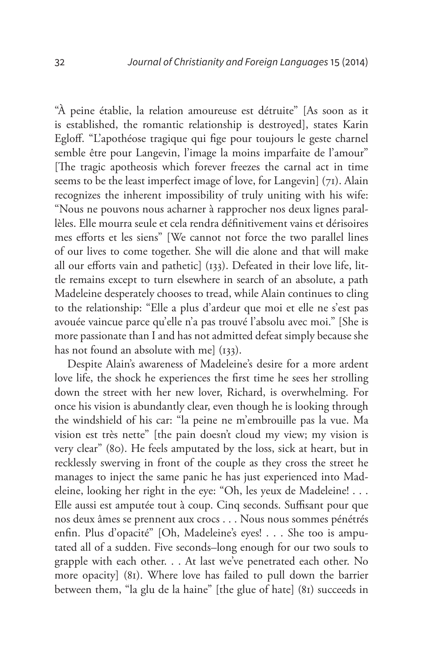"À peine établie, la relation amoureuse est détruite" [As soon as it is established, the romantic relationship is destroyed], states Karin Egloff. "L'apothéose tragique qui fige pour toujours le geste charnel semble être pour Langevin, l'image la moins imparfaite de l'amour" [The tragic apotheosis which forever freezes the carnal act in time seems to be the least imperfect image of love, for Langevin] (71). Alain recognizes the inherent impossibility of truly uniting with his wife: "Nous ne pouvons nous acharner à rapprocher nos deux lignes parallèles. Elle mourra seule et cela rendra définitivement vains et dérisoires mes efforts et les siens" [We cannot not force the two parallel lines of our lives to come together. She will die alone and that will make all our efforts vain and pathetic] (133). Defeated in their love life, little remains except to turn elsewhere in search of an absolute, a path Madeleine desperately chooses to tread, while Alain continues to cling to the relationship: "Elle a plus d'ardeur que moi et elle ne s'est pas avouée vaincue parce qu'elle n'a pas trouvé l'absolu avec moi." [She is more passionate than I and has not admitted defeat simply because she has not found an absolute with me] (133).

Despite Alain's awareness of Madeleine's desire for a more ardent love life, the shock he experiences the first time he sees her strolling down the street with her new lover, Richard, is overwhelming. For once his vision is abundantly clear, even though he is looking through the windshield of his car: "la peine ne m'embrouille pas la vue. Ma vision est très nette" [the pain doesn't cloud my view; my vision is very clear" (80). He feels amputated by the loss, sick at heart, but in recklessly swerving in front of the couple as they cross the street he manages to inject the same panic he has just experienced into Madeleine, looking her right in the eye: "Oh, les yeux de Madeleine! . . . Elle aussi est amputée tout à coup. Cinq seconds. Suffisant pour que nos deux âmes se prennent aux crocs . . . Nous nous sommes pénétrés enfin. Plus d'opacité" [Oh, Madeleine's eyes! . . . She too is amputated all of a sudden. Five seconds–long enough for our two souls to grapple with each other. . . At last we've penetrated each other. No more opacity] (81). Where love has failed to pull down the barrier between them, "la glu de la haine" [the glue of hate] (81) succeeds in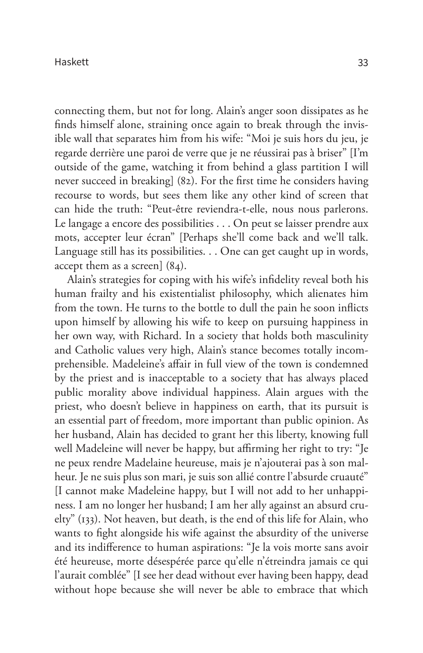connecting them, but not for long. Alain's anger soon dissipates as he finds himself alone, straining once again to break through the invisible wall that separates him from his wife: "Moi je suis hors du jeu, je regarde derrière une paroi de verre que je ne réussirai pas à briser" [I'm outside of the game, watching it from behind a glass partition I will never succeed in breaking] (82). For the first time he considers having recourse to words, but sees them like any other kind of screen that can hide the truth: "Peut-être reviendra-t-elle, nous nous parlerons. Le langage a encore des possibilities . . . On peut se laisser prendre aux mots, accepter leur écran" [Perhaps she'll come back and we'll talk. Language still has its possibilities. . . One can get caught up in words, accept them as a screen] (84).

Alain's strategies for coping with his wife's infidelity reveal both his human frailty and his existentialist philosophy, which alienates him from the town. He turns to the bottle to dull the pain he soon inflicts upon himself by allowing his wife to keep on pursuing happiness in her own way, with Richard. In a society that holds both masculinity and Catholic values very high, Alain's stance becomes totally incomprehensible. Madeleine's affair in full view of the town is condemned by the priest and is inacceptable to a society that has always placed public morality above individual happiness. Alain argues with the priest, who doesn't believe in happiness on earth, that its pursuit is an essential part of freedom, more important than public opinion. As her husband, Alain has decided to grant her this liberty, knowing full well Madeleine will never be happy, but affirming her right to try: "Je ne peux rendre Madelaine heureuse, mais je n'ajouterai pas à son malheur. Je ne suis plus son mari, je suis son allié contre l'absurde cruauté" [I cannot make Madeleine happy, but I will not add to her unhappiness. I am no longer her husband; I am her ally against an absurd cruelty" (133). Not heaven, but death, is the end of this life for Alain, who wants to fight alongside his wife against the absurdity of the universe and its indifference to human aspirations: "Je la vois morte sans avoir été heureuse, morte désespérée parce qu'elle n'étreindra jamais ce qui l'aurait comblée" [I see her dead without ever having been happy, dead without hope because she will never be able to embrace that which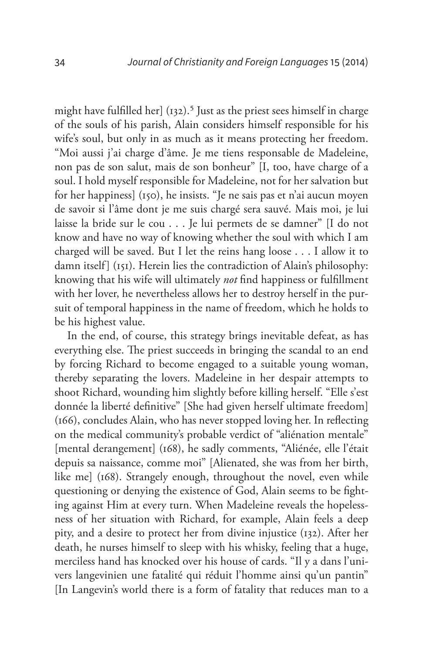might have fulfilled her]  $(132)$ .<sup>5</sup> Just as the priest sees himself in charge of the souls of his parish, Alain considers himself responsible for his wife's soul, but only in as much as it means protecting her freedom. "Moi aussi j'ai charge d'âme. Je me tiens responsable de Madeleine, non pas de son salut, mais de son bonheur" [I, too, have charge of a soul. I hold myself responsible for Madeleine, not for her salvation but for her happiness] (150), he insists. "Je ne sais pas et n'ai aucun moyen de savoir si l'âme dont je me suis chargé sera sauvé. Mais moi, je lui laisse la bride sur le cou . . . Je lui permets de se damner" [I do not know and have no way of knowing whether the soul with which I am charged will be saved. But I let the reins hang loose . . . I allow it to damn itself] (151). Herein lies the contradiction of Alain's philosophy: knowing that his wife will ultimately *not* find happiness or fulfillment with her lover, he nevertheless allows her to destroy herself in the pursuit of temporal happiness in the name of freedom, which he holds to be his highest value.

In the end, of course, this strategy brings inevitable defeat, as has everything else. The priest succeeds in bringing the scandal to an end by forcing Richard to become engaged to a suitable young woman, thereby separating the lovers. Madeleine in her despair attempts to shoot Richard, wounding him slightly before killing herself. "Elle s'est donnée la liberté definitive" [She had given herself ultimate freedom] (166), concludes Alain, who has never stopped loving her. In reflecting on the medical community's probable verdict of "aliénation mentale" [mental derangement] (168), he sadly comments, "Aliénée, elle l'était depuis sa naissance, comme moi" [Alienated, she was from her birth, like me] (168). Strangely enough, throughout the novel, even while questioning or denying the existence of God, Alain seems to be fighting against Him at every turn. When Madeleine reveals the hopelessness of her situation with Richard, for example, Alain feels a deep pity, and a desire to protect her from divine injustice (132). After her death, he nurses himself to sleep with his whisky, feeling that a huge, merciless hand has knocked over his house of cards. "Il y a dans l'univers langevinien une fatalité qui réduit l'homme ainsi qu'un pantin" [In Langevin's world there is a form of fatality that reduces man to a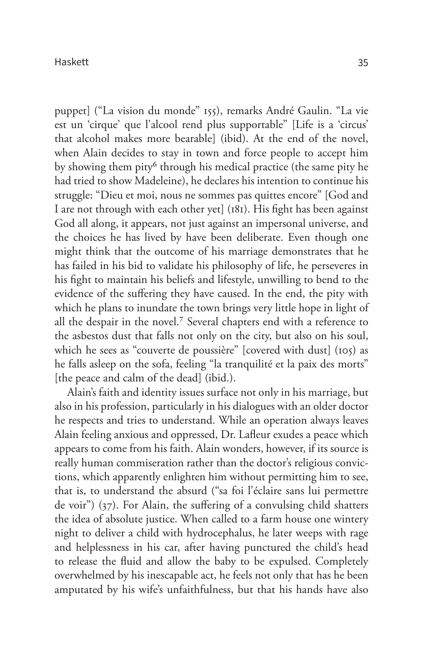#### Haskett 35

puppet] ("La vision du monde" 155), remarks André Gaulin. "La vie est un 'cirque' que l'alcool rend plus supportable" [Life is a 'circus' that alcohol makes more bearable] (ibid). At the end of the novel, when Alain decides to stay in town and force people to accept him by showing them pity<sup>6</sup> through his medical practice (the same pity he had tried to show Madeleine), he declares his intention to continue his struggle: "Dieu et moi, nous ne sommes pas quittes encore" [God and I are not through with each other yet] (181). His fight has been against God all along, it appears, not just against an impersonal universe, and the choices he has lived by have been deliberate. Even though one might think that the outcome of his marriage demonstrates that he has failed in his bid to validate his philosophy of life, he perseveres in his fight to maintain his beliefs and lifestyle, unwilling to bend to the evidence of the suffering they have caused. In the end, the pity with which he plans to inundate the town brings very little hope in light of all the despair in the novel.7 Several chapters end with a reference to the asbestos dust that falls not only on the city, but also on his soul, which he sees as "couverte de poussière" [covered with dust] (105) as he falls asleep on the sofa, feeling "la tranquilité et la paix des morts" [the peace and calm of the dead] (ibid.).

Alain's faith and identity issues surface not only in his marriage, but also in his profession, particularly in his dialogues with an older doctor he respects and tries to understand. While an operation always leaves Alain feeling anxious and oppressed, Dr. Lafleur exudes a peace which appears to come from his faith. Alain wonders, however, if its source is really human commiseration rather than the doctor's religious convictions, which apparently enlighten him without permitting him to see, that is, to understand the absurd ("sa foi l'éclaire sans lui permettre de voir") (37). For Alain, the suffering of a convulsing child shatters the idea of absolute justice. When called to a farm house one wintery night to deliver a child with hydrocephalus, he later weeps with rage and helplessness in his car, after having punctured the child's head to release the fluid and allow the baby to be expulsed. Completely overwhelmed by his inescapable act, he feels not only that has he been amputated by his wife's unfaithfulness, but that his hands have also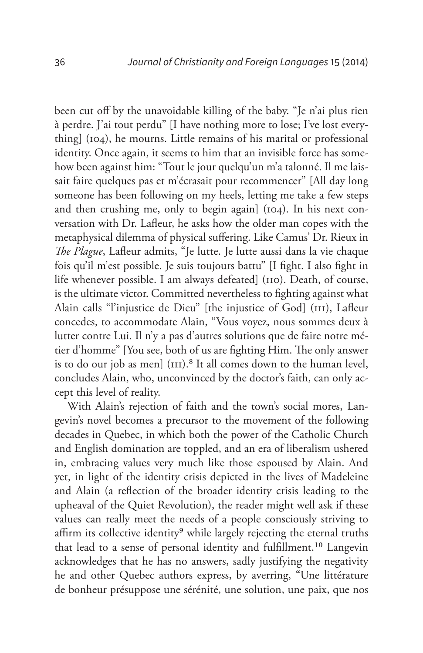been cut off by the unavoidable killing of the baby. "Je n'ai plus rien à perdre. J'ai tout perdu" [I have nothing more to lose; I've lost everything] (104), he mourns. Little remains of his marital or professional identity. Once again, it seems to him that an invisible force has somehow been against him: "Tout le jour quelqu'un m'a talonné. Il me laissait faire quelques pas et m'écrasait pour recommencer" [All day long someone has been following on my heels, letting me take a few steps and then crushing me, only to begin again] (104). In his next conversation with Dr. Lafleur, he asks how the older man copes with the metaphysical dilemma of physical suffering. Like Camus' Dr. Rieux in *The Plague*, Lafleur admits, "Je lutte. Je lutte aussi dans la vie chaque fois qu'il m'est possible. Je suis toujours battu" [I fight. I also fight in life whenever possible. I am always defeated] (110). Death, of course, is the ultimate victor. Committed nevertheless to fighting against what Alain calls "l'injustice de Dieu" [the injustice of God] (III), Lafleur concedes, to accommodate Alain, "Vous voyez, nous sommes deux à lutter contre Lui. Il n'y a pas d'autres solutions que de faire notre métier d'homme" [You see, both of us are fighting Him. The only answer is to do our job as men]  $(nI)$ .<sup>8</sup> It all comes down to the human level, concludes Alain, who, unconvinced by the doctor's faith, can only accept this level of reality.

With Alain's rejection of faith and the town's social mores, Langevin's novel becomes a precursor to the movement of the following decades in Quebec, in which both the power of the Catholic Church and English domination are toppled, and an era of liberalism ushered in, embracing values very much like those espoused by Alain. And yet, in light of the identity crisis depicted in the lives of Madeleine and Alain (a reflection of the broader identity crisis leading to the upheaval of the Quiet Revolution), the reader might well ask if these values can really meet the needs of a people consciously striving to affirm its collective identity<sup>9</sup> while largely rejecting the eternal truths that lead to a sense of personal identity and fulfillment.<sup>10</sup> Langevin acknowledges that he has no answers, sadly justifying the negativity he and other Quebec authors express, by averring, "Une littérature de bonheur présuppose une sérénité, une solution, une paix, que nos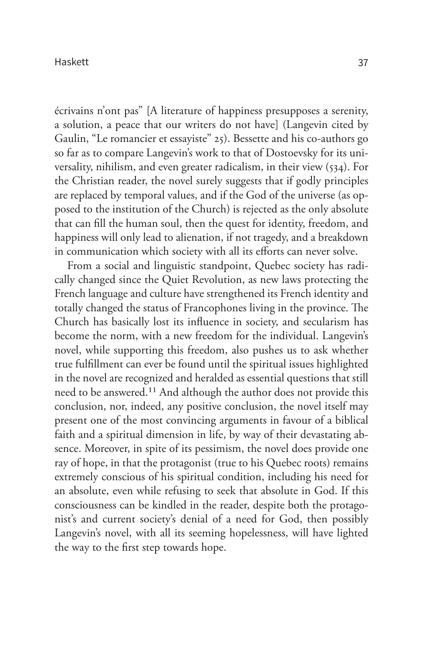#### Haskett 37

écrivains n'ont pas" [A literature of happiness presupposes a serenity, a solution, a peace that our writers do not have] (Langevin cited by Gaulin, "Le romancier et essayiste" 25). Bessette and his co-authors go so far as to compare Langevin's work to that of Dostoevsky for its universality, nihilism, and even greater radicalism, in their view (534). For the Christian reader, the novel surely suggests that if godly principles are replaced by temporal values, and if the God of the universe (as opposed to the institution of the Church) is rejected as the only absolute that can fill the human soul, then the quest for identity, freedom, and happiness will only lead to alienation, if not tragedy, and a breakdown in communication which society with all its efforts can never solve.

From a social and linguistic standpoint, Quebec society has radically changed since the Quiet Revolution, as new laws protecting the French language and culture have strengthened its French identity and totally changed the status of Francophones living in the province. The Church has basically lost its influence in society, and secularism has become the norm, with a new freedom for the individual. Langevin's novel, while supporting this freedom, also pushes us to ask whether true fulfillment can ever be found until the spiritual issues highlighted in the novel are recognized and heralded as essential questions that still need to be answered.<sup>11</sup> And although the author does not provide this conclusion, nor, indeed, any positive conclusion, the novel itself may present one of the most convincing arguments in favour of a biblical faith and a spiritual dimension in life, by way of their devastating absence. Moreover, in spite of its pessimism, the novel does provide one ray of hope, in that the protagonist (true to his Quebec roots) remains extremely conscious of his spiritual condition, including his need for an absolute, even while refusing to seek that absolute in God. If this consciousness can be kindled in the reader, despite both the protagonist's and current society's denial of a need for God, then possibly Langevin's novel, with all its seeming hopelessness, will have lighted the way to the first step towards hope.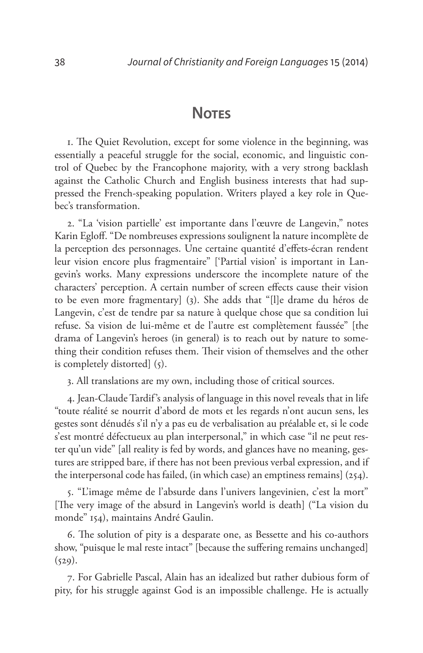## **Notes**

1. The Quiet Revolution, except for some violence in the beginning, was essentially a peaceful struggle for the social, economic, and linguistic control of Quebec by the Francophone majority, with a very strong backlash against the Catholic Church and English business interests that had suppressed the French-speaking population. Writers played a key role in Quebec's transformation.

2. "La 'vision partielle' est importante dans l'œuvre de Langevin," notes Karin Egloff. "De nombreuses expressions soulignent la nature incomplète de la perception des personnages. Une certaine quantité d'effets-écran rendent leur vision encore plus fragmentaire" ['Partial vision' is important in Langevin's works. Many expressions underscore the incomplete nature of the characters' perception. A certain number of screen effects cause their vision to be even more fragmentary] (3). She adds that "[l]e drame du héros de Langevin, c'est de tendre par sa nature à quelque chose que sa condition lui refuse. Sa vision de lui-même et de l'autre est complètement faussée" [the drama of Langevin's heroes (in general) is to reach out by nature to something their condition refuses them. Their vision of themselves and the other is completely distorted] (5).

3. All translations are my own, including those of critical sources.

4. Jean-Claude Tardif's analysis of language in this novel reveals that in life "toute réalité se nourrit d'abord de mots et les regards n'ont aucun sens, les gestes sont dénudés s'il n'y a pas eu de verbalisation au préalable et, si le code s'est montré défectueux au plan interpersonal," in which case "il ne peut rester qu'un vide" [all reality is fed by words, and glances have no meaning, gestures are stripped bare, if there has not been previous verbal expression, and if the interpersonal code has failed, (in which case) an emptiness remains] (254).

5. "L'image même de l'absurde dans l'univers langevinien, c'est la mort" [The very image of the absurd in Langevin's world is death] ("La vision du monde" 154), maintains André Gaulin.

6. The solution of pity is a desparate one, as Bessette and his co-authors show, "puisque le mal reste intact" [because the suffering remains unchanged]  $(529)$ .

7. For Gabrielle Pascal, Alain has an idealized but rather dubious form of pity, for his struggle against God is an impossible challenge. He is actually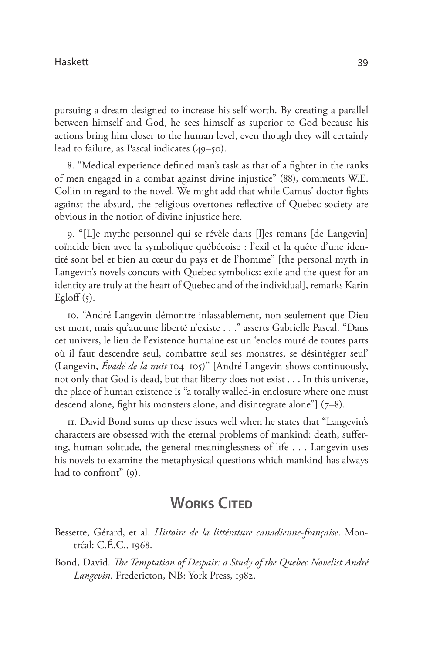#### Haskett 39

pursuing a dream designed to increase his self-worth. By creating a parallel between himself and God, he sees himself as superior to God because his actions bring him closer to the human level, even though they will certainly lead to failure, as Pascal indicates (49–50).

8. "Medical experience defined man's task as that of a fighter in the ranks of men engaged in a combat against divine injustice" (88), comments W.E. Collin in regard to the novel. We might add that while Camus' doctor fights against the absurd, the religious overtones reflective of Quebec society are obvious in the notion of divine injustice here.

9. "[L]e mythe personnel qui se révèle dans [l]es romans [de Langevin] coïncide bien avec la symbolique québécoise : l'exil et la quête d'une identité sont bel et bien au cœur du pays et de l'homme" [the personal myth in Langevin's novels concurs with Quebec symbolics: exile and the quest for an identity are truly at the heart of Quebec and of the individual], remarks Karin Egloff  $(5)$ .

10. "André Langevin démontre inlassablement, non seulement que Dieu est mort, mais qu'aucune liberté n'existe . . ." asserts Gabrielle Pascal. "Dans cet univers, le lieu de l'existence humaine est un 'enclos muré de toutes parts où il faut descendre seul, combattre seul ses monstres, se désintégrer seul' (Langevin, *Évadé de la nuit* 104–105)" [André Langevin shows continuously, not only that God is dead, but that liberty does not exist . . . In this universe, the place of human existence is "a totally walled-in enclosure where one must descend alone, fight his monsters alone, and disintegrate alone"] (7–8).

11. David Bond sums up these issues well when he states that "Langevin's characters are obsessed with the eternal problems of mankind: death, suffering, human solitude, the general meaninglessness of life . . . Langevin uses his novels to examine the metaphysical questions which mankind has always had to confront" (9).

## **Works Cited**

- Bessette, Gérard, et al. *Histoire de la littérature canadienne-française*. Montréal: C.É.C., 1968.
- Bond, David. *The Temptation of Despair: a Study of the Quebec Novelist André Langevin*. Fredericton, NB: York Press, 1982.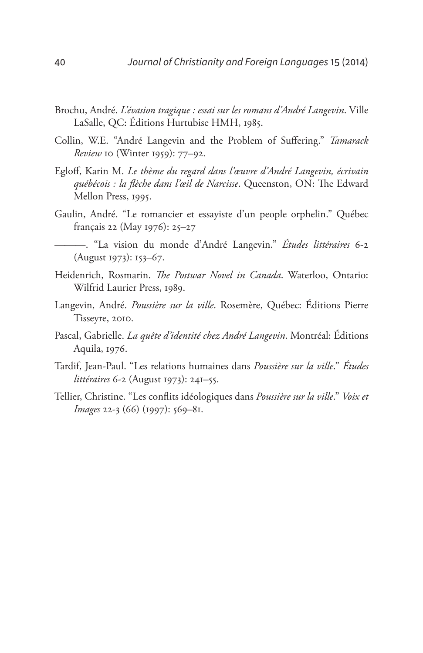- Brochu, André. *L'évasion tragique : essai sur les romans d'André Langevin*. Ville LaSalle, QC: Éditions Hurtubise HMH, 1985.
- Collin, W.E. "André Langevin and the Problem of Suffering." *Tamarack Review* 10 (Winter 1959): 77–92.
- Egloff, Karin M. *Le thème du regard dans l'œuvre d'André Langevin, écrivain québécois : la flèche dans l'œil de Narcisse*. Queenston, ON: The Edward Mellon Press, 1995.
- Gaulin, André. "Le romancier et essayiste d'un people orphelin." Québec français 22 (May 1976): 25–27
	- ———. "La vision du monde d'André Langevin." *Études littéraires* 6-2 (August 1973): 153–67.
- Heidenrich, Rosmarin. *The Postwar Novel in Canada*. Waterloo, Ontario: Wilfrid Laurier Press, 1989.
- Langevin, André. *Poussière sur la ville*. Rosemère, Québec: Éditions Pierre Tisseyre, 2010.
- Pascal, Gabrielle. *La quête d'identité chez André Langevin*. Montréal: Éditions Aquila, 1976.
- Tardif, Jean-Paul. "Les relations humaines dans *Poussière sur la ville*." *Études littéraires* 6-2 (August 1973): 241–55.
- Tellier, Christine. "Les conflits idéologiques dans *Poussière sur la ville*." *Voix et Images* 22-3 (66) (1997): 569–81.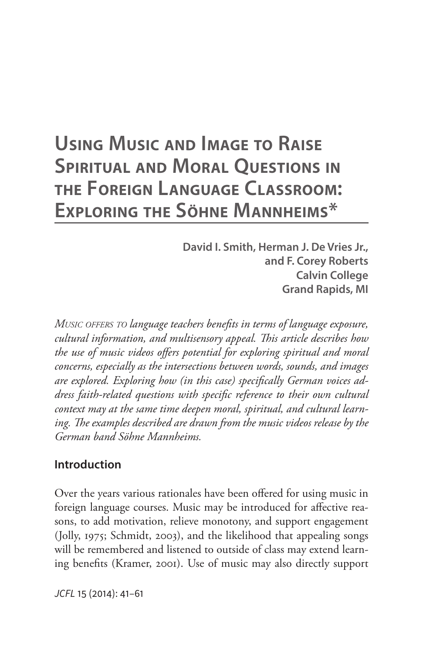# **Using Music and Image to Raise Spiritual and Moral Questions in the Foreign Language Classroom: Exploring the Söhne Mannheims\***

**David I. Smith, Herman J. De Vries Jr., and F. Corey Roberts Calvin College Grand Rapids, MI**

*Music offers to language teachers benefits in terms of language exposure, cultural information, and multisensory appeal. This article describes how the use of music videos offers potential for exploring spiritual and moral concerns, especially as the intersections between words, sounds, and images are explored. Exploring how (in this case) specifically German voices address faith-related questions with specific reference to their own cultural context may at the same time deepen moral, spiritual, and cultural learning. The examples described are drawn from the music videos release by the German band Söhne Mannheims.*

## **Introduction**

Over the years various rationales have been offered for using music in foreign language courses. Music may be introduced for affective reasons, to add motivation, relieve monotony, and support engagement (Jolly, 1975; Schmidt, 2003), and the likelihood that appealing songs will be remembered and listened to outside of class may extend learning benefits (Kramer, 2001). Use of music may also directly support

*JCFL* 15 (2014): 41–61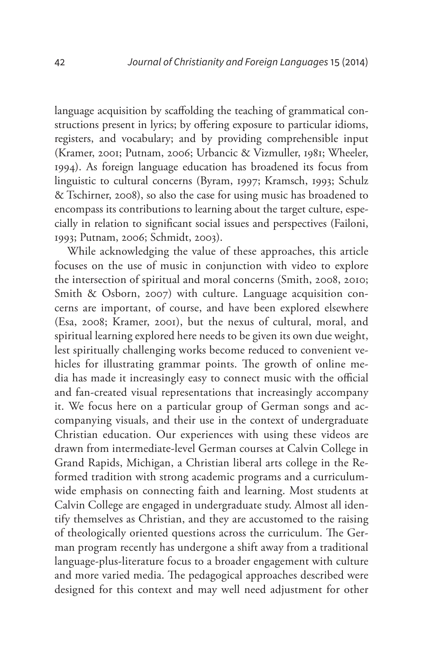language acquisition by scaffolding the teaching of grammatical constructions present in lyrics; by offering exposure to particular idioms, registers, and vocabulary; and by providing comprehensible input (Kramer, 2001; Putnam, 2006; Urbancic & Vizmuller, 1981; Wheeler, 1994). As foreign language education has broadened its focus from linguistic to cultural concerns (Byram, 1997; Kramsch, 1993; Schulz & Tschirner, 2008), so also the case for using music has broadened to encompass its contributions to learning about the target culture, especially in relation to significant social issues and perspectives (Failoni, 1993; Putnam, 2006; Schmidt, 2003).

While acknowledging the value of these approaches, this article focuses on the use of music in conjunction with video to explore the intersection of spiritual and moral concerns (Smith, 2008, 2010; Smith & Osborn, 2007) with culture. Language acquisition concerns are important, of course, and have been explored elsewhere (Esa, 2008; Kramer, 2001), but the nexus of cultural, moral, and spiritual learning explored here needs to be given its own due weight, lest spiritually challenging works become reduced to convenient vehicles for illustrating grammar points. The growth of online media has made it increasingly easy to connect music with the official and fan-created visual representations that increasingly accompany it. We focus here on a particular group of German songs and accompanying visuals, and their use in the context of undergraduate Christian education. Our experiences with using these videos are drawn from intermediate-level German courses at Calvin College in Grand Rapids, Michigan, a Christian liberal arts college in the Reformed tradition with strong academic programs and a curriculumwide emphasis on connecting faith and learning. Most students at Calvin College are engaged in undergraduate study. Almost all identify themselves as Christian, and they are accustomed to the raising of theologically oriented questions across the curriculum. The German program recently has undergone a shift away from a traditional language-plus-literature focus to a broader engagement with culture and more varied media. The pedagogical approaches described were designed for this context and may well need adjustment for other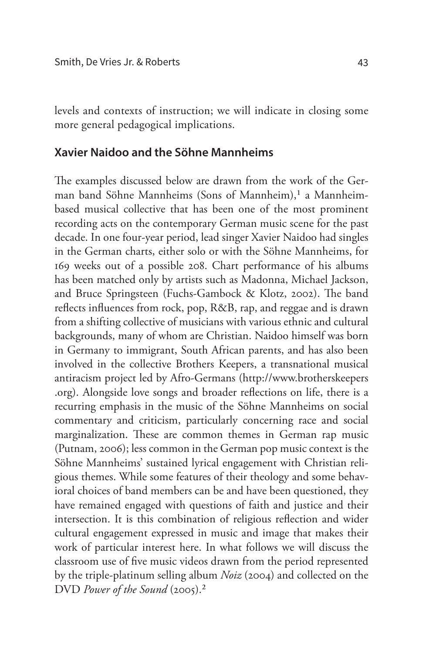levels and contexts of instruction; we will indicate in closing some more general pedagogical implications.

## **Xavier Naidoo and the Söhne Mannheims**

The examples discussed below are drawn from the work of the German band Söhne Mannheims (Sons of Mannheim),<sup>1</sup> a Mannheimbased musical collective that has been one of the most prominent recording acts on the contemporary German music scene for the past decade. In one four-year period, lead singer Xavier Naidoo had singles in the German charts, either solo or with the Söhne Mannheims, for 169 weeks out of a possible 208. Chart performance of his albums has been matched only by artists such as Madonna, Michael Jackson, and Bruce Springsteen (Fuchs-Gambock & Klotz, 2002). The band reflects influences from rock, pop, R&B, rap, and reggae and is drawn from a shifting collective of musicians with various ethnic and cultural backgrounds, many of whom are Christian. Naidoo himself was born in Germany to immigrant, South African parents, and has also been involved in the collective Brothers Keepers, a transnational musical antiracism project led by Afro-Germans (http://www.brotherskeepers .org). Alongside love songs and broader reflections on life, there is a recurring emphasis in the music of the Söhne Mannheims on social commentary and criticism, particularly concerning race and social marginalization. These are common themes in German rap music (Putnam, 2006); less common in the German pop music context is the Söhne Mannheims' sustained lyrical engagement with Christian religious themes. While some features of their theology and some behavioral choices of band members can be and have been questioned, they have remained engaged with questions of faith and justice and their intersection. It is this combination of religious reflection and wider cultural engagement expressed in music and image that makes their work of particular interest here. In what follows we will discuss the classroom use of five music videos drawn from the period represented by the triple-platinum selling album *Noiz* (2004) and collected on the DVD *Power of the Sound* (2005).2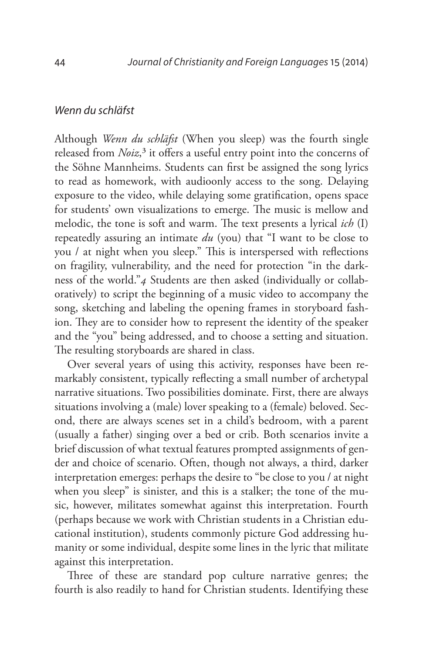## *Wenn du schläfst*

Although *Wenn du schläfst* (When you sleep) was the fourth single released from *Noiz*,<sup>3</sup> it offers a useful entry point into the concerns of the Söhne Mannheims. Students can first be assigned the song lyrics to read as homework, with audioonly access to the song. Delaying exposure to the video, while delaying some gratification, opens space for students' own visualizations to emerge. The music is mellow and melodic, the tone is soft and warm. The text presents a lyrical *ich* (I) repeatedly assuring an intimate *du* (you) that "I want to be close to you / at night when you sleep." This is interspersed with reflections on fragility, vulnerability, and the need for protection "in the darkness of the world."*4* Students are then asked (individually or collaboratively) to script the beginning of a music video to accompany the song, sketching and labeling the opening frames in storyboard fashion. They are to consider how to represent the identity of the speaker and the "you" being addressed, and to choose a setting and situation. The resulting storyboards are shared in class.

Over several years of using this activity, responses have been remarkably consistent, typically reflecting a small number of archetypal narrative situations. Two possibilities dominate. First, there are always situations involving a (male) lover speaking to a (female) beloved. Second, there are always scenes set in a child's bedroom, with a parent (usually a father) singing over a bed or crib. Both scenarios invite a brief discussion of what textual features prompted assignments of gender and choice of scenario. Often, though not always, a third, darker interpretation emerges: perhaps the desire to "be close to you / at night when you sleep" is sinister, and this is a stalker; the tone of the music, however, militates somewhat against this interpretation. Fourth (perhaps because we work with Christian students in a Christian educational institution), students commonly picture God addressing humanity or some individual, despite some lines in the lyric that militate against this interpretation.

Three of these are standard pop culture narrative genres; the fourth is also readily to hand for Christian students. Identifying these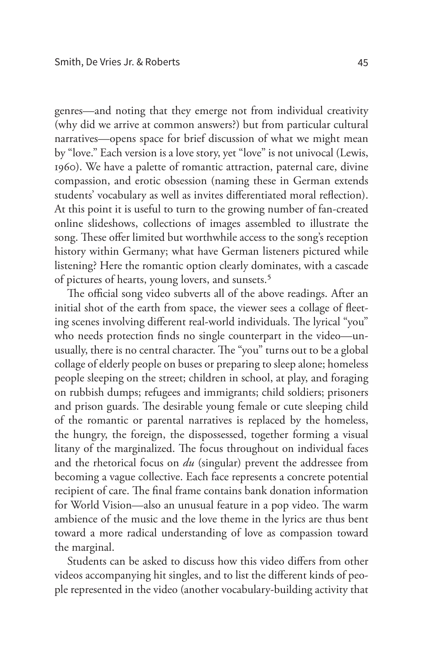genres—and noting that they emerge not from individual creativity (why did we arrive at common answers?) but from particular cultural narratives—opens space for brief discussion of what we might mean by "love." Each version is a love story, yet "love" is not univocal (Lewis, 1960). We have a palette of romantic attraction, paternal care, divine compassion, and erotic obsession (naming these in German extends students' vocabulary as well as invites differentiated moral reflection). At this point it is useful to turn to the growing number of fan-created online slideshows, collections of images assembled to illustrate the song. These offer limited but worthwhile access to the song's reception history within Germany; what have German listeners pictured while listening? Here the romantic option clearly dominates, with a cascade of pictures of hearts, young lovers, and sunsets.5

The official song video subverts all of the above readings. After an initial shot of the earth from space, the viewer sees a collage of fleeting scenes involving different real-world individuals. The lyrical "you" who needs protection finds no single counterpart in the video—unusually, there is no central character. The "you" turns out to be a global collage of elderly people on buses or preparing to sleep alone; homeless people sleeping on the street; children in school, at play, and foraging on rubbish dumps; refugees and immigrants; child soldiers; prisoners and prison guards. The desirable young female or cute sleeping child of the romantic or parental narratives is replaced by the homeless, the hungry, the foreign, the dispossessed, together forming a visual litany of the marginalized. The focus throughout on individual faces and the rhetorical focus on *du* (singular) prevent the addressee from becoming a vague collective. Each face represents a concrete potential recipient of care. The final frame contains bank donation information for World Vision—also an unusual feature in a pop video. The warm ambience of the music and the love theme in the lyrics are thus bent toward a more radical understanding of love as compassion toward the marginal.

Students can be asked to discuss how this video differs from other videos accompanying hit singles, and to list the different kinds of people represented in the video (another vocabulary-building activity that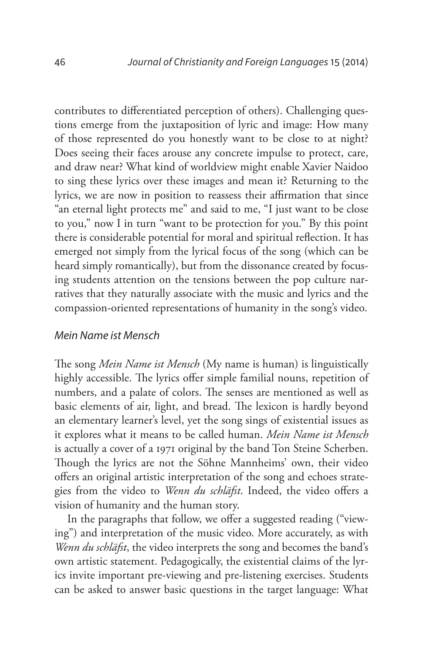contributes to differentiated perception of others). Challenging questions emerge from the juxtaposition of lyric and image: How many of those represented do you honestly want to be close to at night? Does seeing their faces arouse any concrete impulse to protect, care, and draw near? What kind of worldview might enable Xavier Naidoo to sing these lyrics over these images and mean it? Returning to the lyrics, we are now in position to reassess their affirmation that since "an eternal light protects me" and said to me, "I just want to be close to you," now I in turn "want to be protection for you." By this point there is considerable potential for moral and spiritual reflection. It has emerged not simply from the lyrical focus of the song (which can be heard simply romantically), but from the dissonance created by focusing students attention on the tensions between the pop culture narratives that they naturally associate with the music and lyrics and the compassion-oriented representations of humanity in the song's video.

#### *Mein Name ist Mensch*

The song *Mein Name ist Mensch* (My name is human) is linguistically highly accessible. The lyrics offer simple familial nouns, repetition of numbers, and a palate of colors. The senses are mentioned as well as basic elements of air, light, and bread. The lexicon is hardly beyond an elementary learner's level, yet the song sings of existential issues as it explores what it means to be called human. *Mein Name ist Mensch* is actually a cover of a 1971 original by the band Ton Steine Scherben. Though the lyrics are not the Söhne Mannheims' own, their video offers an original artistic interpretation of the song and echoes strategies from the video to *Wenn du schläfst*. Indeed, the video offers a vision of humanity and the human story.

In the paragraphs that follow, we offer a suggested reading ("viewing") and interpretation of the music video. More accurately, as with *Wenn du schläfst*, the video interprets the song and becomes the band's own artistic statement. Pedagogically, the existential claims of the lyrics invite important pre-viewing and pre-listening exercises. Students can be asked to answer basic questions in the target language: What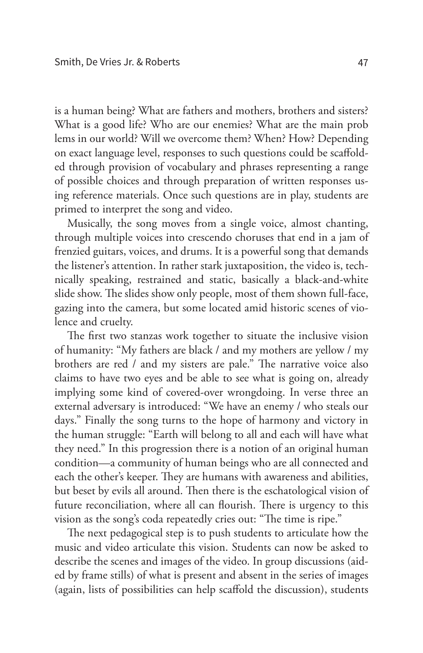is a human being? What are fathers and mothers, brothers and sisters? What is a good life? Who are our enemies? What are the main prob lems in our world? Will we overcome them? When? How? Depending on exact language level, responses to such questions could be scaffolded through provision of vocabulary and phrases representing a range of possible choices and through preparation of written responses using reference materials. Once such questions are in play, students are primed to interpret the song and video.

Musically, the song moves from a single voice, almost chanting, through multiple voices into crescendo choruses that end in a jam of frenzied guitars, voices, and drums. It is a powerful song that demands the listener's attention. In rather stark juxtaposition, the video is, technically speaking, restrained and static, basically a black-and-white slide show. The slides show only people, most of them shown full-face, gazing into the camera, but some located amid historic scenes of violence and cruelty.

The first two stanzas work together to situate the inclusive vision of humanity: "My fathers are black / and my mothers are yellow / my brothers are red / and my sisters are pale." The narrative voice also claims to have two eyes and be able to see what is going on, already implying some kind of covered-over wrongdoing. In verse three an external adversary is introduced: "We have an enemy / who steals our days." Finally the song turns to the hope of harmony and victory in the human struggle: "Earth will belong to all and each will have what they need." In this progression there is a notion of an original human condition—a community of human beings who are all connected and each the other's keeper. They are humans with awareness and abilities, but beset by evils all around. Then there is the eschatological vision of future reconciliation, where all can flourish. There is urgency to this vision as the song's coda repeatedly cries out: "The time is ripe."

The next pedagogical step is to push students to articulate how the music and video articulate this vision. Students can now be asked to describe the scenes and images of the video. In group discussions (aided by frame stills) of what is present and absent in the series of images (again, lists of possibilities can help scaffold the discussion), students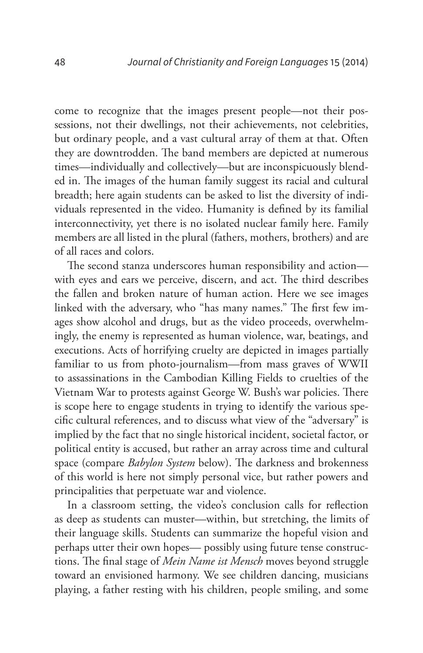come to recognize that the images present people—not their possessions, not their dwellings, not their achievements, not celebrities, but ordinary people, and a vast cultural array of them at that. Often they are downtrodden. The band members are depicted at numerous times—individually and collectively—but are inconspicuously blended in. The images of the human family suggest its racial and cultural breadth; here again students can be asked to list the diversity of individuals represented in the video. Humanity is defined by its familial interconnectivity, yet there is no isolated nuclear family here. Family members are all listed in the plural (fathers, mothers, brothers) and are of all races and colors.

The second stanza underscores human responsibility and action with eyes and ears we perceive, discern, and act. The third describes the fallen and broken nature of human action. Here we see images linked with the adversary, who "has many names." The first few images show alcohol and drugs, but as the video proceeds, overwhelmingly, the enemy is represented as human violence, war, beatings, and executions. Acts of horrifying cruelty are depicted in images partially familiar to us from photo-journalism—from mass graves of WWII to assassinations in the Cambodian Killing Fields to cruelties of the Vietnam War to protests against George W. Bush's war policies. There is scope here to engage students in trying to identify the various specific cultural references, and to discuss what view of the "adversary" is implied by the fact that no single historical incident, societal factor, or political entity is accused, but rather an array across time and cultural space (compare *Babylon System* below). The darkness and brokenness of this world is here not simply personal vice, but rather powers and principalities that perpetuate war and violence.

In a classroom setting, the video's conclusion calls for reflection as deep as students can muster—within, but stretching, the limits of their language skills. Students can summarize the hopeful vision and perhaps utter their own hopes— possibly using future tense constructions. The final stage of *Mein Name ist Mensch* moves beyond struggle toward an envisioned harmony. We see children dancing, musicians playing, a father resting with his children, people smiling, and some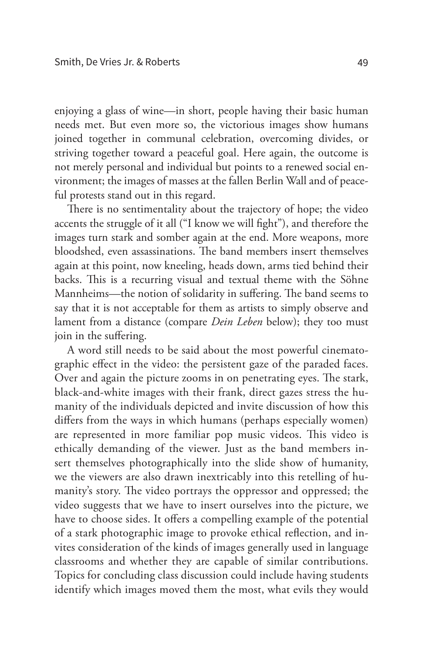enjoying a glass of wine—in short, people having their basic human needs met. But even more so, the victorious images show humans joined together in communal celebration, overcoming divides, or striving together toward a peaceful goal. Here again, the outcome is not merely personal and individual but points to a renewed social environment; the images of masses at the fallen Berlin Wall and of peaceful protests stand out in this regard.

There is no sentimentality about the trajectory of hope; the video accents the struggle of it all ("I know we will fight"), and therefore the images turn stark and somber again at the end. More weapons, more bloodshed, even assassinations. The band members insert themselves again at this point, now kneeling, heads down, arms tied behind their backs. This is a recurring visual and textual theme with the Söhne Mannheims—the notion of solidarity in suffering. The band seems to say that it is not acceptable for them as artists to simply observe and lament from a distance (compare *Dein Leben* below); they too must join in the suffering.

A word still needs to be said about the most powerful cinematographic effect in the video: the persistent gaze of the paraded faces. Over and again the picture zooms in on penetrating eyes. The stark, black-and-white images with their frank, direct gazes stress the humanity of the individuals depicted and invite discussion of how this differs from the ways in which humans (perhaps especially women) are represented in more familiar pop music videos. This video is ethically demanding of the viewer. Just as the band members insert themselves photographically into the slide show of humanity, we the viewers are also drawn inextricably into this retelling of humanity's story. The video portrays the oppressor and oppressed; the video suggests that we have to insert ourselves into the picture, we have to choose sides. It offers a compelling example of the potential of a stark photographic image to provoke ethical reflection, and invites consideration of the kinds of images generally used in language classrooms and whether they are capable of similar contributions. Topics for concluding class discussion could include having students identify which images moved them the most, what evils they would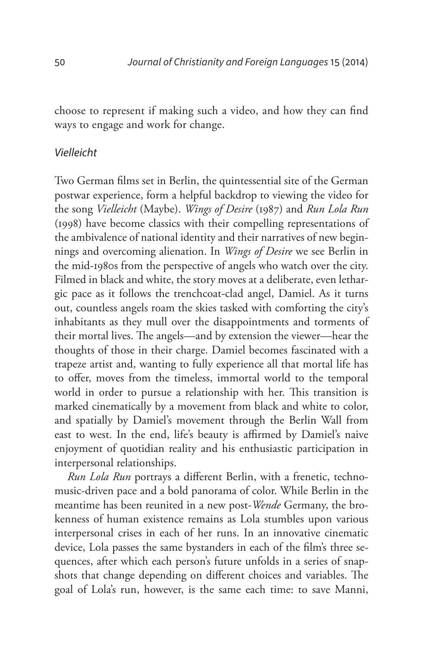choose to represent if making such a video, and how they can find ways to engage and work for change.

### *Vielleicht*

Two German films set in Berlin, the quintessential site of the German postwar experience, form a helpful backdrop to viewing the video for the song *Vielleicht* (Maybe). *Wings of Desire* (1987) and *Run Lola Run* (1998) have become classics with their compelling representations of the ambivalence of national identity and their narratives of new beginnings and overcoming alienation. In *Wings of Desire* we see Berlin in the mid-1980s from the perspective of angels who watch over the city. Filmed in black and white, the story moves at a deliberate, even lethargic pace as it follows the trenchcoat-clad angel, Damiel. As it turns out, countless angels roam the skies tasked with comforting the city's inhabitants as they mull over the disappointments and torments of their mortal lives. The angels—and by extension the viewer—hear the thoughts of those in their charge. Damiel becomes fascinated with a trapeze artist and, wanting to fully experience all that mortal life has to offer, moves from the timeless, immortal world to the temporal world in order to pursue a relationship with her. This transition is marked cinematically by a movement from black and white to color, and spatially by Damiel's movement through the Berlin Wall from east to west. In the end, life's beauty is affirmed by Damiel's naive enjoyment of quotidian reality and his enthusiastic participation in interpersonal relationships.

*Run Lola Run* portrays a different Berlin, with a frenetic, technomusic-driven pace and a bold panorama of color. While Berlin in the meantime has been reunited in a new post-*Wende* Germany, the brokenness of human existence remains as Lola stumbles upon various interpersonal crises in each of her runs. In an innovative cinematic device, Lola passes the same bystanders in each of the film's three sequences, after which each person's future unfolds in a series of snapshots that change depending on different choices and variables. The goal of Lola's run, however, is the same each time: to save Manni,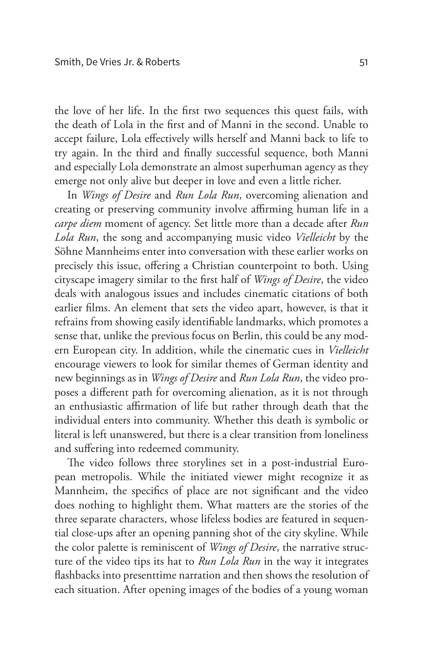the love of her life. In the first two sequences this quest fails, with the death of Lola in the first and of Manni in the second. Unable to accept failure, Lola effectively wills herself and Manni back to life to try again. In the third and finally successful sequence, both Manni and especially Lola demonstrate an almost superhuman agency as they emerge not only alive but deeper in love and even a little richer.

In *Wings of Desire* and *Run Lola Run*, overcoming alienation and creating or preserving community involve affirming human life in a *carpe diem* moment of agency. Set little more than a decade after *Run Lola Run*, the song and accompanying music video *Vielleicht* by the Söhne Mannheims enter into conversation with these earlier works on precisely this issue, offering a Christian counterpoint to both. Using cityscape imagery similar to the first half of *Wings of Desire*, the video deals with analogous issues and includes cinematic citations of both earlier films. An element that sets the video apart, however, is that it refrains from showing easily identifiable landmarks, which promotes a sense that, unlike the previous focus on Berlin, this could be any modern European city. In addition, while the cinematic cues in *Vielleicht* encourage viewers to look for similar themes of German identity and new beginnings as in *Wings of Desire* and *Run Lola Run*, the video proposes a different path for overcoming alienation, as it is not through an enthusiastic affirmation of life but rather through death that the individual enters into community. Whether this death is symbolic or literal is left unanswered, but there is a clear transition from loneliness and suffering into redeemed community.

The video follows three storylines set in a post-industrial European metropolis. While the initiated viewer might recognize it as Mannheim, the specifics of place are not significant and the video does nothing to highlight them. What matters are the stories of the three separate characters, whose lifeless bodies are featured in sequential close-ups after an opening panning shot of the city skyline. While the color palette is reminiscent of *Wings of Desire*, the narrative structure of the video tips its hat to *Run Lola Run* in the way it integrates flashbacks into presenttime narration and then shows the resolution of each situation. After opening images of the bodies of a young woman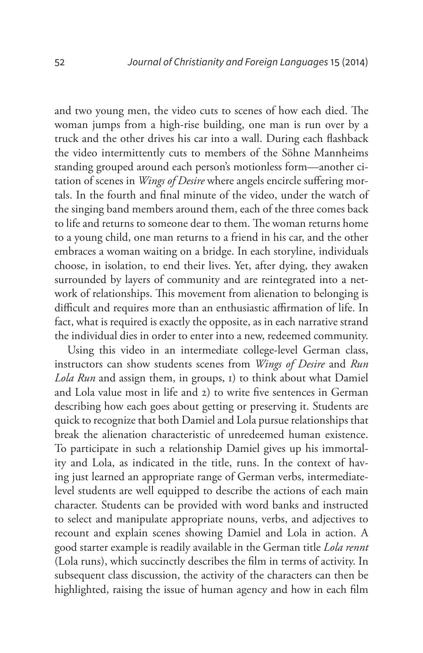and two young men, the video cuts to scenes of how each died. The woman jumps from a high-rise building, one man is run over by a truck and the other drives his car into a wall. During each flashback the video intermittently cuts to members of the Söhne Mannheims standing grouped around each person's motionless form—another citation of scenes in *Wings of Desire* where angels encircle suffering mortals. In the fourth and final minute of the video, under the watch of the singing band members around them, each of the three comes back to life and returns to someone dear to them. The woman returns home to a young child, one man returns to a friend in his car, and the other embraces a woman waiting on a bridge. In each storyline, individuals choose, in isolation, to end their lives. Yet, after dying, they awaken surrounded by layers of community and are reintegrated into a network of relationships. This movement from alienation to belonging is difficult and requires more than an enthusiastic affirmation of life. In fact, what is required is exactly the opposite, as in each narrative strand the individual dies in order to enter into a new, redeemed community.

Using this video in an intermediate college-level German class, instructors can show students scenes from *Wings of Desire* and *Run Lola Run* and assign them, in groups, 1) to think about what Damiel and Lola value most in life and 2) to write five sentences in German describing how each goes about getting or preserving it. Students are quick to recognize that both Damiel and Lola pursue relationships that break the alienation characteristic of unredeemed human existence. To participate in such a relationship Damiel gives up his immortality and Lola, as indicated in the title, runs. In the context of having just learned an appropriate range of German verbs, intermediatelevel students are well equipped to describe the actions of each main character. Students can be provided with word banks and instructed to select and manipulate appropriate nouns, verbs, and adjectives to recount and explain scenes showing Damiel and Lola in action. A good starter example is readily available in the German title *Lola rennt* (Lola runs), which succinctly describes the film in terms of activity. In subsequent class discussion, the activity of the characters can then be highlighted, raising the issue of human agency and how in each film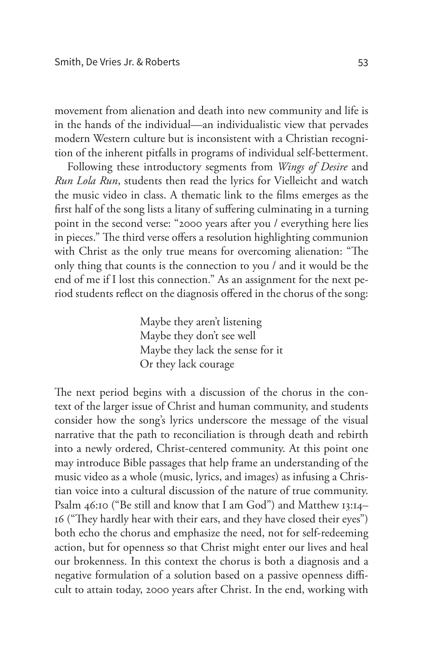movement from alienation and death into new community and life is in the hands of the individual—an individualistic view that pervades modern Western culture but is inconsistent with a Christian recognition of the inherent pitfalls in programs of individual self-betterment.

Following these introductory segments from *Wings of Desire* and *Run Lola Run*, students then read the lyrics for Vielleicht and watch the music video in class. A thematic link to the films emerges as the first half of the song lists a litany of suffering culminating in a turning point in the second verse: "2000 years after you / everything here lies in pieces." The third verse offers a resolution highlighting communion with Christ as the only true means for overcoming alienation: "The only thing that counts is the connection to you / and it would be the end of me if I lost this connection." As an assignment for the next period students reflect on the diagnosis offered in the chorus of the song:

> Maybe they aren't listening Maybe they don't see well Maybe they lack the sense for it Or they lack courage

The next period begins with a discussion of the chorus in the context of the larger issue of Christ and human community, and students consider how the song's lyrics underscore the message of the visual narrative that the path to reconciliation is through death and rebirth into a newly ordered, Christ-centered community. At this point one may introduce Bible passages that help frame an understanding of the music video as a whole (music, lyrics, and images) as infusing a Christian voice into a cultural discussion of the nature of true community. Psalm 46:10 ("Be still and know that I am God") and Matthew 13:14– 16 ("They hardly hear with their ears, and they have closed their eyes") both echo the chorus and emphasize the need, not for self-redeeming action, but for openness so that Christ might enter our lives and heal our brokenness. In this context the chorus is both a diagnosis and a negative formulation of a solution based on a passive openness difficult to attain today, 2000 years after Christ. In the end, working with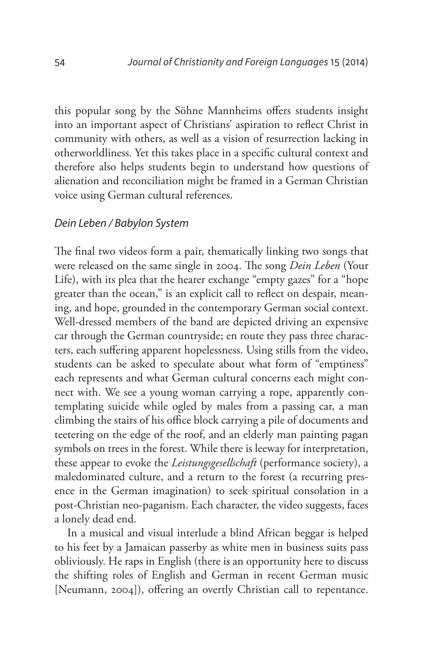this popular song by the Söhne Mannheims offers students insight into an important aspect of Christians' aspiration to reflect Christ in community with others, as well as a vision of resurrection lacking in otherworldliness. Yet this takes place in a specific cultural context and therefore also helps students begin to understand how questions of alienation and reconciliation might be framed in a German Christian voice using German cultural references.

### *Dein Leben / Babylon System*

The final two videos form a pair, thematically linking two songs that were released on the same single in 2004. The song *Dein Leben* (Your Life), with its plea that the hearer exchange "empty gazes" for a "hope greater than the ocean," is an explicit call to reflect on despair, meaning, and hope, grounded in the contemporary German social context. Well-dressed members of the band are depicted driving an expensive car through the German countryside; en route they pass three characters, each suffering apparent hopelessness. Using stills from the video, students can be asked to speculate about what form of "emptiness" each represents and what German cultural concerns each might connect with. We see a young woman carrying a rope, apparently contemplating suicide while ogled by males from a passing car, a man climbing the stairs of his office block carrying a pile of documents and teetering on the edge of the roof, and an elderly man painting pagan symbols on trees in the forest. While there is leeway for interpretation, these appear to evoke the *Leistungsgesellschaft* (performance society), a maledominated culture, and a return to the forest (a recurring presence in the German imagination) to seek spiritual consolation in a post-Christian neo-paganism. Each character, the video suggests, faces a lonely dead end.

In a musical and visual interlude a blind African beggar is helped to his feet by a Jamaican passerby as white men in business suits pass obliviously. He raps in English (there is an opportunity here to discuss the shifting roles of English and German in recent German music [Neumann, 2004]), offering an overtly Christian call to repentance.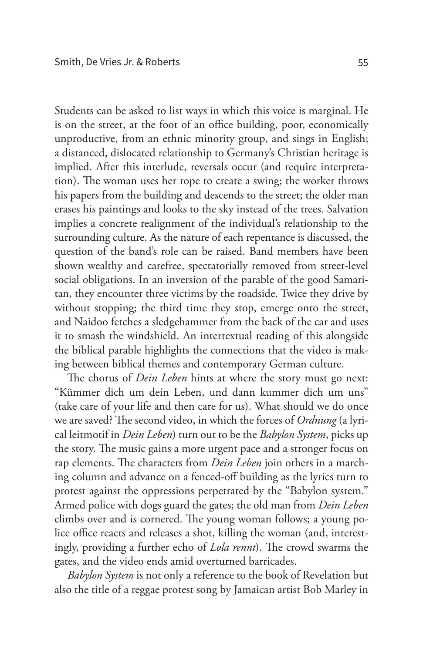Students can be asked to list ways in which this voice is marginal. He is on the street, at the foot of an office building, poor, economically unproductive, from an ethnic minority group, and sings in English; a distanced, dislocated relationship to Germany's Christian heritage is implied. After this interlude, reversals occur (and require interpretation). The woman uses her rope to create a swing; the worker throws his papers from the building and descends to the street; the older man erases his paintings and looks to the sky instead of the trees. Salvation implies a concrete realignment of the individual's relationship to the surrounding culture. As the nature of each repentance is discussed, the question of the band's role can be raised. Band members have been shown wealthy and carefree, spectatorially removed from street-level social obligations. In an inversion of the parable of the good Samaritan, they encounter three victims by the roadside. Twice they drive by without stopping; the third time they stop, emerge onto the street, and Naidoo fetches a sledgehammer from the back of the car and uses it to smash the windshield. An intertextual reading of this alongside the biblical parable highlights the connections that the video is making between biblical themes and contemporary German culture.

The chorus of *Dein Leben* hints at where the story must go next: "Kümmer dich um dein Leben, und dann kummer dich um uns" (take care of your life and then care for us). What should we do once we are saved? The second video, in which the forces of *Ordnung* (a lyrical leitmotif in *Dein Leben*) turn out to be the *Babylon System*, picks up the story. The music gains a more urgent pace and a stronger focus on rap elements. The characters from *Dein Leben* join others in a marching column and advance on a fenced-off building as the lyrics turn to protest against the oppressions perpetrated by the "Babylon system." Armed police with dogs guard the gates; the old man from *Dein Leben* climbs over and is cornered. The young woman follows; a young police office reacts and releases a shot, killing the woman (and, interestingly, providing a further echo of *Lola rennt*). The crowd swarms the gates, and the video ends amid overturned barricades.

*Babylon System* is not only a reference to the book of Revelation but also the title of a reggae protest song by Jamaican artist Bob Marley in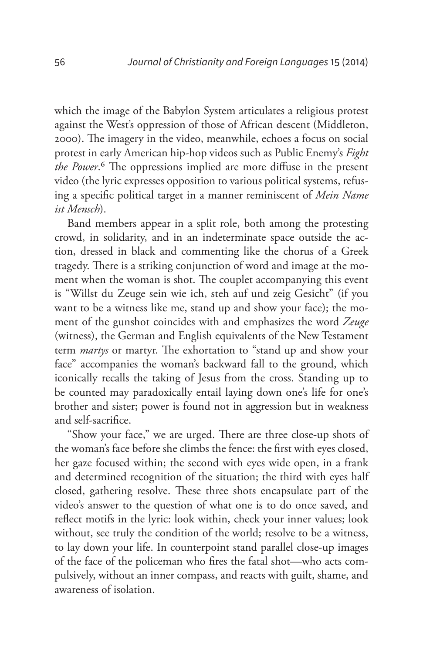which the image of the Babylon System articulates a religious protest against the West's oppression of those of African descent (Middleton, 2000). The imagery in the video, meanwhile, echoes a focus on social protest in early American hip-hop videos such as Public Enemy's *Fight the Power*.6 The oppressions implied are more diffuse in the present video (the lyric expresses opposition to various political systems, refusing a specific political target in a manner reminiscent of *Mein Name ist Mensch*).

Band members appear in a split role, both among the protesting crowd, in solidarity, and in an indeterminate space outside the action, dressed in black and commenting like the chorus of a Greek tragedy. There is a striking conjunction of word and image at the moment when the woman is shot. The couplet accompanying this event is "Willst du Zeuge sein wie ich, steh auf und zeig Gesicht" (if you want to be a witness like me, stand up and show your face); the moment of the gunshot coincides with and emphasizes the word *Zeuge* (witness), the German and English equivalents of the New Testament term *martys* or martyr. The exhortation to "stand up and show your face" accompanies the woman's backward fall to the ground, which iconically recalls the taking of Jesus from the cross. Standing up to be counted may paradoxically entail laying down one's life for one's brother and sister; power is found not in aggression but in weakness and self-sacrifice.

"Show your face," we are urged. There are three close-up shots of the woman's face before she climbs the fence: the first with eyes closed, her gaze focused within; the second with eyes wide open, in a frank and determined recognition of the situation; the third with eyes half closed, gathering resolve. These three shots encapsulate part of the video's answer to the question of what one is to do once saved, and reflect motifs in the lyric: look within, check your inner values; look without, see truly the condition of the world; resolve to be a witness, to lay down your life. In counterpoint stand parallel close-up images of the face of the policeman who fires the fatal shot—who acts compulsively, without an inner compass, and reacts with guilt, shame, and awareness of isolation.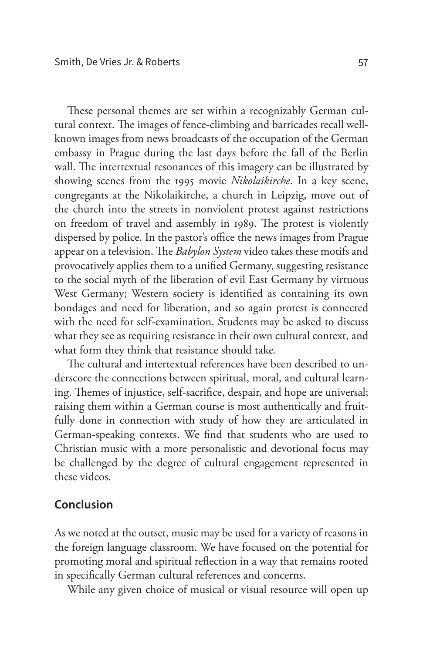These personal themes are set within a recognizably German cultural context. The images of fence-climbing and barricades recall wellknown images from news broadcasts of the occupation of the German embassy in Prague during the last days before the fall of the Berlin wall. The intertextual resonances of this imagery can be illustrated by showing scenes from the 1995 movie *Nikolaikirche*. In a key scene, congregants at the Nikolaikirche, a church in Leipzig, move out of the church into the streets in nonviolent protest against restrictions on freedom of travel and assembly in 1989. The protest is violently dispersed by police. In the pastor's office the news images from Prague appear on a television. The *Babylon System* video takes these motifs and provocatively applies them to a unified Germany, suggesting resistance to the social myth of the liberation of evil East Germany by virtuous West Germany; Western society is identified as containing its own bondages and need for liberation, and so again protest is connected with the need for self-examination. Students may be asked to discuss what they see as requiring resistance in their own cultural context, and what form they think that resistance should take.

The cultural and intertextual references have been described to underscore the connections between spiritual, moral, and cultural learning. Themes of injustice, self-sacrifice, despair, and hope are universal; raising them within a German course is most authentically and fruitfully done in connection with study of how they are articulated in German-speaking contexts. We find that students who are used to Christian music with a more personalistic and devotional focus may be challenged by the degree of cultural engagement represented in these videos.

#### **Conclusion**

As we noted at the outset, music may be used for a variety of reasons in the foreign language classroom. We have focused on the potential for promoting moral and spiritual reflection in a way that remains rooted in specifically German cultural references and concerns.

While any given choice of musical or visual resource will open up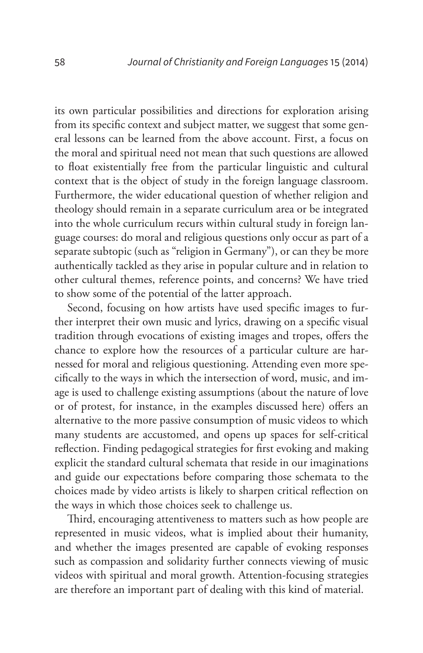its own particular possibilities and directions for exploration arising from its specific context and subject matter, we suggest that some general lessons can be learned from the above account. First, a focus on the moral and spiritual need not mean that such questions are allowed to float existentially free from the particular linguistic and cultural context that is the object of study in the foreign language classroom. Furthermore, the wider educational question of whether religion and theology should remain in a separate curriculum area or be integrated into the whole curriculum recurs within cultural study in foreign language courses: do moral and religious questions only occur as part of a separate subtopic (such as "religion in Germany"), or can they be more authentically tackled as they arise in popular culture and in relation to other cultural themes, reference points, and concerns? We have tried to show some of the potential of the latter approach.

Second, focusing on how artists have used specific images to further interpret their own music and lyrics, drawing on a specific visual tradition through evocations of existing images and tropes, offers the chance to explore how the resources of a particular culture are harnessed for moral and religious questioning. Attending even more specifically to the ways in which the intersection of word, music, and image is used to challenge existing assumptions (about the nature of love or of protest, for instance, in the examples discussed here) offers an alternative to the more passive consumption of music videos to which many students are accustomed, and opens up spaces for self-critical reflection. Finding pedagogical strategies for first evoking and making explicit the standard cultural schemata that reside in our imaginations and guide our expectations before comparing those schemata to the choices made by video artists is likely to sharpen critical reflection on the ways in which those choices seek to challenge us.

Third, encouraging attentiveness to matters such as how people are represented in music videos, what is implied about their humanity, and whether the images presented are capable of evoking responses such as compassion and solidarity further connects viewing of music videos with spiritual and moral growth. Attention-focusing strategies are therefore an important part of dealing with this kind of material.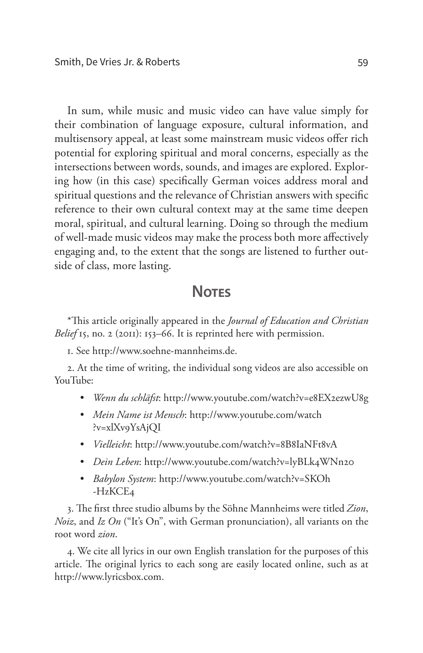In sum, while music and music video can have value simply for their combination of language exposure, cultural information, and multisensory appeal, at least some mainstream music videos offer rich potential for exploring spiritual and moral concerns, especially as the intersections between words, sounds, and images are explored. Exploring how (in this case) specifically German voices address moral and spiritual questions and the relevance of Christian answers with specific reference to their own cultural context may at the same time deepen moral, spiritual, and cultural learning. Doing so through the medium of well-made music videos may make the process both more affectively engaging and, to the extent that the songs are listened to further outside of class, more lasting.

## **Notes**

\*This article originally appeared in the *Journal of Education and Christian Belief* 15, no. 2 (2011): 153–66. It is reprinted here with permission.

1. See http://www.soehne-mannheims.de.

2. At the time of writing, the individual song videos are also accessible on YouTube:

- *Wenn du schläfst*: http://www.youtube.com/watch?v=e8EX2ezwU8g
- *Mein Name ist Mensch*: http://www.youtube.com/watch ?v=xlXv9YsAjQI
- *Vielleicht*: http://www.youtube.com/watch?v=8B8IaNFt8vA
- *Dein Leben*: http://www.youtube.com/watch?v=lyBLk4WNn20
- *Babylon System*: http://www.youtube.com/watch?v=SKOh -HzKCE4

3. The first three studio albums by the Söhne Mannheims were titled *Zion*, *Noiz*, and *Iz On* ("It's On", with German pronunciation), all variants on the root word *zion*.

4. We cite all lyrics in our own English translation for the purposes of this article. The original lyrics to each song are easily located online, such as at http://www.lyricsbox.com.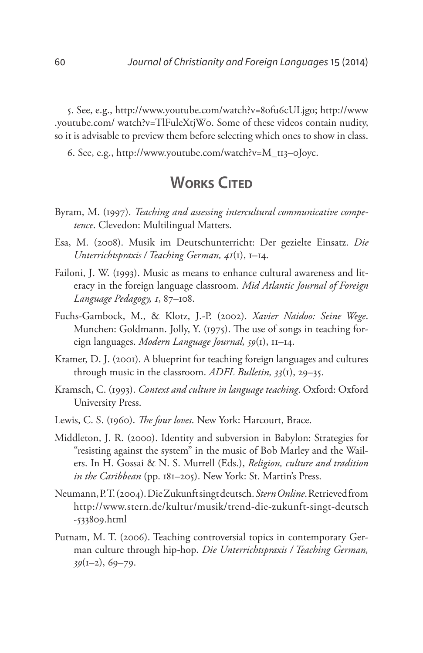5. See, e.g., http://www.youtube.com/watch?v=8ofu6cULjgo; http://www .youtube.com/ watch?v=TlFuleXtjW0. Some of these videos contain nudity, so it is advisable to preview them before selecting which ones to show in class.

6. See, e.g., http://www.youtube.com/watch?v=M\_t13–0Joyc.

## **Works Cited**

- Byram, M. (1997). *Teaching and assessing intercultural communicative competence*. Clevedon: Multilingual Matters.
- Esa, M. (2008). Musik im Deutschunterricht: Der gezielte Einsatz. *Die Unterrichtspraxis / Teaching German, 41*(1), 1–14.
- Failoni, J. W. (1993). Music as means to enhance cultural awareness and literacy in the foreign language classroom. *Mid Atlantic Journal of Foreign Language Pedagogy, 1*, 87–108.
- Fuchs-Gambock, M., & Klotz, J.-P. (2002). *Xavier Naidoo: Seine Wege*. Munchen: Goldmann. Jolly, Y. (1975). The use of songs in teaching foreign languages. *Modern Language Journal, 59*(1), 11–14.
- Kramer, D. J. (2001). A blueprint for teaching foreign languages and cultures through music in the classroom. *ADFL Bulletin, 33*(1), 29–35.
- Kramsch, C. (1993). *Context and culture in language teaching*. Oxford: Oxford University Press.
- Lewis, C. S. (1960). *The four loves*. New York: Harcourt, Brace.
- Middleton, J. R. (2000). Identity and subversion in Babylon: Strategies for "resisting against the system" in the music of Bob Marley and the Wailers. In H. Gossai & N. S. Murrell (Eds.), *Religion, culture and tradition in the Caribbean* (pp. 181–205). New York: St. Martin's Press.
- Neumann, P. T. (2004). Die Zukunft singt deutsch. *Stern Online*. Retrieved from http://www.stern.de/kultur/musik/trend-die-zukunft-singt-deutsch -533809.html
- Putnam, M. T. (2006). Teaching controversial topics in contemporary German culture through hip-hop. *Die Unterrichtspraxis / Teaching German, 39*(1–2), 69–79.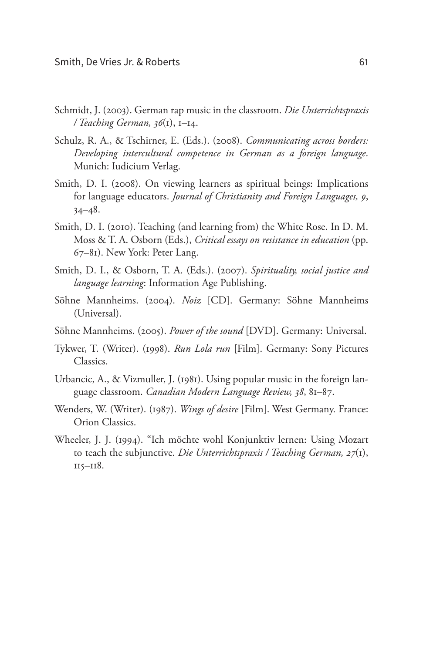- Schmidt, J. (2003). German rap music in the classroom. *Die Unterrichtspraxis / Teaching German, 36*(1), 1–14.
- Schulz, R. A., & Tschirner, E. (Eds.). (2008). *Communicating across borders: Developing intercultural competence in German as a foreign language*. Munich: Iudicium Verlag.
- Smith, D. I. (2008). On viewing learners as spiritual beings: Implications for language educators. *Journal of Christianity and Foreign Languages, 9*, 34–48.
- Smith, D. I. (2010). Teaching (and learning from) the White Rose. In D. M. Moss & T. A. Osborn (Eds.), *Critical essays on resistance in education* (pp. 67–81). New York: Peter Lang.
- Smith, D. I., & Osborn, T. A. (Eds.). (2007). *Spirituality, social justice and language learning*: Information Age Publishing.
- Söhne Mannheims. (2004). *Noiz* [CD]. Germany: Söhne Mannheims (Universal).
- Söhne Mannheims. (2005). *Power of the sound* [DVD]. Germany: Universal.
- Tykwer, T. (Writer). (1998). *Run Lola run* [Film]. Germany: Sony Pictures Classics.
- Urbancic, A., & Vizmuller, J. (1981). Using popular music in the foreign language classroom. *Canadian Modern Language Review, 38*, 81–87.
- Wenders, W. (Writer). (1987). *Wings of desire* [Film]. West Germany. France: Orion Classics.
- Wheeler, J. J. (1994). "Ich möchte wohl Konjunktiv lernen: Using Mozart to teach the subjunctive. *Die Unterrichtspraxis / Teaching German, 27*(1), 115–118.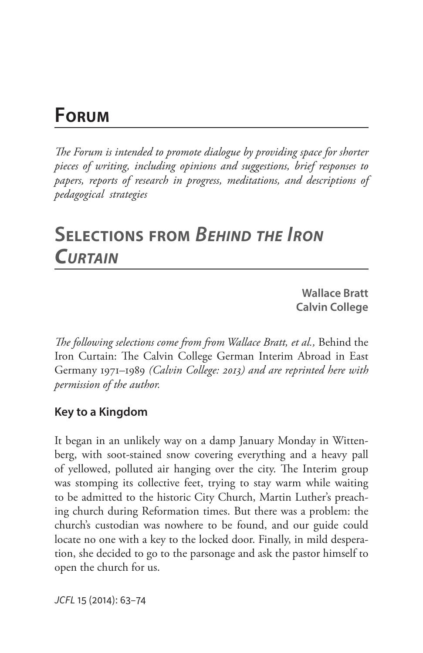## **Forum**

*The Forum is intended to promote dialogue by providing space for shorter pieces of writing, including opinions and suggestions, brief responses to papers, reports of research in progress, meditations, and descriptions of pedagogical strategies*

## **Selections from** *Behind the Iron Curtain*

**Wallace Bratt Calvin College**

*The following selections come from from Wallace Bratt, et al.,* Behind the Iron Curtain: The Calvin College German Interim Abroad in East Germany 1971–1989 *(Calvin College: 2013) and are reprinted here with permission of the author.*

## **Key to a Kingdom**

It began in an unlikely way on a damp January Monday in Wittenberg, with soot-stained snow covering everything and a heavy pall of yellowed, polluted air hanging over the city. The Interim group was stomping its collective feet, trying to stay warm while waiting to be admitted to the historic City Church, Martin Luther's preaching church during Reformation times. But there was a problem: the church's custodian was nowhere to be found, and our guide could locate no one with a key to the locked door. Finally, in mild desperation, she decided to go to the parsonage and ask the pastor himself to open the church for us.

*JCFL* 15 (2014): 63–74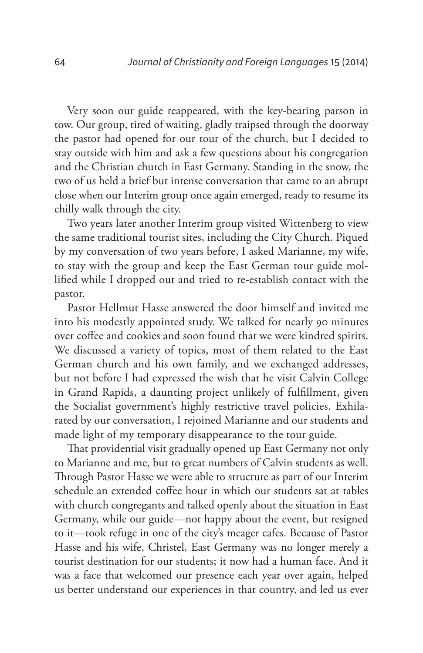Very soon our guide reappeared, with the key-bearing parson in tow. Our group, tired of waiting, gladly traipsed through the doorway the pastor had opened for our tour of the church, but I decided to stay outside with him and ask a few questions about his congregation and the Christian church in East Germany. Standing in the snow, the two of us held a brief but intense conversation that came to an abrupt close when our Interim group once again emerged, ready to resume its chilly walk through the city.

Two years later another Interim group visited Wittenberg to view the same traditional tourist sites, including the City Church. Piqued by my conversation of two years before, I asked Marianne, my wife, to stay with the group and keep the East German tour guide mollified while I dropped out and tried to re-establish contact with the pastor.

Pastor Hellmut Hasse answered the door himself and invited me into his modestly appointed study. We talked for nearly 90 minutes over coffee and cookies and soon found that we were kindred spirits. We discussed a variety of topics, most of them related to the East German church and his own family, and we exchanged addresses, but not before I had expressed the wish that he visit Calvin College in Grand Rapids, a daunting project unlikely of fulfillment, given the Socialist government's highly restrictive travel policies. Exhilarated by our conversation, I rejoined Marianne and our students and made light of my temporary disappearance to the tour guide.

That providential visit gradually opened up East Germany not only to Marianne and me, but to great numbers of Calvin students as well. Through Pastor Hasse we were able to structure as part of our Interim schedule an extended coffee hour in which our students sat at tables with church congregants and talked openly about the situation in East Germany, while our guide—not happy about the event, but resigned to it—took refuge in one of the city's meager cafes. Because of Pastor Hasse and his wife, Christel, East Germany was no longer merely a tourist destination for our students; it now had a human face. And it was a face that welcomed our presence each year over again, helped us better understand our experiences in that country, and led us ever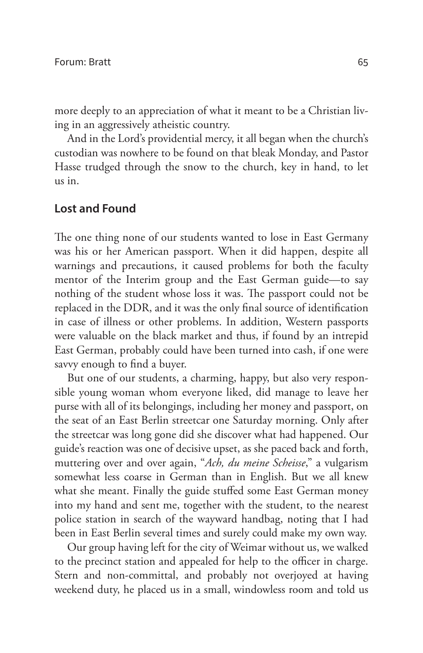more deeply to an appreciation of what it meant to be a Christian living in an aggressively atheistic country.

And in the Lord's providential mercy, it all began when the church's custodian was nowhere to be found on that bleak Monday, and Pastor Hasse trudged through the snow to the church, key in hand, to let us in.

### **Lost and Found**

The one thing none of our students wanted to lose in East Germany was his or her American passport. When it did happen, despite all warnings and precautions, it caused problems for both the faculty mentor of the Interim group and the East German guide—to say nothing of the student whose loss it was. The passport could not be replaced in the DDR, and it was the only final source of identification in case of illness or other problems. In addition, Western passports were valuable on the black market and thus, if found by an intrepid East German, probably could have been turned into cash, if one were savvy enough to find a buyer.

But one of our students, a charming, happy, but also very responsible young woman whom everyone liked, did manage to leave her purse with all of its belongings, including her money and passport, on the seat of an East Berlin streetcar one Saturday morning. Only after the streetcar was long gone did she discover what had happened. Our guide's reaction was one of decisive upset, as she paced back and forth, muttering over and over again, "*Ach, du meine Scheisse*," a vulgarism somewhat less coarse in German than in English. But we all knew what she meant. Finally the guide stuffed some East German money into my hand and sent me, together with the student, to the nearest police station in search of the wayward handbag, noting that I had been in East Berlin several times and surely could make my own way.

Our group having left for the city of Weimar without us, we walked to the precinct station and appealed for help to the officer in charge. Stern and non-committal, and probably not overjoyed at having weekend duty, he placed us in a small, windowless room and told us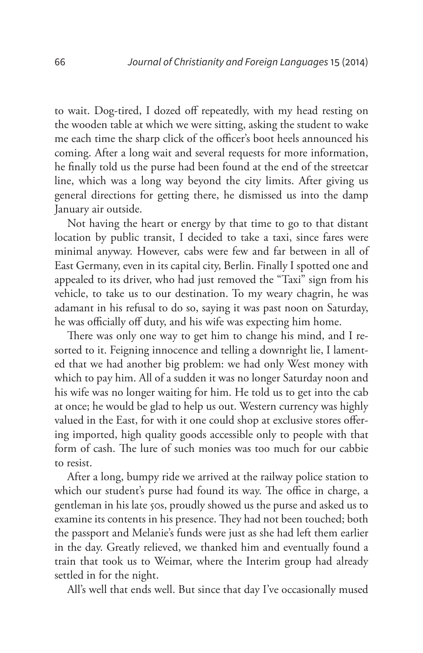to wait. Dog-tired, I dozed off repeatedly, with my head resting on the wooden table at which we were sitting, asking the student to wake me each time the sharp click of the officer's boot heels announced his coming. After a long wait and several requests for more information, he finally told us the purse had been found at the end of the streetcar line, which was a long way beyond the city limits. After giving us general directions for getting there, he dismissed us into the damp January air outside.

Not having the heart or energy by that time to go to that distant location by public transit, I decided to take a taxi, since fares were minimal anyway. However, cabs were few and far between in all of East Germany, even in its capital city, Berlin. Finally I spotted one and appealed to its driver, who had just removed the "Taxi" sign from his vehicle, to take us to our destination. To my weary chagrin, he was adamant in his refusal to do so, saying it was past noon on Saturday, he was officially off duty, and his wife was expecting him home.

There was only one way to get him to change his mind, and I resorted to it. Feigning innocence and telling a downright lie, I lamented that we had another big problem: we had only West money with which to pay him. All of a sudden it was no longer Saturday noon and his wife was no longer waiting for him. He told us to get into the cab at once; he would be glad to help us out. Western currency was highly valued in the East, for with it one could shop at exclusive stores offering imported, high quality goods accessible only to people with that form of cash. The lure of such monies was too much for our cabbie to resist.

After a long, bumpy ride we arrived at the railway police station to which our student's purse had found its way. The office in charge, a gentleman in his late 50s, proudly showed us the purse and asked us to examine its contents in his presence. They had not been touched; both the passport and Melanie's funds were just as she had left them earlier in the day. Greatly relieved, we thanked him and eventually found a train that took us to Weimar, where the Interim group had already settled in for the night.

All's well that ends well. But since that day I've occasionally mused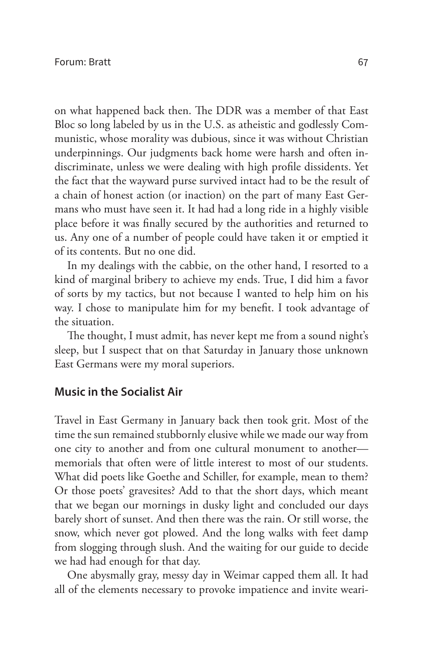on what happened back then. The DDR was a member of that East Bloc so long labeled by us in the U.S. as atheistic and godlessly Communistic, whose morality was dubious, since it was without Christian underpinnings. Our judgments back home were harsh and often indiscriminate, unless we were dealing with high profile dissidents. Yet the fact that the wayward purse survived intact had to be the result of a chain of honest action (or inaction) on the part of many East Germans who must have seen it. It had had a long ride in a highly visible place before it was finally secured by the authorities and returned to us. Any one of a number of people could have taken it or emptied it of its contents. But no one did.

In my dealings with the cabbie, on the other hand, I resorted to a kind of marginal bribery to achieve my ends. True, I did him a favor of sorts by my tactics, but not because I wanted to help him on his way. I chose to manipulate him for my benefit. I took advantage of the situation.

The thought, I must admit, has never kept me from a sound night's sleep, but I suspect that on that Saturday in January those unknown East Germans were my moral superiors.

## **Music in the Socialist Air**

Travel in East Germany in January back then took grit. Most of the time the sun remained stubbornly elusive while we made our way from one city to another and from one cultural monument to another memorials that often were of little interest to most of our students. What did poets like Goethe and Schiller, for example, mean to them? Or those poets' gravesites? Add to that the short days, which meant that we began our mornings in dusky light and concluded our days barely short of sunset. And then there was the rain. Or still worse, the snow, which never got plowed. And the long walks with feet damp from slogging through slush. And the waiting for our guide to decide we had had enough for that day.

One abysmally gray, messy day in Weimar capped them all. It had all of the elements necessary to provoke impatience and invite weari-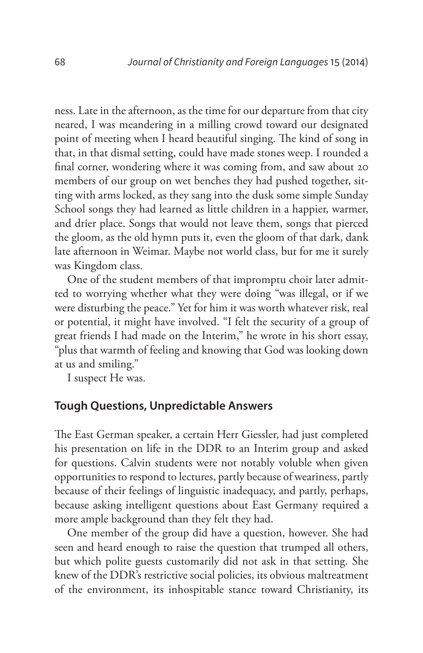ness. Late in the afternoon, as the time for our departure from that city neared, I was meandering in a milling crowd toward our designated point of meeting when I heard beautiful singing. The kind of song in that, in that dismal setting, could have made stones weep. I rounded a final corner, wondering where it was coming from, and saw about 20 members of our group on wet benches they had pushed together, sitting with arms locked, as they sang into the dusk some simple Sunday School songs they had learned as little children in a happier, warmer, and drier place. Songs that would not leave them, songs that pierced the gloom, as the old hymn puts it, even the gloom of that dark, dank late afternoon in Weimar. Maybe not world class, but for me it surely was Kingdom class.

One of the student members of that impromptu choir later admitted to worrying whether what they were doing "was illegal, or if we were disturbing the peace." Yet for him it was worth whatever risk, real or potential, it might have involved. "I felt the security of a group of great friends I had made on the Interim," he wrote in his short essay, "plus that warmth of feeling and knowing that God was looking down at us and smiling."

I suspect He was.

## **Tough Questions, Unpredictable Answers**

The East German speaker, a certain Herr Giessler, had just completed his presentation on life in the DDR to an Interim group and asked for questions. Calvin students were not notably voluble when given opportunities to respond to lectures, partly because of weariness, partly because of their feelings of linguistic inadequacy, and partly, perhaps, because asking intelligent questions about East Germany required a more ample background than they felt they had.

One member of the group did have a question, however. She had seen and heard enough to raise the question that trumped all others, but which polite guests customarily did not ask in that setting. She knew of the DDR's restrictive social policies, its obvious maltreatment of the environment, its inhospitable stance toward Christianity, its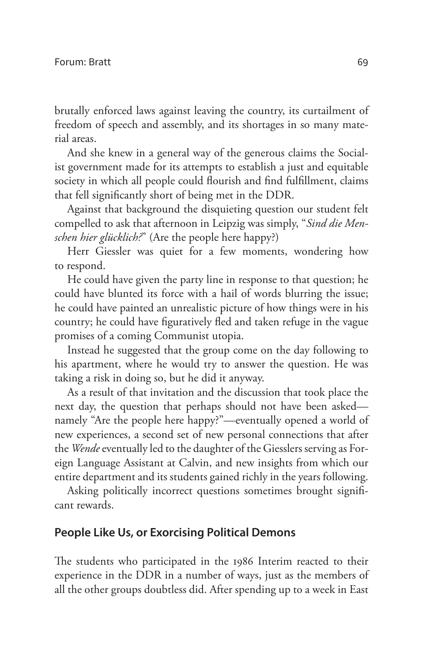brutally enforced laws against leaving the country, its curtailment of freedom of speech and assembly, and its shortages in so many material areas.

And she knew in a general way of the generous claims the Socialist government made for its attempts to establish a just and equitable society in which all people could flourish and find fulfillment, claims that fell significantly short of being met in the DDR.

Against that background the disquieting question our student felt compelled to ask that afternoon in Leipzig was simply, "*Sind die Menschen hier glücklich?*" (Are the people here happy?)

Herr Giessler was quiet for a few moments, wondering how to respond.

He could have given the party line in response to that question; he could have blunted its force with a hail of words blurring the issue; he could have painted an unrealistic picture of how things were in his country; he could have figuratively fled and taken refuge in the vague promises of a coming Communist utopia.

Instead he suggested that the group come on the day following to his apartment, where he would try to answer the question. He was taking a risk in doing so, but he did it anyway.

As a result of that invitation and the discussion that took place the next day, the question that perhaps should not have been asked namely "Are the people here happy?"—eventually opened a world of new experiences, a second set of new personal connections that after the *Wende* eventually led to the daughter of the Giesslers serving as Foreign Language Assistant at Calvin, and new insights from which our entire department and its students gained richly in the years following.

Asking politically incorrect questions sometimes brought significant rewards.

### **People Like Us, or Exorcising Political Demons**

The students who participated in the 1986 Interim reacted to their experience in the DDR in a number of ways, just as the members of all the other groups doubtless did. After spending up to a week in East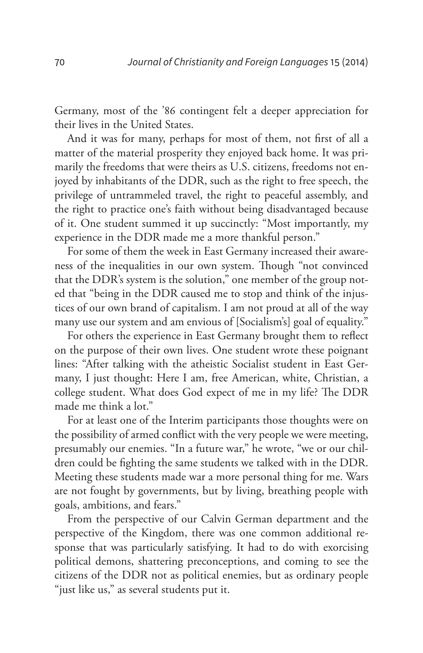Germany, most of the '86 contingent felt a deeper appreciation for their lives in the United States.

And it was for many, perhaps for most of them, not first of all a matter of the material prosperity they enjoyed back home. It was primarily the freedoms that were theirs as U.S. citizens, freedoms not enjoyed by inhabitants of the DDR, such as the right to free speech, the privilege of untrammeled travel, the right to peaceful assembly, and the right to practice one's faith without being disadvantaged because of it. One student summed it up succinctly: "Most importantly, my experience in the DDR made me a more thankful person."

For some of them the week in East Germany increased their awareness of the inequalities in our own system. Though "not convinced that the DDR's system is the solution," one member of the group noted that "being in the DDR caused me to stop and think of the injustices of our own brand of capitalism. I am not proud at all of the way many use our system and am envious of [Socialism's] goal of equality."

For others the experience in East Germany brought them to reflect on the purpose of their own lives. One student wrote these poignant lines: "After talking with the atheistic Socialist student in East Germany, I just thought: Here I am, free American, white, Christian, a college student. What does God expect of me in my life? The DDR made me think a lot."

For at least one of the Interim participants those thoughts were on the possibility of armed conflict with the very people we were meeting, presumably our enemies. "In a future war," he wrote, "we or our children could be fighting the same students we talked with in the DDR. Meeting these students made war a more personal thing for me. Wars are not fought by governments, but by living, breathing people with goals, ambitions, and fears."

From the perspective of our Calvin German department and the perspective of the Kingdom, there was one common additional response that was particularly satisfying. It had to do with exorcising political demons, shattering preconceptions, and coming to see the citizens of the DDR not as political enemies, but as ordinary people "just like us," as several students put it.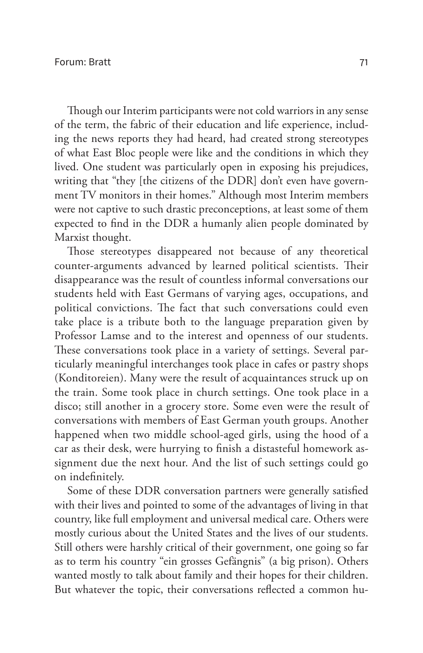Though our Interim participants were not cold warriors in any sense of the term, the fabric of their education and life experience, including the news reports they had heard, had created strong stereotypes of what East Bloc people were like and the conditions in which they lived. One student was particularly open in exposing his prejudices, writing that "they [the citizens of the DDR] don't even have government TV monitors in their homes." Although most Interim members were not captive to such drastic preconceptions, at least some of them expected to find in the DDR a humanly alien people dominated by Marxist thought.

Those stereotypes disappeared not because of any theoretical counter-arguments advanced by learned political scientists. Their disappearance was the result of countless informal conversations our students held with East Germans of varying ages, occupations, and political convictions. The fact that such conversations could even take place is a tribute both to the language preparation given by Professor Lamse and to the interest and openness of our students. These conversations took place in a variety of settings. Several particularly meaningful interchanges took place in cafes or pastry shops (Konditoreien). Many were the result of acquaintances struck up on the train. Some took place in church settings. One took place in a disco; still another in a grocery store. Some even were the result of conversations with members of East German youth groups. Another happened when two middle school-aged girls, using the hood of a car as their desk, were hurrying to finish a distasteful homework assignment due the next hour. And the list of such settings could go on indefinitely.

Some of these DDR conversation partners were generally satisfied with their lives and pointed to some of the advantages of living in that country, like full employment and universal medical care. Others were mostly curious about the United States and the lives of our students. Still others were harshly critical of their government, one going so far as to term his country "ein grosses Gefängnis" (a big prison). Others wanted mostly to talk about family and their hopes for their children. But whatever the topic, their conversations reflected a common hu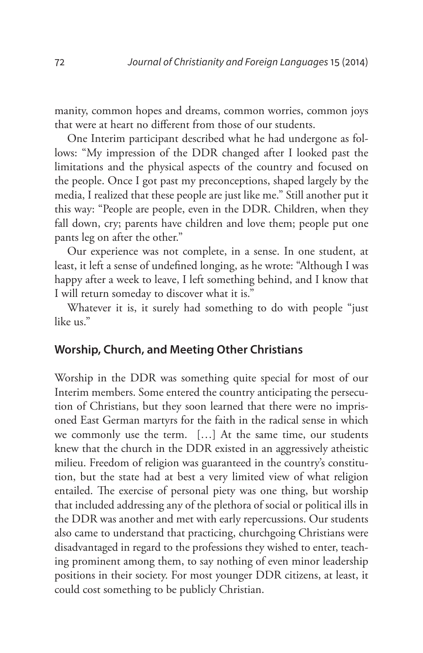manity, common hopes and dreams, common worries, common joys that were at heart no different from those of our students.

One Interim participant described what he had undergone as follows: "My impression of the DDR changed after I looked past the limitations and the physical aspects of the country and focused on the people. Once I got past my preconceptions, shaped largely by the media, I realized that these people are just like me." Still another put it this way: "People are people, even in the DDR. Children, when they fall down, cry; parents have children and love them; people put one pants leg on after the other."

Our experience was not complete, in a sense. In one student, at least, it left a sense of undefined longing, as he wrote: "Although I was happy after a week to leave, I left something behind, and I know that I will return someday to discover what it is."

Whatever it is, it surely had something to do with people "just like us."

## **Worship, Church, and Meeting Other Christians**

Worship in the DDR was something quite special for most of our Interim members. Some entered the country anticipating the persecution of Christians, but they soon learned that there were no imprisoned East German martyrs for the faith in the radical sense in which we commonly use the term. […] At the same time, our students knew that the church in the DDR existed in an aggressively atheistic milieu. Freedom of religion was guaranteed in the country's constitution, but the state had at best a very limited view of what religion entailed. The exercise of personal piety was one thing, but worship that included addressing any of the plethora of social or political ills in the DDR was another and met with early repercussions. Our students also came to understand that practicing, churchgoing Christians were disadvantaged in regard to the professions they wished to enter, teaching prominent among them, to say nothing of even minor leadership positions in their society. For most younger DDR citizens, at least, it could cost something to be publicly Christian.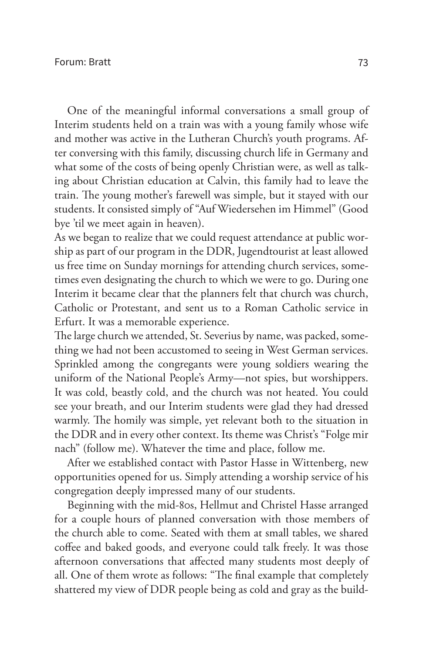One of the meaningful informal conversations a small group of Interim students held on a train was with a young family whose wife and mother was active in the Lutheran Church's youth programs. After conversing with this family, discussing church life in Germany and what some of the costs of being openly Christian were, as well as talking about Christian education at Calvin, this family had to leave the train. The young mother's farewell was simple, but it stayed with our students. It consisted simply of "Auf Wiedersehen im Himmel" (Good bye 'til we meet again in heaven).

As we began to realize that we could request attendance at public worship as part of our program in the DDR, Jugendtourist at least allowed us free time on Sunday mornings for attending church services, sometimes even designating the church to which we were to go. During one Interim it became clear that the planners felt that church was church, Catholic or Protestant, and sent us to a Roman Catholic service in Erfurt. It was a memorable experience.

The large church we attended, St. Severius by name, was packed, something we had not been accustomed to seeing in West German services. Sprinkled among the congregants were young soldiers wearing the uniform of the National People's Army—not spies, but worshippers. It was cold, beastly cold, and the church was not heated. You could see your breath, and our Interim students were glad they had dressed warmly. The homily was simple, yet relevant both to the situation in the DDR and in every other context. Its theme was Christ's "Folge mir nach" (follow me). Whatever the time and place, follow me.

After we established contact with Pastor Hasse in Wittenberg, new opportunities opened for us. Simply attending a worship service of his congregation deeply impressed many of our students.

Beginning with the mid-80s, Hellmut and Christel Hasse arranged for a couple hours of planned conversation with those members of the church able to come. Seated with them at small tables, we shared coffee and baked goods, and everyone could talk freely. It was those afternoon conversations that affected many students most deeply of all. One of them wrote as follows: "The final example that completely shattered my view of DDR people being as cold and gray as the build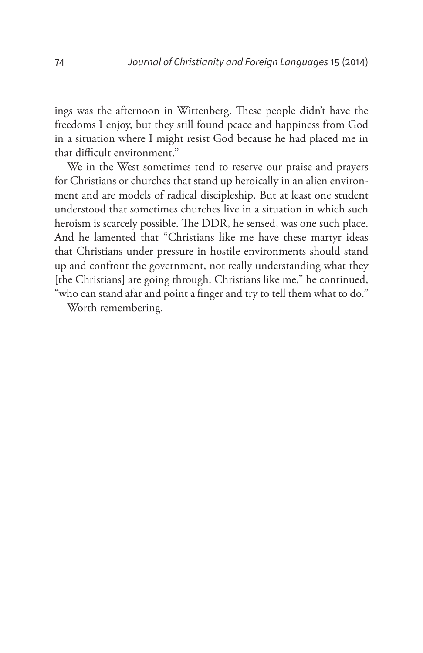ings was the afternoon in Wittenberg. These people didn't have the freedoms I enjoy, but they still found peace and happiness from God in a situation where I might resist God because he had placed me in that difficult environment."

We in the West sometimes tend to reserve our praise and prayers for Christians or churches that stand up heroically in an alien environment and are models of radical discipleship. But at least one student understood that sometimes churches live in a situation in which such heroism is scarcely possible. The DDR, he sensed, was one such place. And he lamented that "Christians like me have these martyr ideas that Christians under pressure in hostile environments should stand up and confront the government, not really understanding what they [the Christians] are going through. Christians like me," he continued, "who can stand afar and point a finger and try to tell them what to do."

Worth remembering.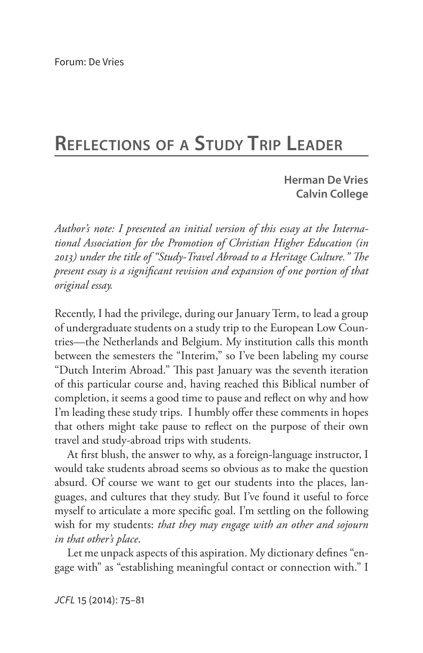# **Reflections of a Study Trip Leader**

**Herman De Vries Calvin College**

*Author's note: I presented an initial version of this essay at the International Association for the Promotion of Christian Higher Education (in 2013) under the title of "Study-Travel Abroad to a Heritage Culture." The present essay is a significant revision and expansion of one portion of that original essay.*

Recently, I had the privilege, during our January Term, to lead a group of undergraduate students on a study trip to the European Low Countries—the Netherlands and Belgium. My institution calls this month between the semesters the "Interim," so I've been labeling my course "Dutch Interim Abroad." This past January was the seventh iteration of this particular course and, having reached this Biblical number of completion, it seems a good time to pause and reflect on why and how I'm leading these study trips. I humbly offer these comments in hopes that others might take pause to reflect on the purpose of their own travel and study-abroad trips with students.

At first blush, the answer to why, as a foreign-language instructor, I would take students abroad seems so obvious as to make the question absurd. Of course we want to get our students into the places, languages, and cultures that they study. But I've found it useful to force myself to articulate a more specific goal. I'm settling on the following wish for my students: *that they may engage with an other and sojourn in that other's place*.

Let me unpack aspects of this aspiration. My dictionary defines "engage with" as "establishing meaningful contact or connection with." I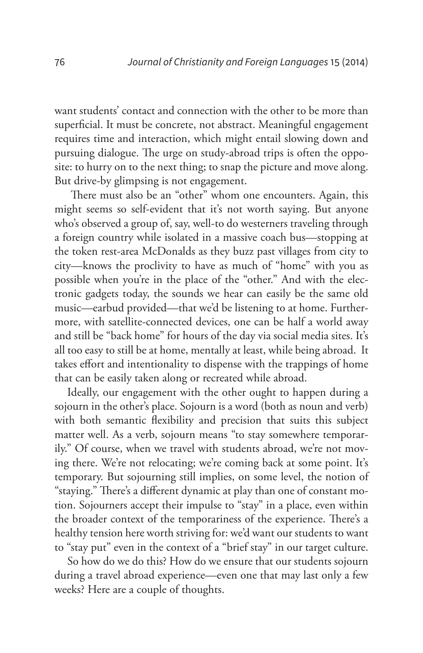want students' contact and connection with the other to be more than superficial. It must be concrete, not abstract. Meaningful engagement requires time and interaction, which might entail slowing down and pursuing dialogue. The urge on study-abroad trips is often the opposite: to hurry on to the next thing; to snap the picture and move along. But drive-by glimpsing is not engagement.

 There must also be an "other" whom one encounters. Again, this might seems so self-evident that it's not worth saying. But anyone who's observed a group of, say, well-to do westerners traveling through a foreign country while isolated in a massive coach bus—stopping at the token rest-area McDonalds as they buzz past villages from city to city—knows the proclivity to have as much of "home" with you as possible when you're in the place of the "other." And with the electronic gadgets today, the sounds we hear can easily be the same old music—earbud provided—that we'd be listening to at home. Furthermore, with satellite-connected devices, one can be half a world away and still be "back home" for hours of the day via social media sites. It's all too easy to still be at home, mentally at least, while being abroad. It takes effort and intentionality to dispense with the trappings of home that can be easily taken along or recreated while abroad.

Ideally, our engagement with the other ought to happen during a sojourn in the other's place. Sojourn is a word (both as noun and verb) with both semantic flexibility and precision that suits this subject matter well. As a verb, sojourn means "to stay somewhere temporarily." Of course, when we travel with students abroad, we're not moving there. We're not relocating; we're coming back at some point. It's temporary. But sojourning still implies, on some level, the notion of "staying." There's a different dynamic at play than one of constant motion. Sojourners accept their impulse to "stay" in a place, even within the broader context of the temporariness of the experience. There's a healthy tension here worth striving for: we'd want our students to want to "stay put" even in the context of a "brief stay" in our target culture.

So how do we do this? How do we ensure that our students sojourn during a travel abroad experience—even one that may last only a few weeks? Here are a couple of thoughts.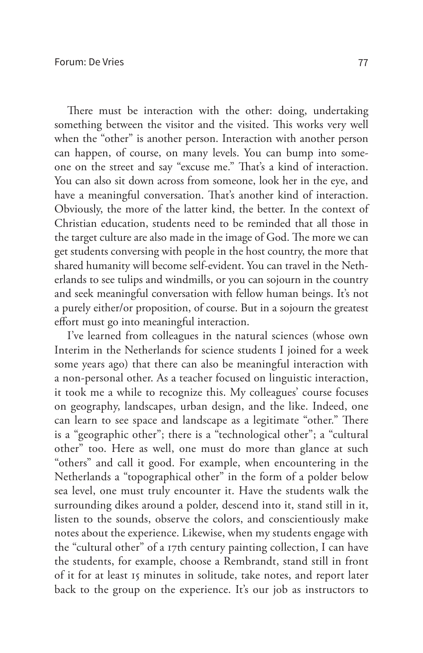There must be interaction with the other: doing, undertaking something between the visitor and the visited. This works very well when the "other" is another person. Interaction with another person can happen, of course, on many levels. You can bump into someone on the street and say "excuse me." That's a kind of interaction. You can also sit down across from someone, look her in the eye, and have a meaningful conversation. That's another kind of interaction. Obviously, the more of the latter kind, the better. In the context of Christian education, students need to be reminded that all those in the target culture are also made in the image of God. The more we can get students conversing with people in the host country, the more that shared humanity will become self-evident. You can travel in the Netherlands to see tulips and windmills, or you can sojourn in the country and seek meaningful conversation with fellow human beings. It's not a purely either/or proposition, of course. But in a sojourn the greatest effort must go into meaningful interaction.

I've learned from colleagues in the natural sciences (whose own Interim in the Netherlands for science students I joined for a week some years ago) that there can also be meaningful interaction with a non-personal other. As a teacher focused on linguistic interaction, it took me a while to recognize this. My colleagues' course focuses on geography, landscapes, urban design, and the like. Indeed, one can learn to see space and landscape as a legitimate "other." There is a "geographic other"; there is a "technological other"; a "cultural other" too. Here as well, one must do more than glance at such "others" and call it good. For example, when encountering in the Netherlands a "topographical other" in the form of a polder below sea level, one must truly encounter it. Have the students walk the surrounding dikes around a polder, descend into it, stand still in it, listen to the sounds, observe the colors, and conscientiously make notes about the experience. Likewise, when my students engage with the "cultural other" of a 17th century painting collection, I can have the students, for example, choose a Rembrandt, stand still in front of it for at least 15 minutes in solitude, take notes, and report later back to the group on the experience. It's our job as instructors to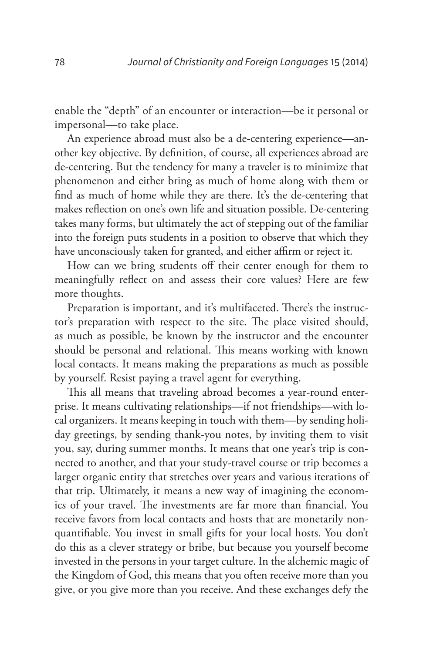enable the "depth" of an encounter or interaction—be it personal or impersonal—to take place.

An experience abroad must also be a de-centering experience—another key objective. By definition, of course, all experiences abroad are de-centering. But the tendency for many a traveler is to minimize that phenomenon and either bring as much of home along with them or find as much of home while they are there. It's the de-centering that makes reflection on one's own life and situation possible. De-centering takes many forms, but ultimately the act of stepping out of the familiar into the foreign puts students in a position to observe that which they have unconsciously taken for granted, and either affirm or reject it.

How can we bring students off their center enough for them to meaningfully reflect on and assess their core values? Here are few more thoughts.

Preparation is important, and it's multifaceted. There's the instructor's preparation with respect to the site. The place visited should, as much as possible, be known by the instructor and the encounter should be personal and relational. This means working with known local contacts. It means making the preparations as much as possible by yourself. Resist paying a travel agent for everything.

This all means that traveling abroad becomes a year-round enterprise. It means cultivating relationships—if not friendships—with local organizers. It means keeping in touch with them—by sending holiday greetings, by sending thank-you notes, by inviting them to visit you, say, during summer months. It means that one year's trip is connected to another, and that your study-travel course or trip becomes a larger organic entity that stretches over years and various iterations of that trip. Ultimately, it means a new way of imagining the economics of your travel. The investments are far more than financial. You receive favors from local contacts and hosts that are monetarily nonquantifiable. You invest in small gifts for your local hosts. You don't do this as a clever strategy or bribe, but because you yourself become invested in the persons in your target culture. In the alchemic magic of the Kingdom of God, this means that you often receive more than you give, or you give more than you receive. And these exchanges defy the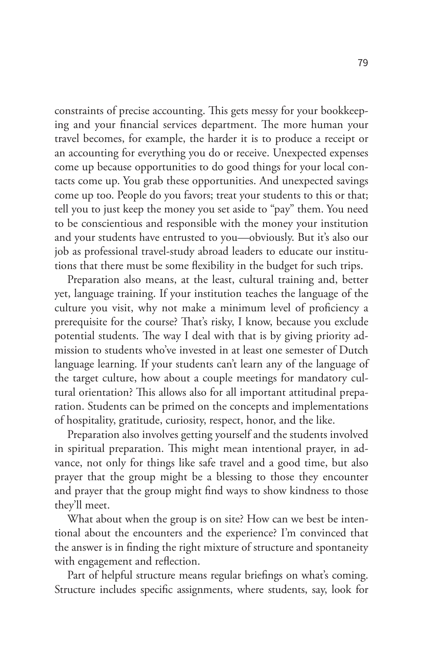constraints of precise accounting. This gets messy for your bookkeeping and your financial services department. The more human your travel becomes, for example, the harder it is to produce a receipt or an accounting for everything you do or receive. Unexpected expenses come up because opportunities to do good things for your local contacts come up. You grab these opportunities. And unexpected savings come up too. People do you favors; treat your students to this or that; tell you to just keep the money you set aside to "pay" them. You need to be conscientious and responsible with the money your institution and your students have entrusted to you—obviously. But it's also our job as professional travel-study abroad leaders to educate our institutions that there must be some flexibility in the budget for such trips.

Preparation also means, at the least, cultural training and, better yet, language training. If your institution teaches the language of the culture you visit, why not make a minimum level of proficiency a prerequisite for the course? That's risky, I know, because you exclude potential students. The way I deal with that is by giving priority admission to students who've invested in at least one semester of Dutch language learning. If your students can't learn any of the language of the target culture, how about a couple meetings for mandatory cultural orientation? This allows also for all important attitudinal preparation. Students can be primed on the concepts and implementations of hospitality, gratitude, curiosity, respect, honor, and the like.

Preparation also involves getting yourself and the students involved in spiritual preparation. This might mean intentional prayer, in advance, not only for things like safe travel and a good time, but also prayer that the group might be a blessing to those they encounter and prayer that the group might find ways to show kindness to those they'll meet.

What about when the group is on site? How can we best be intentional about the encounters and the experience? I'm convinced that the answer is in finding the right mixture of structure and spontaneity with engagement and reflection.

Part of helpful structure means regular briefings on what's coming. Structure includes specific assignments, where students, say, look for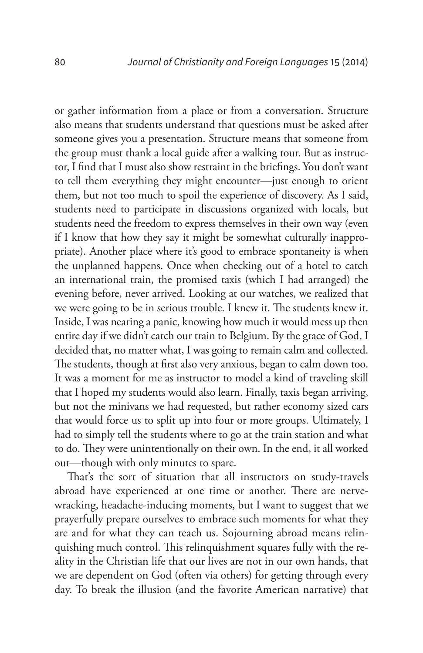or gather information from a place or from a conversation. Structure also means that students understand that questions must be asked after someone gives you a presentation. Structure means that someone from the group must thank a local guide after a walking tour. But as instructor, I find that I must also show restraint in the briefings. You don't want to tell them everything they might encounter—just enough to orient them, but not too much to spoil the experience of discovery. As I said, students need to participate in discussions organized with locals, but students need the freedom to express themselves in their own way (even if I know that how they say it might be somewhat culturally inappropriate). Another place where it's good to embrace spontaneity is when the unplanned happens. Once when checking out of a hotel to catch an international train, the promised taxis (which I had arranged) the evening before, never arrived. Looking at our watches, we realized that we were going to be in serious trouble. I knew it. The students knew it. Inside, I was nearing a panic, knowing how much it would mess up then entire day if we didn't catch our train to Belgium. By the grace of God, I decided that, no matter what, I was going to remain calm and collected. The students, though at first also very anxious, began to calm down too. It was a moment for me as instructor to model a kind of traveling skill that I hoped my students would also learn. Finally, taxis began arriving, but not the minivans we had requested, but rather economy sized cars that would force us to split up into four or more groups. Ultimately, I had to simply tell the students where to go at the train station and what to do. They were unintentionally on their own. In the end, it all worked out—though with only minutes to spare.

That's the sort of situation that all instructors on study-travels abroad have experienced at one time or another. There are nervewracking, headache-inducing moments, but I want to suggest that we prayerfully prepare ourselves to embrace such moments for what they are and for what they can teach us. Sojourning abroad means relinquishing much control. This relinquishment squares fully with the reality in the Christian life that our lives are not in our own hands, that we are dependent on God (often via others) for getting through every day. To break the illusion (and the favorite American narrative) that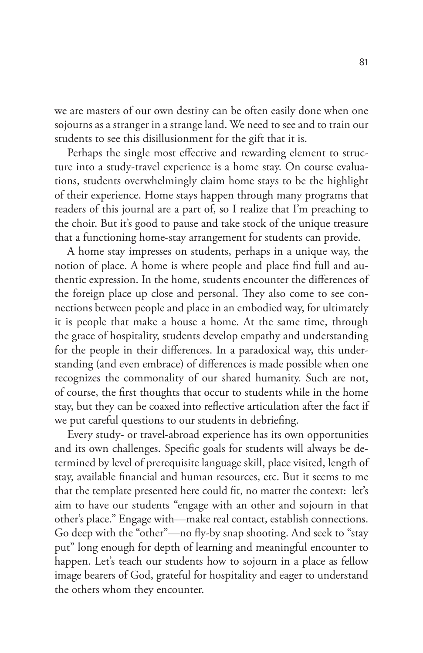we are masters of our own destiny can be often easily done when one sojourns as a stranger in a strange land. We need to see and to train our students to see this disillusionment for the gift that it is.

Perhaps the single most effective and rewarding element to structure into a study-travel experience is a home stay. On course evaluations, students overwhelmingly claim home stays to be the highlight of their experience. Home stays happen through many programs that readers of this journal are a part of, so I realize that I'm preaching to the choir. But it's good to pause and take stock of the unique treasure that a functioning home-stay arrangement for students can provide.

A home stay impresses on students, perhaps in a unique way, the notion of place. A home is where people and place find full and authentic expression. In the home, students encounter the differences of the foreign place up close and personal. They also come to see connections between people and place in an embodied way, for ultimately it is people that make a house a home. At the same time, through the grace of hospitality, students develop empathy and understanding for the people in their differences. In a paradoxical way, this understanding (and even embrace) of differences is made possible when one recognizes the commonality of our shared humanity. Such are not, of course, the first thoughts that occur to students while in the home stay, but they can be coaxed into reflective articulation after the fact if we put careful questions to our students in debriefing.

Every study- or travel-abroad experience has its own opportunities and its own challenges. Specific goals for students will always be determined by level of prerequisite language skill, place visited, length of stay, available financial and human resources, etc. But it seems to me that the template presented here could fit, no matter the context: let's aim to have our students "engage with an other and sojourn in that other's place." Engage with—make real contact, establish connections. Go deep with the "other"—no fly-by snap shooting. And seek to "stay put" long enough for depth of learning and meaningful encounter to happen. Let's teach our students how to sojourn in a place as fellow image bearers of God, grateful for hospitality and eager to understand the others whom they encounter.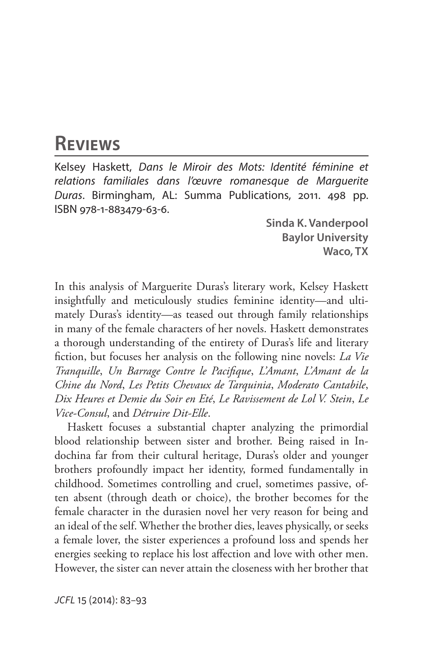### **Reviews**

Kelsey Haskett, *Dans le Miroir des Mots: Identité féminine et relations familiales dans l'œuvre romanesque de Marguerite Duras*. Birmingham, AL: Summa Publications, 2011. 498 pp. ISBN 978-1-883479-63-6.

> **Sinda K. Vanderpool Baylor University Waco, TX**

In this analysis of Marguerite Duras's literary work, Kelsey Haskett insightfully and meticulously studies feminine identity—and ultimately Duras's identity—as teased out through family relationships in many of the female characters of her novels. Haskett demonstrates a thorough understanding of the entirety of Duras's life and literary fiction, but focuses her analysis on the following nine novels: *La Vie Tranquille*, *Un Barrage Contre le Pacifique*, *L'Amant*, *L'Amant de la Chine du Nord*, *Les Petits Chevaux de Tarquinia*, *Moderato Cantabile*, *Dix Heures et Demie du Soir en Eté*, *Le Ravissement de Lol V. Stein*, *Le Vice-Consul*, and *Détruire Dit-Elle*.

Haskett focuses a substantial chapter analyzing the primordial blood relationship between sister and brother. Being raised in Indochina far from their cultural heritage, Duras's older and younger brothers profoundly impact her identity, formed fundamentally in childhood. Sometimes controlling and cruel, sometimes passive, often absent (through death or choice), the brother becomes for the female character in the durasien novel her very reason for being and an ideal of the self. Whether the brother dies, leaves physically, or seeks a female lover, the sister experiences a profound loss and spends her energies seeking to replace his lost affection and love with other men. However, the sister can never attain the closeness with her brother that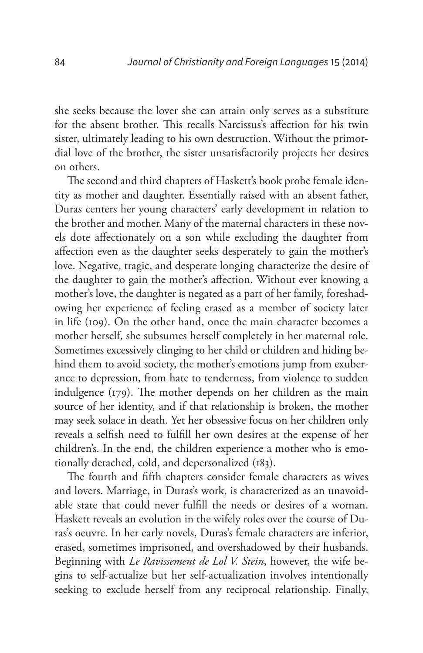she seeks because the lover she can attain only serves as a substitute for the absent brother. This recalls Narcissus's affection for his twin sister, ultimately leading to his own destruction. Without the primordial love of the brother, the sister unsatisfactorily projects her desires on others.

The second and third chapters of Haskett's book probe female identity as mother and daughter. Essentially raised with an absent father, Duras centers her young characters' early development in relation to the brother and mother. Many of the maternal characters in these novels dote affectionately on a son while excluding the daughter from affection even as the daughter seeks desperately to gain the mother's love. Negative, tragic, and desperate longing characterize the desire of the daughter to gain the mother's affection. Without ever knowing a mother's love, the daughter is negated as a part of her family, foreshadowing her experience of feeling erased as a member of society later in life (109). On the other hand, once the main character becomes a mother herself, she subsumes herself completely in her maternal role. Sometimes excessively clinging to her child or children and hiding behind them to avoid society, the mother's emotions jump from exuberance to depression, from hate to tenderness, from violence to sudden indulgence (179). The mother depends on her children as the main source of her identity, and if that relationship is broken, the mother may seek solace in death. Yet her obsessive focus on her children only reveals a selfish need to fulfill her own desires at the expense of her children's. In the end, the children experience a mother who is emotionally detached, cold, and depersonalized (183).

The fourth and fifth chapters consider female characters as wives and lovers. Marriage, in Duras's work, is characterized as an unavoidable state that could never fulfill the needs or desires of a woman. Haskett reveals an evolution in the wifely roles over the course of Duras's oeuvre. In her early novels, Duras's female characters are inferior, erased, sometimes imprisoned, and overshadowed by their husbands. Beginning with *Le Ravissement de Lol V. Stein*, however, the wife begins to self-actualize but her self-actualization involves intentionally seeking to exclude herself from any reciprocal relationship. Finally,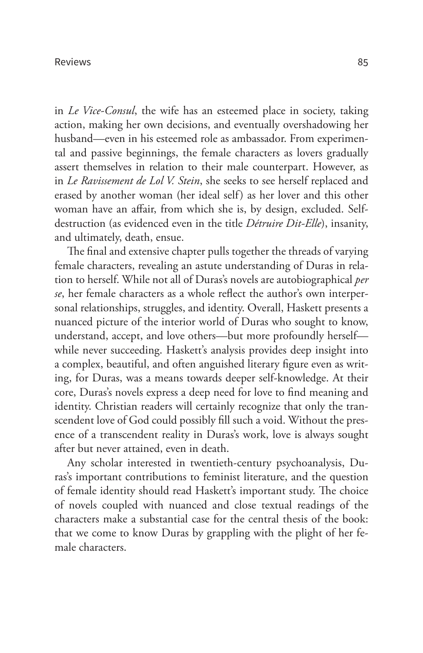#### Reviews

in *Le Vice-Consul*, the wife has an esteemed place in society, taking action, making her own decisions, and eventually overshadowing her husband—even in his esteemed role as ambassador. From experimental and passive beginnings, the female characters as lovers gradually assert themselves in relation to their male counterpart. However, as in *Le Ravissement de Lol V. Stein*, she seeks to see herself replaced and erased by another woman (her ideal self) as her lover and this other woman have an affair, from which she is, by design, excluded. Selfdestruction (as evidenced even in the title *Détruire Dit-Elle*), insanity, and ultimately, death, ensue.

The final and extensive chapter pulls together the threads of varying female characters, revealing an astute understanding of Duras in relation to herself. While not all of Duras's novels are autobiographical *per se*, her female characters as a whole reflect the author's own interpersonal relationships, struggles, and identity. Overall, Haskett presents a nuanced picture of the interior world of Duras who sought to know, understand, accept, and love others—but more profoundly herself while never succeeding. Haskett's analysis provides deep insight into a complex, beautiful, and often anguished literary figure even as writing, for Duras, was a means towards deeper self-knowledge. At their core, Duras's novels express a deep need for love to find meaning and identity. Christian readers will certainly recognize that only the transcendent love of God could possibly fill such a void. Without the presence of a transcendent reality in Duras's work, love is always sought after but never attained, even in death.

Any scholar interested in twentieth-century psychoanalysis, Duras's important contributions to feminist literature, and the question of female identity should read Haskett's important study. The choice of novels coupled with nuanced and close textual readings of the characters make a substantial case for the central thesis of the book: that we come to know Duras by grappling with the plight of her female characters.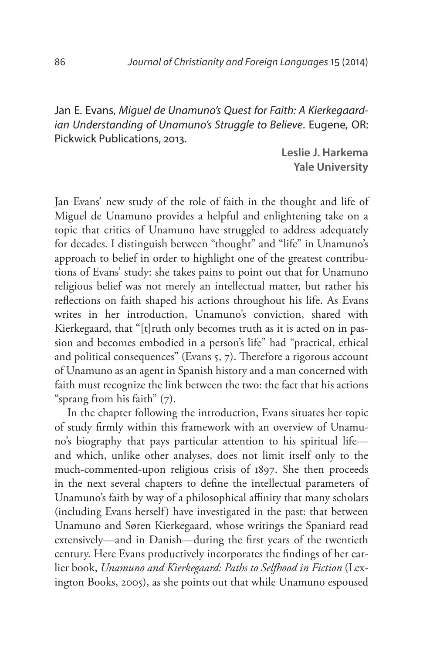Jan E. Evans, *Miguel de Unamuno's Quest for Faith: A Kierkegaardian Understanding of Unamuno's Struggle to Believe*. Eugene, OR: Pickwick Publications, 2013.

> **Leslie J. Harkema Yale University**

Jan Evans' new study of the role of faith in the thought and life of Miguel de Unamuno provides a helpful and enlightening take on a topic that critics of Unamuno have struggled to address adequately for decades. I distinguish between "thought" and "life" in Unamuno's approach to belief in order to highlight one of the greatest contributions of Evans' study: she takes pains to point out that for Unamuno religious belief was not merely an intellectual matter, but rather his reflections on faith shaped his actions throughout his life. As Evans writes in her introduction, Unamuno's conviction, shared with Kierkegaard, that "[t]ruth only becomes truth as it is acted on in passion and becomes embodied in a person's life" had "practical, ethical and political consequences" (Evans 5, 7). Therefore a rigorous account of Unamuno as an agent in Spanish history and a man concerned with faith must recognize the link between the two: the fact that his actions "sprang from his faith" (7).

In the chapter following the introduction, Evans situates her topic of study firmly within this framework with an overview of Unamuno's biography that pays particular attention to his spiritual life and which, unlike other analyses, does not limit itself only to the much-commented-upon religious crisis of 1897. She then proceeds in the next several chapters to define the intellectual parameters of Unamuno's faith by way of a philosophical affinity that many scholars (including Evans herself) have investigated in the past: that between Unamuno and Søren Kierkegaard, whose writings the Spaniard read extensively—and in Danish—during the first years of the twentieth century. Here Evans productively incorporates the findings of her earlier book, *Unamuno and Kierkegaard: Paths to Selfhood in Fiction* (Lexington Books, 2005), as she points out that while Unamuno espoused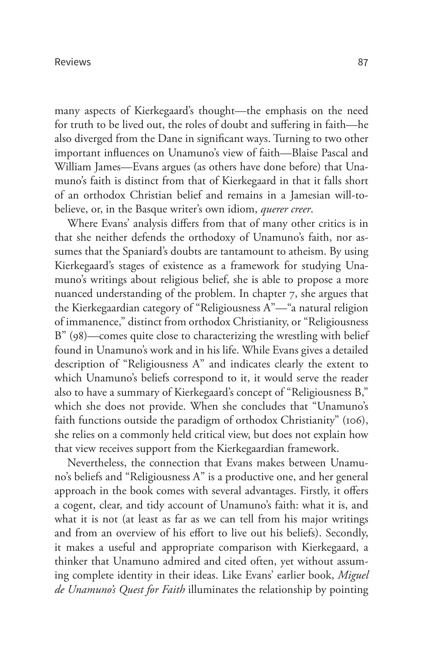many aspects of Kierkegaard's thought—the emphasis on the need for truth to be lived out, the roles of doubt and suffering in faith—he also diverged from the Dane in significant ways. Turning to two other important influences on Unamuno's view of faith—Blaise Pascal and William James—Evans argues (as others have done before) that Unamuno's faith is distinct from that of Kierkegaard in that it falls short of an orthodox Christian belief and remains in a Jamesian will-tobelieve, or, in the Basque writer's own idiom, *querer creer*.

Where Evans' analysis differs from that of many other critics is in that she neither defends the orthodoxy of Unamuno's faith, nor assumes that the Spaniard's doubts are tantamount to atheism. By using Kierkegaard's stages of existence as a framework for studying Unamuno's writings about religious belief, she is able to propose a more nuanced understanding of the problem. In chapter 7, she argues that the Kierkegaardian category of "Religiousness A"—"a natural religion of immanence," distinct from orthodox Christianity, or "Religiousness B" (98)—comes quite close to characterizing the wrestling with belief found in Unamuno's work and in his life. While Evans gives a detailed description of "Religiousness A" and indicates clearly the extent to which Unamuno's beliefs correspond to it, it would serve the reader also to have a summary of Kierkegaard's concept of "Religiousness B," which she does not provide. When she concludes that "Unamuno's faith functions outside the paradigm of orthodox Christianity" (106), she relies on a commonly held critical view, but does not explain how that view receives support from the Kierkegaardian framework.

Nevertheless, the connection that Evans makes between Unamuno's beliefs and "Religiousness A" is a productive one, and her general approach in the book comes with several advantages. Firstly, it offers a cogent, clear, and tidy account of Unamuno's faith: what it is, and what it is not (at least as far as we can tell from his major writings and from an overview of his effort to live out his beliefs). Secondly, it makes a useful and appropriate comparison with Kierkegaard, a thinker that Unamuno admired and cited often, yet without assuming complete identity in their ideas. Like Evans' earlier book, *Miguel de Unamuno's Quest for Faith* illuminates the relationship by pointing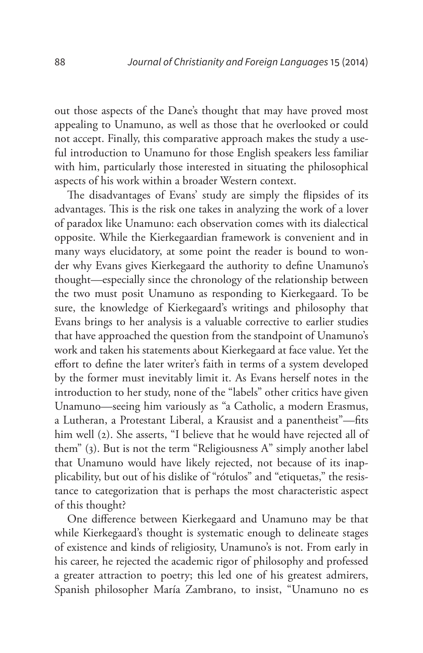out those aspects of the Dane's thought that may have proved most appealing to Unamuno, as well as those that he overlooked or could not accept. Finally, this comparative approach makes the study a useful introduction to Unamuno for those English speakers less familiar with him, particularly those interested in situating the philosophical aspects of his work within a broader Western context.

The disadvantages of Evans' study are simply the flipsides of its advantages. This is the risk one takes in analyzing the work of a lover of paradox like Unamuno: each observation comes with its dialectical opposite. While the Kierkegaardian framework is convenient and in many ways elucidatory, at some point the reader is bound to wonder why Evans gives Kierkegaard the authority to define Unamuno's thought—especially since the chronology of the relationship between the two must posit Unamuno as responding to Kierkegaard. To be sure, the knowledge of Kierkegaard's writings and philosophy that Evans brings to her analysis is a valuable corrective to earlier studies that have approached the question from the standpoint of Unamuno's work and taken his statements about Kierkegaard at face value. Yet the effort to define the later writer's faith in terms of a system developed by the former must inevitably limit it. As Evans herself notes in the introduction to her study, none of the "labels" other critics have given Unamuno—seeing him variously as "a Catholic, a modern Erasmus, a Lutheran, a Protestant Liberal, a Krausist and a panentheist"—fits him well (2). She asserts, "I believe that he would have rejected all of them" (3). But is not the term "Religiousness A" simply another label that Unamuno would have likely rejected, not because of its inapplicability, but out of his dislike of "rótulos" and "etiquetas," the resistance to categorization that is perhaps the most characteristic aspect of this thought?

One difference between Kierkegaard and Unamuno may be that while Kierkegaard's thought is systematic enough to delineate stages of existence and kinds of religiosity, Unamuno's is not. From early in his career, he rejected the academic rigor of philosophy and professed a greater attraction to poetry; this led one of his greatest admirers, Spanish philosopher María Zambrano, to insist, "Unamuno no es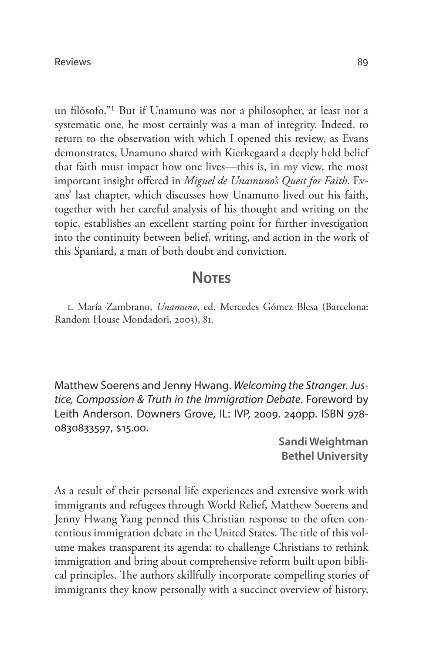Reviews

un filósofo."1 But if Unamuno was not a philosopher, at least not a systematic one, he most certainly was a man of integrity. Indeed, to return to the observation with which I opened this review, as Evans demonstrates, Unamuno shared with Kierkegaard a deeply held belief that faith must impact how one lives—this is, in my view, the most important insight offered in *Miguel de Unamuno's Quest for Faith*. Evans' last chapter, which discusses how Unamuno lived out his faith, together with her careful analysis of his thought and writing on the topic, establishes an excellent starting point for further investigation into the continuity between belief, writing, and action in the work of this Spaniard, a man of both doubt and conviction.

### **Notes**

1. María Zambrano, *Unamuno*, ed. Mercedes Gómez Blesa (Barcelona: Random House Mondadori, 2003), 81.

Matthew Soerens and Jenny Hwang. *Welcoming the Stranger. Justice, Compassion & Truth in the Immigration Debate*. Foreword by Leith Anderson. Downers Grove, IL: IVP, 2009. 240pp. ISBN 978- 0830833597, \$15.00.

> **Sandi Weightman Bethel University**

As a result of their personal life experiences and extensive work with immigrants and refugees through World Relief, Matthew Soerens and Jenny Hwang Yang penned this Christian response to the often contentious immigration debate in the United States. The title of this volume makes transparent its agenda: to challenge Christians to rethink immigration and bring about comprehensive reform built upon biblical principles. The authors skillfully incorporate compelling stories of immigrants they know personally with a succinct overview of history,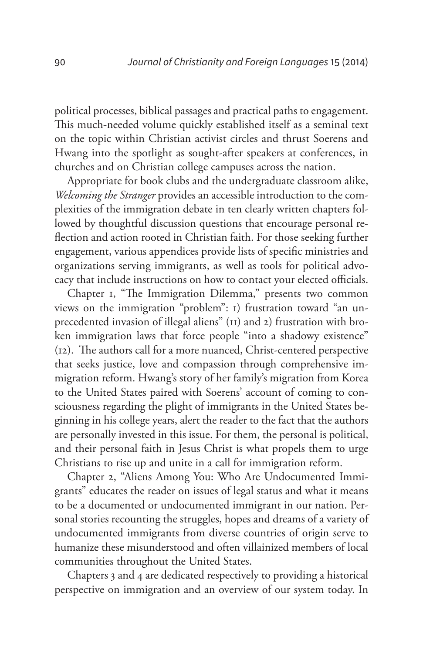political processes, biblical passages and practical paths to engagement. This much-needed volume quickly established itself as a seminal text on the topic within Christian activist circles and thrust Soerens and Hwang into the spotlight as sought-after speakers at conferences, in churches and on Christian college campuses across the nation.

Appropriate for book clubs and the undergraduate classroom alike, *Welcoming the Stranger* provides an accessible introduction to the complexities of the immigration debate in ten clearly written chapters followed by thoughtful discussion questions that encourage personal reflection and action rooted in Christian faith. For those seeking further engagement, various appendices provide lists of specific ministries and organizations serving immigrants, as well as tools for political advocacy that include instructions on how to contact your elected officials.

Chapter 1, "The Immigration Dilemma," presents two common views on the immigration "problem": 1) frustration toward "an unprecedented invasion of illegal aliens" (11) and 2) frustration with broken immigration laws that force people "into a shadowy existence" (12). The authors call for a more nuanced, Christ-centered perspective that seeks justice, love and compassion through comprehensive immigration reform. Hwang's story of her family's migration from Korea to the United States paired with Soerens' account of coming to consciousness regarding the plight of immigrants in the United States beginning in his college years, alert the reader to the fact that the authors are personally invested in this issue. For them, the personal is political, and their personal faith in Jesus Christ is what propels them to urge Christians to rise up and unite in a call for immigration reform.

Chapter 2, "Aliens Among You: Who Are Undocumented Immigrants" educates the reader on issues of legal status and what it means to be a documented or undocumented immigrant in our nation. Personal stories recounting the struggles, hopes and dreams of a variety of undocumented immigrants from diverse countries of origin serve to humanize these misunderstood and often villainized members of local communities throughout the United States.

Chapters 3 and 4 are dedicated respectively to providing a historical perspective on immigration and an overview of our system today. In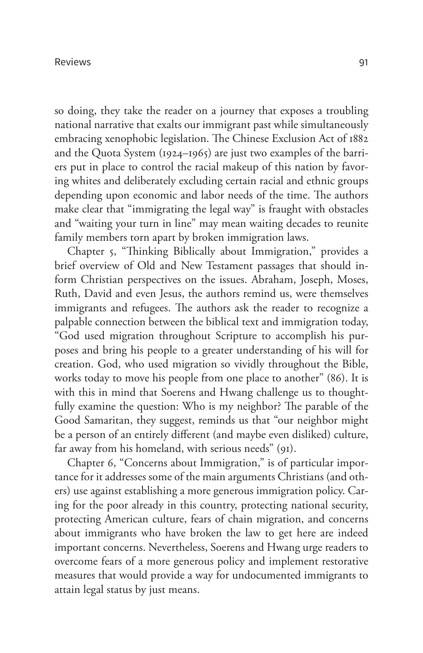so doing, they take the reader on a journey that exposes a troubling national narrative that exalts our immigrant past while simultaneously embracing xenophobic legislation. The Chinese Exclusion Act of 1882 and the Quota System (1924–1965) are just two examples of the barriers put in place to control the racial makeup of this nation by favoring whites and deliberately excluding certain racial and ethnic groups depending upon economic and labor needs of the time. The authors make clear that "immigrating the legal way" is fraught with obstacles and "waiting your turn in line" may mean waiting decades to reunite family members torn apart by broken immigration laws.

Chapter 5, "Thinking Biblically about Immigration," provides a brief overview of Old and New Testament passages that should inform Christian perspectives on the issues. Abraham, Joseph, Moses, Ruth, David and even Jesus, the authors remind us, were themselves immigrants and refugees. The authors ask the reader to recognize a palpable connection between the biblical text and immigration today, "God used migration throughout Scripture to accomplish his purposes and bring his people to a greater understanding of his will for creation. God, who used migration so vividly throughout the Bible, works today to move his people from one place to another" (86). It is with this in mind that Soerens and Hwang challenge us to thoughtfully examine the question: Who is my neighbor? The parable of the Good Samaritan, they suggest, reminds us that "our neighbor might be a person of an entirely different (and maybe even disliked) culture, far away from his homeland, with serious needs" (91).

Chapter 6, "Concerns about Immigration," is of particular importance for it addresses some of the main arguments Christians (and others) use against establishing a more generous immigration policy. Caring for the poor already in this country, protecting national security, protecting American culture, fears of chain migration, and concerns about immigrants who have broken the law to get here are indeed important concerns. Nevertheless, Soerens and Hwang urge readers to overcome fears of a more generous policy and implement restorative measures that would provide a way for undocumented immigrants to attain legal status by just means.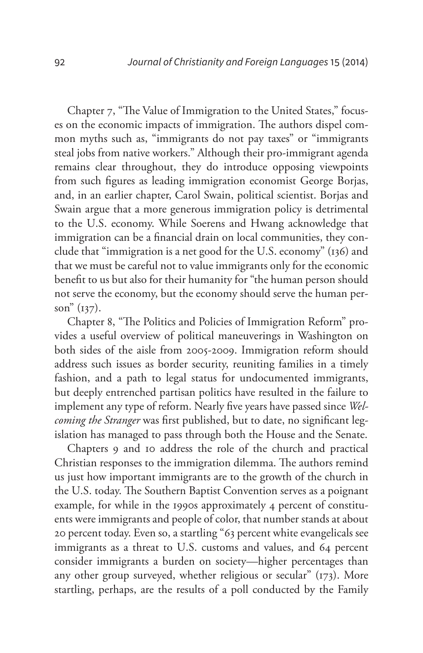Chapter 7, "The Value of Immigration to the United States," focuses on the economic impacts of immigration. The authors dispel common myths such as, "immigrants do not pay taxes" or "immigrants steal jobs from native workers." Although their pro-immigrant agenda remains clear throughout, they do introduce opposing viewpoints from such figures as leading immigration economist George Borjas, and, in an earlier chapter, Carol Swain, political scientist. Borjas and Swain argue that a more generous immigration policy is detrimental to the U.S. economy. While Soerens and Hwang acknowledge that immigration can be a financial drain on local communities, they conclude that "immigration is a net good for the U.S. economy" (136) and that we must be careful not to value immigrants only for the economic benefit to us but also for their humanity for "the human person should not serve the economy, but the economy should serve the human person" (137).

Chapter 8, "The Politics and Policies of Immigration Reform" provides a useful overview of political maneuverings in Washington on both sides of the aisle from 2005-2009. Immigration reform should address such issues as border security, reuniting families in a timely fashion, and a path to legal status for undocumented immigrants, but deeply entrenched partisan politics have resulted in the failure to implement any type of reform. Nearly five years have passed since *Welcoming the Stranger* was first published, but to date, no significant legislation has managed to pass through both the House and the Senate.

Chapters 9 and 10 address the role of the church and practical Christian responses to the immigration dilemma. The authors remind us just how important immigrants are to the growth of the church in the U.S. today. The Southern Baptist Convention serves as a poignant example, for while in the 1990s approximately 4 percent of constituents were immigrants and people of color, that number stands at about 20 percent today. Even so, a startling "63 percent white evangelicals see immigrants as a threat to U.S. customs and values, and 64 percent consider immigrants a burden on society—higher percentages than any other group surveyed, whether religious or secular" (173). More startling, perhaps, are the results of a poll conducted by the Family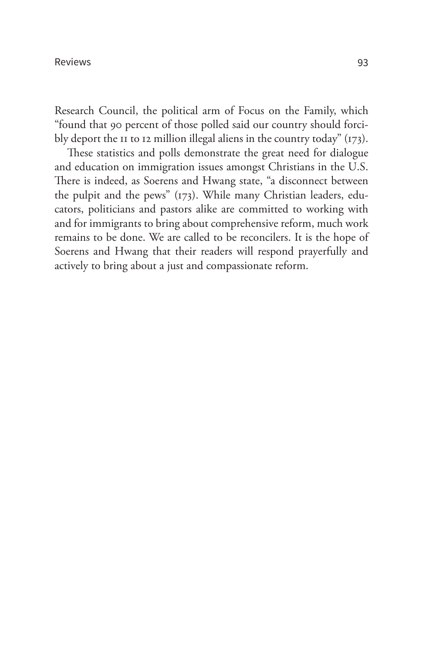Research Council, the political arm of Focus on the Family, which "found that 90 percent of those polled said our country should forcibly deport the 11 to 12 million illegal aliens in the country today" (173).

These statistics and polls demonstrate the great need for dialogue and education on immigration issues amongst Christians in the U.S. There is indeed, as Soerens and Hwang state, "a disconnect between the pulpit and the pews" (173). While many Christian leaders, educators, politicians and pastors alike are committed to working with and for immigrants to bring about comprehensive reform, much work remains to be done. We are called to be reconcilers. It is the hope of Soerens and Hwang that their readers will respond prayerfully and actively to bring about a just and compassionate reform.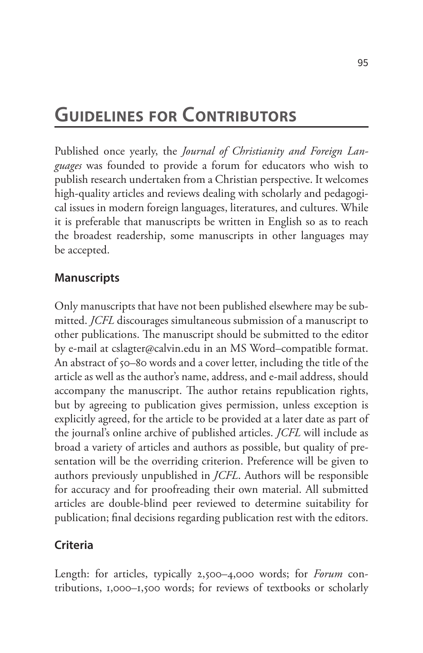## **Guidelines for Contributors**

Published once yearly, the *Journal of Christianity and Foreign Languages* was founded to provide a forum for educators who wish to publish research undertaken from a Christian perspective. It welcomes high-quality articles and reviews dealing with scholarly and pedagogical issues in modern foreign languages, literatures, and cultures. While it is preferable that manuscripts be written in English so as to reach the broadest readership, some manuscripts in other languages may be accepted.

#### **Manuscripts**

Only manuscripts that have not been published elsewhere may be submitted. *JCFL* discourages simultaneous submission of a manuscript to other publications. The manuscript should be submitted to the editor by e-mail at cslagter@calvin.edu in an MS Word–compatible format. An abstract of 50–80 words and a cover letter, including the title of the article as well as the author's name, address, and e-mail address, should accompany the manuscript. The author retains republication rights, but by agreeing to publication gives permission, unless exception is explicitly agreed, for the article to be provided at a later date as part of the journal's online archive of published articles. *JCFL* will include as broad a variety of articles and authors as possible, but quality of presentation will be the overriding criterion. Preference will be given to authors previously unpublished in *JCFL*. Authors will be responsible for accuracy and for proofreading their own material. All submitted articles are double-blind peer reviewed to determine suitability for publication; final decisions regarding publication rest with the editors.

#### **Criteria**

Length: for articles, typically 2,500–4,000 words; for *Forum* contributions, 1,000–1,500 words; for reviews of textbooks or scholarly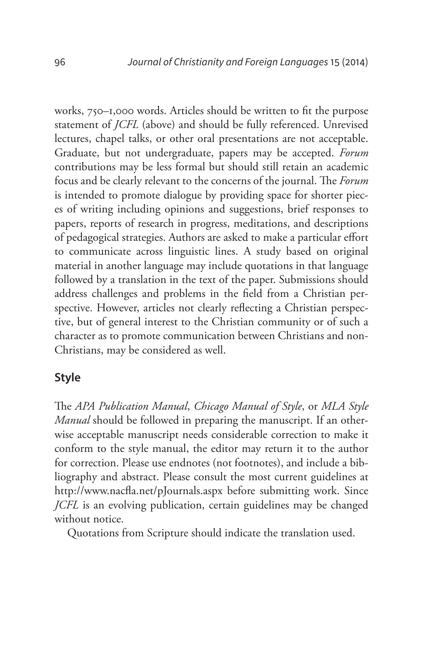works, 750–1,000 words. Articles should be written to fit the purpose statement of *JCFL* (above) and should be fully referenced. Unrevised lectures, chapel talks, or other oral presentations are not acceptable. Graduate, but not undergraduate, papers may be accepted. *Forum* contributions may be less formal but should still retain an academic focus and be clearly relevant to the concerns of the journal. The *Forum* is intended to promote dialogue by providing space for shorter pieces of writing including opinions and suggestions, brief responses to papers, reports of research in progress, meditations, and descriptions of pedagogical strategies. Authors are asked to make a particular effort to communicate across linguistic lines. A study based on original material in another language may include quotations in that language followed by a translation in the text of the paper. Submissions should address challenges and problems in the field from a Christian perspective. However, articles not clearly reflecting a Christian perspective, but of general interest to the Christian community or of such a character as to promote communication between Christians and non-Christians, may be considered as well.

#### **Style**

The *APA Publication Manual*, *Chicago Manual of Style*, or *MLA Style Manual* should be followed in preparing the manuscript. If an otherwise acceptable manuscript needs considerable correction to make it conform to the style manual, the editor may return it to the author for correction. Please use endnotes (not footnotes), and include a bibliography and abstract. Please consult the most current guidelines at http://www.nacfla.net/pJournals.aspx before submitting work. Since *JCFL* is an evolving publication, certain guidelines may be changed without notice.

Quotations from Scripture should indicate the translation used.